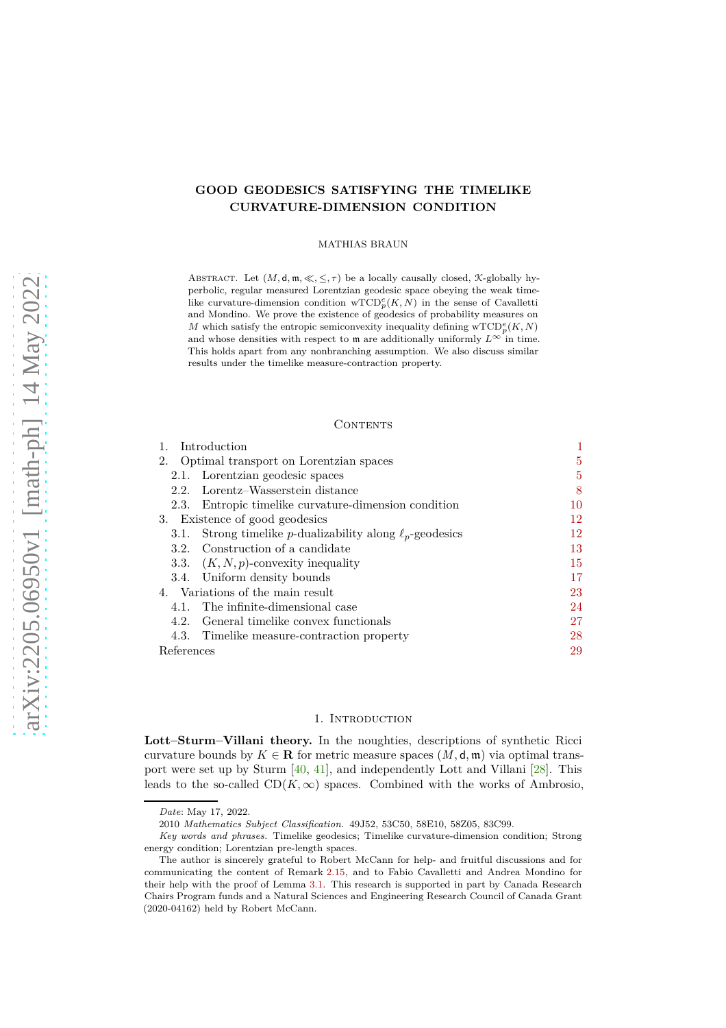# **GOOD GEODESICS SATISFYING THE TIMELIKE CURVATURE-DIMENSION CONDITION**

#### MATHIAS BRAUN

ABSTRACT. Let  $(M, d, m, \ll, \leq, \tau)$  be a locally causally closed, *K*-globally hyperbolic, regular measured Lorentzian geodesic space obeying the weak timelike curvature-dimension condition  $\mathrm{wTCD}_p^e(K, N)$  in the sense of Cavalletti and Mondino. We prove the existence of geodesics of probability measures on  $M$  which satisfy the entropic semiconvexity inequality defining  $\mathrm{wTCD}_p^e(K, N)$ and whose densities with respect to m are additionally uniformly  $L^{\infty}$  in time. This holds apart from any nonbranching assumption. We also discuss similar results under the timelike measure-contraction property.

## **CONTENTS**

| Introduction                                                              |    |
|---------------------------------------------------------------------------|----|
| 2. Optimal transport on Lorentzian spaces                                 | 5  |
| 2.1. Lorentzian geodesic spaces                                           | 5  |
| Lorentz-Wasserstein distance<br>2.2.                                      | 8  |
| Entropic timelike curvature-dimension condition<br>2.3.                   | 10 |
| 3. Existence of good geodesics                                            | 12 |
| Strong timelike <i>p</i> -dualizability along $\ell_p$ -geodesics<br>3.1. | 12 |
| Construction of a candidate<br>3.2.                                       | 13 |
| 3.3. $(K, N, p)$ -convexity inequality                                    | 15 |
| 3.4. Uniform density bounds                                               | 17 |
| 4. Variations of the main result                                          | 23 |
| The infinite-dimensional case<br>4.1.                                     | 24 |
| General timelike convex functionals<br>4.2.                               | 27 |
| 4.3. Timelike measure-contraction property                                | 28 |
| References                                                                | 29 |

#### 1. Introduction

<span id="page-0-0"></span>**Lott–Sturm–Villani theory.** In the noughties, descriptions of synthetic Ricci curvature bounds by  $K \in \mathbf{R}$  for metric measure spaces  $(M, \mathsf{d}, \mathfrak{m})$  via optimal transport were set up by Sturm [\[40,](#page-29-0) [41\]](#page-30-0), and independently Lott and Villani [\[28\]](#page-29-1). This leads to the so-called  $CD(K,\infty)$  spaces. Combined with the works of Ambrosio,

*Date*: May 17, 2022.

<sup>2010</sup> *Mathematics Subject Classification.* 49J52, 53C50, 58E10, 58Z05, 83C99.

*Key words and phrases.* Timelike geodesics; Timelike curvature-dimension condition; Strong energy condition; Lorentzian pre-length spaces.

The author is sincerely grateful to Robert McCann for help- and fruitful discussions and for communicating the content of [Remark](#page-9-1) 2.15, and to Fabio Cavalletti and Andrea Mondino for their help with the proof of [Lemma](#page-11-2) 3.1. This research is supported in part by Canada Research Chairs Program funds and a Natural Sciences and Engineering Research Council of Canada Grant (2020-04162) held by Robert McCann.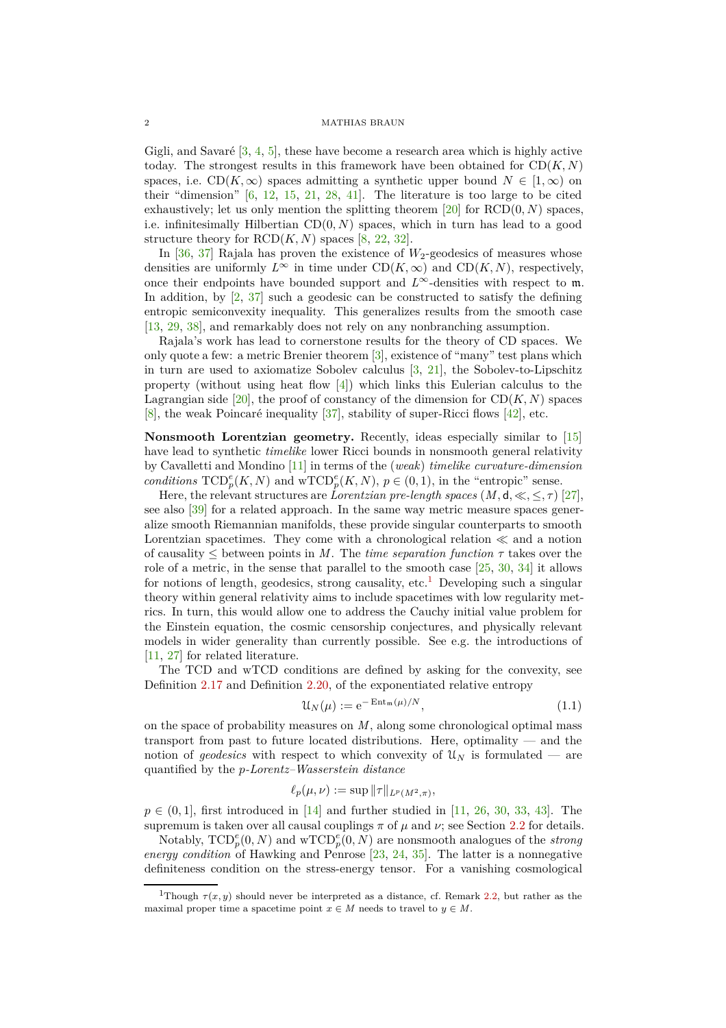Gigli, and Savaré [\[3,](#page-28-1) [4,](#page-28-2) [5\]](#page-28-3), these have become a research area which is highly active today. The strongest results in this framework have been obtained for  $CD(K, N)$ spaces, i.e.  $CD(K, \infty)$  spaces admitting a synthetic upper bound  $N \in [1, \infty)$  on their "dimension" [\[6,](#page-28-4) [12,](#page-29-2) [15,](#page-29-3) [21,](#page-29-4) [28,](#page-29-1) [41\]](#page-30-0). The literature is too large to be cited exhaustively; let us only mention the splitting theorem [\[20\]](#page-29-5) for RCD(0*, N*) spaces, i.e. infinitesimally Hilbertian  $CD(0, N)$  spaces, which in turn has lead to a good structure theory for  $RCD(K, N)$  spaces [\[8,](#page-28-5) [22,](#page-29-6) [32\]](#page-29-7).

In  $[36, 37]$  $[36, 37]$  Rajala has proven the existence of  $W_2$ -geodesics of measures whose densities are uniformly  $L^{\infty}$  in time under  $CD(K, \infty)$  and  $CD(K, N)$ , respectively, once their endpoints have bounded support and  $L^{\infty}$ -densities with respect to m. In addition, by  $\left[2, 37\right]$  such a geodesic can be constructed to satisfy the defining entropic semiconvexity inequality. This generalizes results from the smooth case [\[13,](#page-29-10) [29,](#page-29-11) [38\]](#page-29-12), and remarkably does not rely on any nonbranching assumption.

Rajala's work has lead to cornerstone results for the theory of CD spaces. We only quote a few: a metric Brenier theorem [\[3\]](#page-28-1), existence of "many" test plans which in turn are used to axiomatize Sobolev calculus [\[3,](#page-28-1) [21\]](#page-29-4), the Sobolev-to-Lipschitz property (without using heat flow [\[4\]](#page-28-2)) which links this Eulerian calculus to the Lagrangian side  $[20]$ , the proof of constancy of the dimension for  $CD(K, N)$  spaces [\[8\]](#page-28-5), the weak Poincaré inequality [\[37\]](#page-29-9), stability of super-Ricci flows [\[42\]](#page-30-1), etc.

**Nonsmooth Lorentzian geometry.** Recently, ideas especially similar to [\[15\]](#page-29-3) have lead to synthetic *timelike* lower Ricci bounds in nonsmooth general relativity by Cavalletti and Mondino [\[11\]](#page-29-13) in terms of the (*weak*) *timelike curvature-dimension conditions*  $\text{TCD}_{p}^{e}(K, N)$  and  $\text{wTCD}_{p}^{e}(K, N)$ ,  $p \in (0, 1)$ , in the "entropic" sense.

Here, the relevant structures are *Lorentzian pre-length spaces*  $(M, d, \ll, \leq, \tau)$  [\[27\]](#page-29-14), see also [\[39\]](#page-29-15) for a related approach. In the same way metric measure spaces generalize smooth Riemannian manifolds, these provide singular counterparts to smooth Lorentzian spacetimes. They come with a chronological relation ≪ and a notion of causality  $\leq$  between points in *M*. The *time separation function*  $\tau$  takes over the role of a metric, in the sense that parallel to the smooth case  $[25, 30, 34]$  $[25, 30, 34]$  $[25, 30, 34]$  $[25, 30, 34]$  $[25, 30, 34]$  it allows for notions of length, geodesics, strong causality, etc.<sup>[1](#page-1-0)</sup> Developing such a singular theory within general relativity aims to include spacetimes with low regularity metrics. In turn, this would allow one to address the Cauchy initial value problem for the Einstein equation, the cosmic censorship conjectures, and physically relevant models in wider generality than currently possible. See e.g. the introductions of [\[11,](#page-29-13) [27\]](#page-29-14) for related literature.

The TCD and wTCD conditions are defined by asking for the convexity, see [Definition](#page-10-0) 2.17 and [Definition](#page-10-1) 2.20, of the exponentiated relative entropy

<span id="page-1-1"></span>
$$
\mathcal{U}_N(\mu) := e^{-\operatorname{Ent}_{\mathfrak{m}}(\mu)/N},\tag{1.1}
$$

on the space of probability measures on *M*, along some chronological optimal mass transport from past to future located distributions. Here, optimality — and the notion of *geodesics* with respect to which convexity of  $\mathcal{U}_N$  is formulated — are quantified by the *p-Lorentz–Wasserstein distance*

$$
\ell_p(\mu,\nu) := \sup \|\tau\|_{L^p(M^2,\pi)},
$$

 $p \in (0,1]$ , first introduced in [\[14\]](#page-29-19) and further studied in [\[11,](#page-29-13) [26,](#page-29-20) [30,](#page-29-17) [33,](#page-29-21) [43\]](#page-30-2). The supremum is taken over all causal couplings  $\pi$  of  $\mu$  and  $\nu$ ; see [Section](#page-7-0) 2.2 for details.

Notably,  $\text{TCD}_{p}^{e}(0, N)$  and  $\text{wTCD}_{p}^{e}(0, N)$  are nonsmooth analogues of the *strong energy condition* of Hawking and Penrose [\[23,](#page-29-22) [24,](#page-29-23) [35\]](#page-29-24). The latter is a nonnegative definiteness condition on the stress-energy tensor. For a vanishing cosmological

<span id="page-1-0"></span><sup>&</sup>lt;sup>1</sup>Though  $\tau(x, y)$  should never be interpreted as a distance, cf. [Remark](#page-5-0) 2.2, but rather as the maximal proper time a spacetime point  $x \in M$  needs to travel to  $y \in M$ .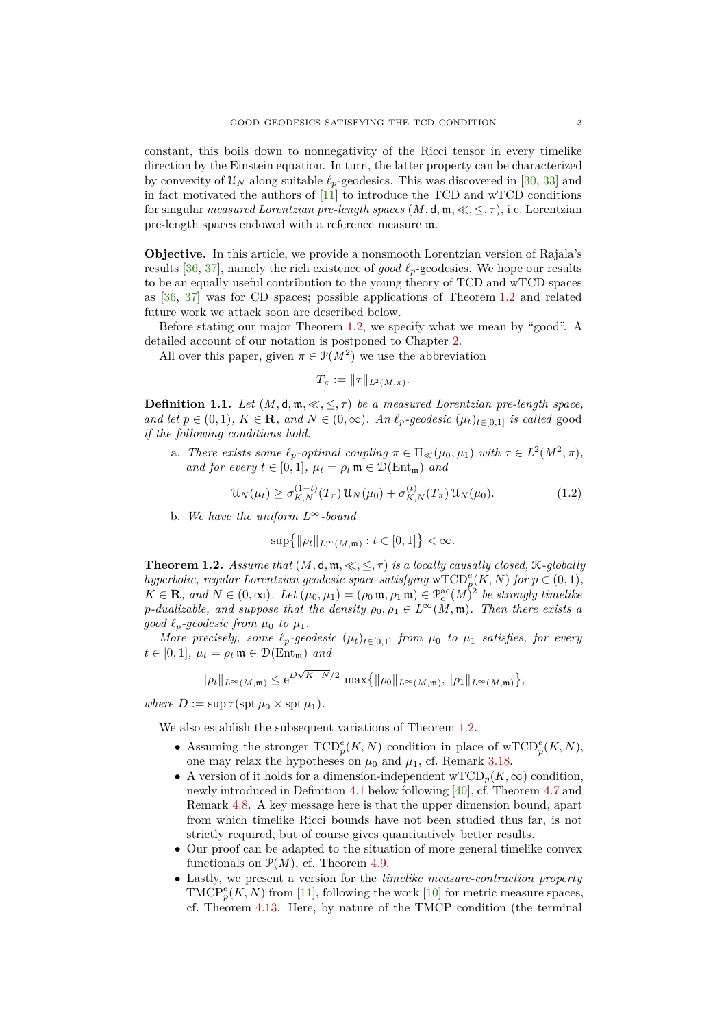constant, this boils down to nonnegativity of the Ricci tensor in every timelike direction by the Einstein equation. In turn, the latter property can be characterized by convexity of  $\mathcal{U}_N$  along suitable  $\ell_p$ -geodesics. This was discovered in [\[30,](#page-29-17) [33\]](#page-29-21) and in fact motivated the authors of [\[11\]](#page-29-13) to introduce the TCD and wTCD conditions for singular *measured Lorentzian pre-length spaces*  $(M, d, \mathfrak{m}, \ll, \leq, \tau)$ , i.e. Lorentzian pre-length spaces endowed with a reference measure m.

**Objective.** In this article, we provide a nonsmooth Lorentzian version of Rajala's results [\[36,](#page-29-8) [37\]](#page-29-9), namely the rich existence of *good ℓp*-geodesics. We hope our results to be an equally useful contribution to the young theory of TCD and wTCD spaces as [\[36,](#page-29-8) [37\]](#page-29-9) was for CD spaces; possible applications of [Theorem](#page-2-0) 1.2 and related future work we attack soon are described below.

Before stating our major [Theorem](#page-2-0) 1.2, we specify what we mean by "good". A detailed account of our notation is postponed to [Chapter](#page-4-0) 2.

All over this paper, given  $\pi \in \mathcal{P}(M^2)$  we use the abbreviation

<span id="page-2-1"></span>
$$
T_{\pi}:=\|\tau\|_{L^2(M,\pi)}.
$$

<span id="page-2-2"></span>**Definition 1.1.** *Let*  $(M, d, m, \ll, \leq, \tau)$  *be a measured Lorentzian pre-length space, and let*  $p \in (0,1)$ ,  $K \in \mathbf{R}$ *, and*  $N \in (0,\infty)$ *. An*  $\ell_p$ *-geodesic*  $(\mu_t)_{t \in [0,1]}$  *is called* good *if the following conditions hold.*

a. *There exists some*  $\ell_p$ -*optimal coupling*  $\pi \in \Pi_{\ll}(\mu_0, \mu_1)$  *with*  $\tau \in L^2(M^2, \pi)$ , *and for every*  $t \in [0, 1]$ *,*  $\mu_t = \rho_t \mathfrak{m} \in \mathcal{D}(\text{Ent}_{\mathfrak{m}})$  *and* 

$$
\mathcal{U}_N(\mu_t) \ge \sigma_{K,N}^{(1-t)}(T_\pi) \mathcal{U}_N(\mu_0) + \sigma_{K,N}^{(t)}(T_\pi) \mathcal{U}_N(\mu_0). \tag{1.2}
$$

b. *We have the uniform L*∞*-bound*

$$
\sup\big\{\|\rho_t\|_{L^\infty(M,\mathfrak{m})}:t\in[0,1]\big\}<\infty.
$$

<span id="page-2-0"></span>**Theorem 1.2.** *Assume that*  $(M, d, m, \ll, \leq, \tau)$  *is a locally causally closed,*  $\mathcal{K}\text{-}\text{globally}$ *hyperbolic, regular Lorentzian geodesic space satisfying*  $\mathrm{wTCD}_p^e(K, N)$  *for*  $p \in (0, 1)$ *,*  $K \in \mathbf{R}$ *, and*  $N \in (0, \infty)$ *. Let*  $(\mu_0, \mu_1) = (\rho_0 \mathfrak{m}, \rho_1 \mathfrak{m}) \in \mathcal{P}_c^{\text{ac}}(M)^2$  be strongly timelike *p*-dualizable, and suppose that the density  $\rho_0, \rho_1 \in L^\infty(M, \mathfrak{m})$ . Then there exists a *good*  $\ell_p$ *-geodesic from*  $\mu_0$  *to*  $\mu_1$ *.* 

*More precisely, some*  $\ell_p$ -geodesic  $(\mu_t)_{t \in [0,1]}$  *from*  $\mu_0$  *to*  $\mu_1$  *satisfies, for every*  $t \in [0, 1]$ ,  $\mu_t = \rho_t \mathfrak{m} \in \mathcal{D}(\text{Ent}_{\mathfrak{m}})$  *and* 

$$
\|\rho_t\|_{L^{\infty}(M,\mathfrak{m})} \leq e^{D\sqrt{K-N}/2} \max\{ \|\rho_0\|_{L^{\infty}(M,\mathfrak{m})}, \|\rho_1\|_{L^{\infty}(M,\mathfrak{m})} \},
$$

 $where D := \sup \tau(\operatorname{spt} \mu_0 \times \operatorname{spt} \mu_1).$ 

We also establish the subsequent variations of [Theorem](#page-2-0) 1.2.

- Assuming the stronger  $\text{TCP}_p(K, N)$  condition in place of  $\text{wTCD}_p^e(K, N)$ , one may relax the hypotheses on  $\mu_0$  and  $\mu_1$ , cf. [Remark](#page-22-1) 3.18.
- A version of it holds for a dimension-independent  $\mathrm{wTCD}_p(K,\infty)$  condition, newly introduced in [Definition](#page-23-1) 4.1 below following [\[40\]](#page-29-0), cf. [Theorem](#page-25-0) 4.7 and [Remark](#page-26-1) 4.8. A key message here is that the upper dimension bound, apart from which timelike Ricci bounds have not been studied thus far, is not strictly required, but of course gives quantitatively better results.
- Our proof can be adapted to the situation of more general timelike convex functionals on  $\mathcal{P}(M)$ , cf. [Theorem](#page-26-2) 4.9.
- Lastly, we present a version for the *timelike measure-contraction property*  $\text{TMCP}_{p}^{e}(K, N)$  from [\[11\]](#page-29-13), following the work [\[10\]](#page-28-7) for metric measure spaces, cf. [Theorem](#page-27-1) 4.13. Here, by nature of the TMCP condition (the terminal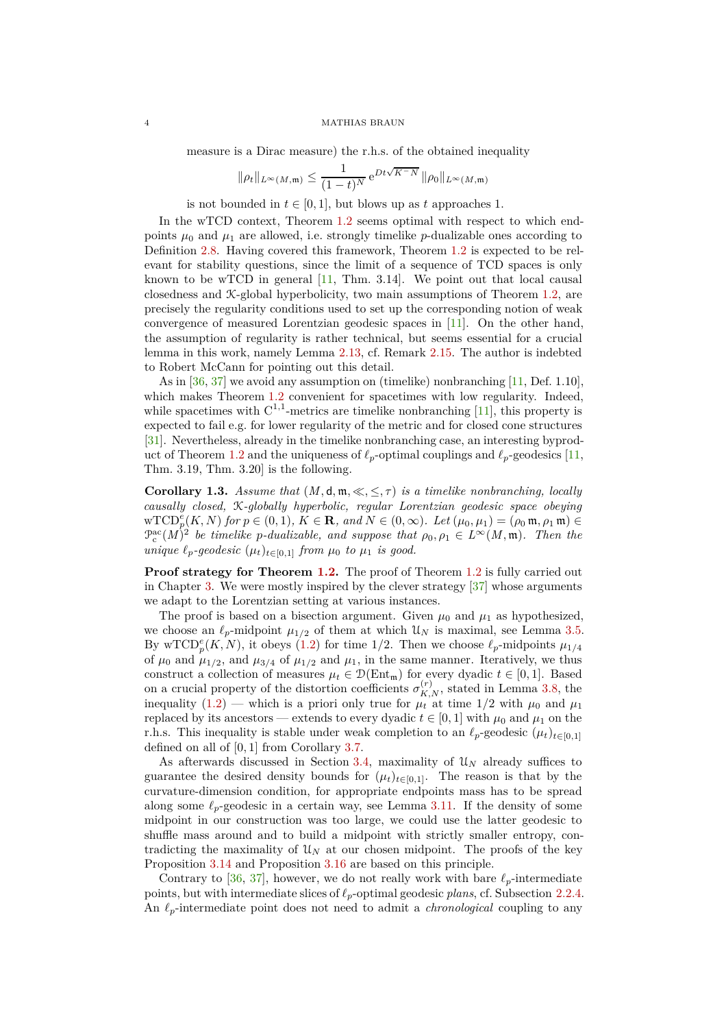measure is a Dirac measure) the r.h.s. of the obtained inequality

$$
\|\rho_t\|_{L^{\infty}(M,\mathfrak{m})} \le \frac{1}{(1-t)^N} e^{Dt\sqrt{K-N}} \|\rho_0\|_{L^{\infty}(M,\mathfrak{m})}
$$

is not bounded in  $t \in [0, 1]$ , but blows up as  $t$  approaches 1.

In the wTCD context, [Theorem](#page-2-0) 1.2 seems optimal with respect to which endpoints  $\mu_0$  and  $\mu_1$  are allowed, i.e. strongly timelike *p*-dualizable ones according to [Definition](#page-8-0) 2.8. Having covered this framework, [Theorem](#page-2-0) 1.2 is expected to be relevant for stability questions, since the limit of a sequence of TCD spaces is only known to be wTCD in general  $[11, Thm. 3.14]$ . We point out that local causal closedness and K-global hyperbolicity, two main assumptions of [Theorem](#page-2-0) 1.2, are precisely the regularity conditions used to set up the corresponding notion of weak convergence of measured Lorentzian geodesic spaces in [\[11\]](#page-29-13). On the other hand, the assumption of regularity is rather technical, but seems essential for a crucial lemma in this work, namely [Lemma](#page-9-2) 2.13, cf. [Remark](#page-9-1) 2.15. The author is indebted to Robert McCann for pointing out this detail.

As in  $[36, 37]$  $[36, 37]$  we avoid any assumption on (timelike) nonbranching  $[11,$  Def. 1.10]. which makes [Theorem](#page-2-0) 1.2 convenient for spacetimes with low regularity. Indeed, while spacetimes with  $C^{1,1}$ -metrics are timelike nonbranching [\[11\]](#page-29-13), this property is expected to fail e.g. for lower regularity of the metric and for closed cone structures [\[31\]](#page-29-25). Nevertheless, already in the timelike nonbranching case, an interesting byprod-uct of [Theorem](#page-2-0) 1.2 and the uniqueness of  $\ell_p$ -optimal couplings and  $\ell_p$ -geodesics [\[11,](#page-29-13) Thm. 3.19, Thm. 3.20] is the following.

<span id="page-3-0"></span>**Corollary 1.3.** *Assume that*  $(M, d, m, \ll, \leq, \tau)$  *is a timelike nonbranching, locally causally closed,* K*-globally hyperbolic, regular Lorentzian geodesic space obeying*  $\text{wTCD}_{p}^{e}(K, N)$  *for*  $p \in (0, 1)$ *,*  $K \in \mathbf{R}$ *, and*  $N \in (0, \infty)$ *. Let*  $(\mu_0, \mu_1) = (\rho_0 \mathfrak{m}, \rho_1 \mathfrak{m}) \in$  $\mathcal{P}_c^{\text{ac}}(M)^2$  be timelike *p*-dualizable, and suppose that  $\rho_0, \rho_1 \in L^\infty(M, \mathfrak{m})$ . Then the *unique*  $\ell_p$ -geodesic  $(\mu_t)_{t \in [0,1]}$  *from*  $\mu_0$  *to*  $\mu_1$  *is good.* 

**Proof strategy for [Theorem](#page-2-0) 1.2.** The proof of Theorem 1.2 is fully carried out in [Chapter](#page-11-0) 3. We were mostly inspired by the clever strategy [\[37\]](#page-29-9) whose arguments we adapt to the Lorentzian setting at various instances.

The proof is based on a bisection argument. Given  $\mu_0$  and  $\mu_1$  as hypothesized, we choose an  $\ell_p$ -midpoint  $\mu_{1/2}$  of them at which  $\mathcal{U}_N$  is maximal, see [Lemma](#page-13-0) 3.5. By wTCD<sup>e</sup><sub>p</sub>(K, N), it obeys [\(1.2\)](#page-2-1) for time 1/2. Then we choose  $\ell_p$ -midpoints  $\mu_{1/4}$ of  $\mu_0$  and  $\mu_{1/2}$ , and  $\mu_{3/4}$  of  $\mu_{1/2}$  and  $\mu_1$ , in the same manner. Iteratively, we thus construct a collection of measures  $\mu_t \in \mathcal{D}(\text{Ent}_{\mathfrak{m}})$  for every dyadic  $t \in [0,1]$ . Based on a crucial property of the distortion coefficients  $\sigma_{K,N}^{(r)}$ , stated in [Lemma](#page-14-1) 3.8, the inequality [\(1.2\)](#page-2-1) — which is a priori only true for  $\mu_t$  at time 1/2 with  $\mu_0$  and  $\mu_1$ replaced by its ancestors — extends to every dyadic  $t \in [0,1]$  with  $\mu_0$  and  $\mu_1$  on the r.h.s. This inequality is stable under weak completion to an  $\ell_p$ -geodesic  $(\mu_t)_{t\in[0,1]}$ defined on all of [0*,* 1] from [Corollary](#page-13-1) 3.7.

As afterwards discussed in [Section](#page-16-0) 3.4, maximality of U*<sup>N</sup>* already suffices to guarantee the desired density bounds for  $(\mu_t)_{t \in [0,1]}$ . The reason is that by the curvature-dimension condition, for appropriate endpoints mass has to be spread along some  $\ell_p$ -geodesic in a certain way, see [Lemma](#page-16-1) 3.11. If the density of some midpoint in our construction was too large, we could use the latter geodesic to shuffle mass around and to build a midpoint with strictly smaller entropy, contradicting the maximality of  $\mathcal{U}_N$  at our chosen midpoint. The proofs of the key [Proposition](#page-18-0) 3.14 and [Proposition](#page-20-0) 3.16 are based on this principle.

Contrary to [\[36,](#page-29-8) [37\]](#page-29-9), however, we do not really work with bare  $\ell_p$ -intermediate points, but with intermediate slices of *ℓp*-optimal geodesic *plans*, cf. [Subsection](#page-8-1) 2.2.4. An *ℓp*-intermediate point does not need to admit a *chronological* coupling to any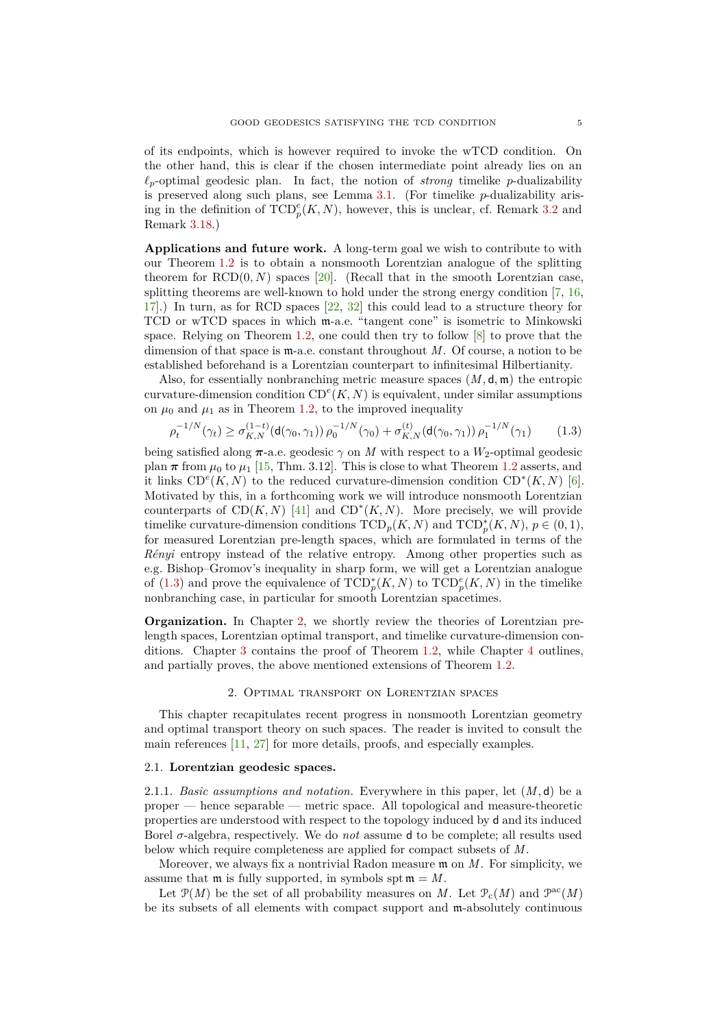of its endpoints, which is however required to invoke the wTCD condition. On the other hand, this is clear if the chosen intermediate point already lies on an *ℓp*-optimal geodesic plan. In fact, the notion of *strong* timelike *p*-dualizability is preserved along such plans, see [Lemma](#page-11-2) 3.1. (For timelike *p*-dualizability arising in the definition of  $\text{TCD}_p^e(K, N)$ , however, this is unclear, cf. [Remark](#page-12-1) 3.2 and [Remark](#page-22-1) 3.18.)

**Applications and future work.** A long-term goal we wish to contribute to with our [Theorem](#page-2-0) 1.2 is to obtain a nonsmooth Lorentzian analogue of the splitting theorem for  $RCD(0, N)$  spaces  $[20]$ . (Recall that in the smooth Lorentzian case, splitting theorems are well-known to hold under the strong energy condition [\[7,](#page-28-8) [16,](#page-29-26) [17\]](#page-29-27).) In turn, as for RCD spaces [\[22,](#page-29-6) [32\]](#page-29-7) this could lead to a structure theory for TCD or wTCD spaces in which m-a.e. "tangent cone" is isometric to Minkowski space. Relying on [Theorem](#page-2-0) 1.2, one could then try to follow [\[8\]](#page-28-5) to prove that the dimension of that space is m-a.e. constant throughout *M*. Of course, a notion to be established beforehand is a Lorentzian counterpart to infinitesimal Hilbertianity.

Also, for essentially nonbranching metric measure spaces (*M,* d*,* m) the entropic curvature-dimension condition  $CD^e(K, N)$  is equivalent, under similar assumptions on  $\mu_0$  and  $\mu_1$  as in [Theorem](#page-2-0) 1.2, to the improved inequality

<span id="page-4-2"></span>
$$
\rho_t^{-1/N}(\gamma_t) \ge \sigma_{K,N}^{(1-t)}(\mathsf{d}(\gamma_0, \gamma_1)) \rho_0^{-1/N}(\gamma_0) + \sigma_{K,N}^{(t)}(\mathsf{d}(\gamma_0, \gamma_1)) \rho_1^{-1/N}(\gamma_1) \tag{1.3}
$$

being satisfied along  $\pi$ -a.e. geodesic  $\gamma$  on *M* with respect to a *W*<sub>2</sub>-optimal geodesic plan  $\pi$  from  $\mu_0$  to  $\mu_1$  [\[15,](#page-29-3) Thm. 3.12]. This is close to what [Theorem](#page-2-0) 1.2 asserts, and it links  $CD^e(K, N)$  to the reduced curvature-dimension condition  $CD^*(K, N)$  [\[6\]](#page-28-4). Motivated by this, in a forthcoming work we will introduce nonsmooth Lorentzian counterparts of  $CD(K, N)$  [\[41\]](#page-30-0) and  $CD^*(K, N)$ . More precisely, we will provide timelike curvature-dimension conditions  $\text{TCD}_p(K, N)$  and  $\text{TCD}_p^*(K, N)$ ,  $p \in (0, 1)$ , for measured Lorentzian pre-length spaces, which are formulated in terms of the *Rényi* entropy instead of the relative entropy. Among other properties such as e.g. Bishop–Gromov's inequality in sharp form, we will get a Lorentzian analogue of [\(1.3\)](#page-4-2) and prove the equivalence of  $TCD_p^*(K, N)$  to  $TCD_p^e(K, N)$  in the timelike nonbranching case, in particular for smooth Lorentzian spacetimes.

**Organization.** In [Chapter](#page-4-0) 2, we shortly review the theories of Lorentzian prelength spaces, Lorentzian optimal transport, and timelike curvature-dimension conditions. [Chapter](#page-11-0) 3 contains the proof of [Theorem](#page-2-0) 1.2, while [Chapter](#page-22-0) 4 outlines, and partially proves, the above mentioned extensions of [Theorem](#page-2-0) 1.2.

## 2. Optimal transport on Lorentzian spaces

<span id="page-4-0"></span>This chapter recapitulates recent progress in nonsmooth Lorentzian geometry and optimal transport theory on such spaces. The reader is invited to consult the main references [\[11,](#page-29-13) [27\]](#page-29-14) for more details, proofs, and especially examples.

# <span id="page-4-3"></span><span id="page-4-1"></span>2.1. **Lorentzian geodesic spaces.**

2.1.1. *Basic assumptions and notation.* Everywhere in this paper, let (*M,* d) be a proper — hence separable — metric space. All topological and measure-theoretic properties are understood with respect to the topology induced by d and its induced Borel *σ*-algebra, respectively. We do *not* assume d to be complete; all results used below which require completeness are applied for compact subsets of *M*.

Moreover, we always fix a nontrivial Radon measure m on *M*. For simplicity, we assume that  $m$  is fully supported, in symbols spt  $m = M$ .

Let  $\mathcal{P}(M)$  be the set of all probability measures on *M*. Let  $\mathcal{P}_c(M)$  and  $\mathcal{P}^{ac}(M)$ be its subsets of all elements with compact support and m-absolutely continuous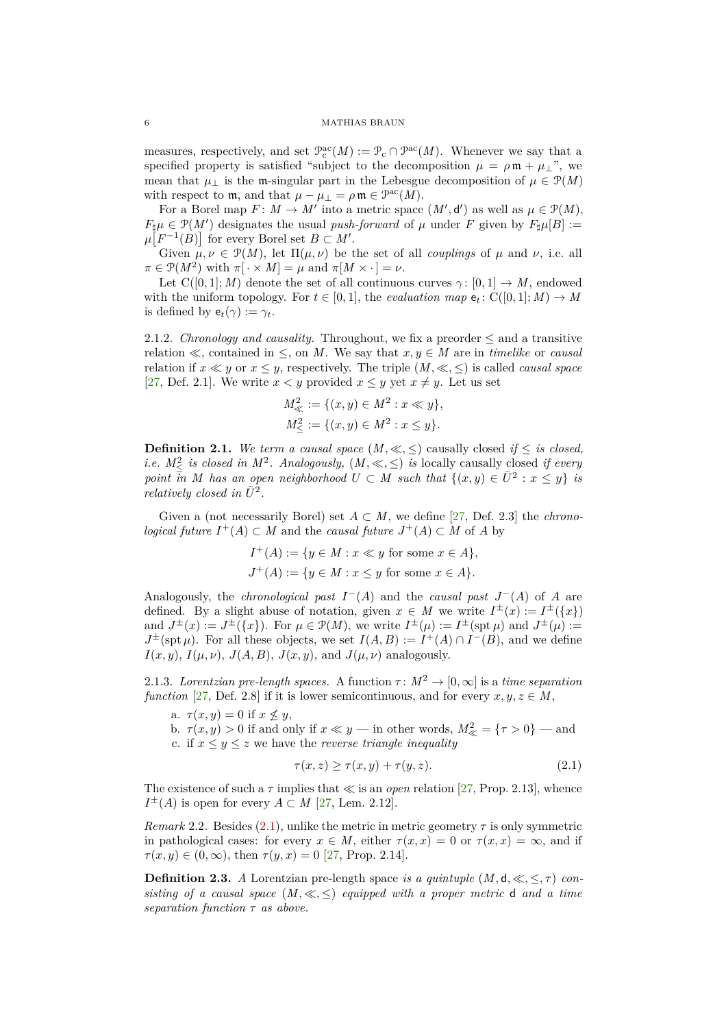measures, respectively, and set  $\mathcal{P}_c^{\rm ac}(M) := \mathcal{P}_c \cap \mathcal{P}^{\rm ac}(M)$ . Whenever we say that a specified property is satisfied "subject to the decomposition  $\mu = \rho \mathfrak{m} + \mu_{\perp}$ ", we mean that  $\mu_{\perp}$  is the m-singular part in the Lebesgue decomposition of  $\mu \in \mathcal{P}(M)$ with respect to **m**, and that  $\mu - \mu_{\perp} = \rho \mathfrak{m} \in \mathcal{P}^{\rm ac}(M)$ .

For a Borel map  $F: M \to M'$  into a metric space  $(M', d')$  as well as  $\mu \in \mathcal{P}(M)$ ,  $F_{\sharp}\mu \in \mathcal{P}(M')$  designates the usual *push-forward* of  $\mu$  under *F* given by  $F_{\sharp}\mu[B] :=$  $\mu\left[F^{-1}(B)\right]$  for every Borel set  $B \subset M'$ .

Given  $\mu, \nu \in \mathcal{P}(M)$ , let  $\Pi(\mu, \nu)$  be the set of all *couplings* of  $\mu$  and  $\nu$ , i.e. all  $\pi \in \mathcal{P}(M^2)$  with  $\pi[\cdot \times M] = \mu$  and  $\pi[M \times \cdot] = \nu$ .

Let  $C([0,1]; M)$  denote the set of all continuous curves  $\gamma: [0,1] \to M$ , endowed with the uniform topology. For  $t \in [0, 1]$ , the *evaluation map*  $e_t$ : C([0, 1]; *M*)  $\rightarrow$  *M* is defined by  $e_t(\gamma) := \gamma_t$ .

2.1.2. *Chronology and causality.* Throughout, we fix a preorder  $\leq$  and a transitive relation  $\ll$ , contained in  $\leq$ , on *M*. We say that  $x, y \in M$  are in *timelike* or *causal* relation if  $x \ll y$  or  $x \leq y$ , respectively. The triple  $(M, \ll, \leq)$  is called *causal space* [\[27,](#page-29-14) Def. 2.1]. We write  $x < y$  provided  $x \leq y$  yet  $x \neq y$ . Let us set

$$
M_{\ll}^{2} := \{ (x, y) \in M^{2} : x \ll y \},
$$
  

$$
M_{\leq}^{2} := \{ (x, y) \in M^{2} : x \leq y \}.
$$

**Definition 2.1.** *We term a causal space*  $(M, \ll, \leq)$  causally closed *if*  $\leq$  *is closed, i.e.*  $M^2_{\leq}$  *is closed in*  $M^2$ *. Analogously,*  $(M, \ll, \leq)$  *is* locally causally closed *if every point*  $\overline{in}$  *M* has an open neighborhood  $U \subset M$  such that  $\{(x, y) \in \overline{U}^2 : x \leq y\}$  is *relatively closed in*  $\overline{U}^2$ .

Given a (not necessarily Borel) set  $A \subset M$ , we define [\[27,](#page-29-14) Def. 2.3] the *chronological future*  $I^+(A) \subset M$  and the *causal future*  $J^+(A) \subset M$  of *A* by

$$
I^+(A) := \{ y \in M : x \ll y \text{ for some } x \in A \},
$$
  

$$
J^+(A) := \{ y \in M : x \le y \text{ for some } x \in A \}.
$$

Analogously, the *chronological past*  $I^-(A)$  and the *causal past*  $J^-(A)$  of A are defined. By a slight abuse of notation, given  $x \in M$  we write  $I^{\pm}(x) := I^{\pm}(\lbrace x \rbrace)$ and  $J^{\pm}(x) := J^{\pm}(\{x\})$ . For  $\mu \in \mathcal{P}(M)$ , we write  $I^{\pm}(\mu) := I^{\pm}(\text{spt } \mu)$  and  $J^{\pm}(\mu) :=$  $J^{\pm}(\text{spt }\mu)$ . For all these objects, we set  $I(A, B) := I^+(A) \cap I^-(B)$ , and we define  $I(x, y)$ ,  $I(\mu, \nu)$ ,  $J(A, B)$ ,  $J(x, y)$ , and  $J(\mu, \nu)$  analogously.

2.1.3. *Lorentzian pre-length spaces.* A function  $\tau : M^2 \to [0, \infty]$  is a *time separation function* [\[27,](#page-29-14) Def. 2.8] if it is lower semicontinuous, and for every  $x, y, z \in M$ ,

a.  $\tau(x, y) = 0$  if  $x \nleq y$ ,

b.  $\tau(x, y) > 0$  if and only if  $x \ll y$  — in other words,  $M_{\ll}^2 = \{\tau > 0\}$  — and c. if  $x \leq y \leq z$  we have the *reverse triangle inequality* 

<span id="page-5-1"></span>
$$
\tau(x, z) \ge \tau(x, y) + \tau(y, z). \tag{2.1}
$$

The existence of such a  $\tau$  implies that  $\ll$  is an *open* relation [\[27,](#page-29-14) Prop. 2.13], whence  $I^{\pm}(A)$  is open for every  $A \subset M$  [\[27,](#page-29-14) Lem. 2.12].

<span id="page-5-0"></span>*Remark* 2.2. Besides [\(2.1\)](#page-5-1), unlike the metric in metric geometry  $\tau$  is only symmetric in pathological cases: for every  $x \in M$ , either  $\tau(x, x) = 0$  or  $\tau(x, x) = \infty$ , and if  $\tau(x, y) \in (0, \infty)$ , then  $\tau(y, x) = 0$  [\[27,](#page-29-14) Prop. 2.14].

**Definition 2.3.** *A* Lorentzian pre-length space *is a quintuple*  $(M, d, \ll, \leq, \tau)$  *consisting of a causal space*  $(M, \ll, \leq)$  *equipped with a proper metric* d *and a time separation function τ as above.*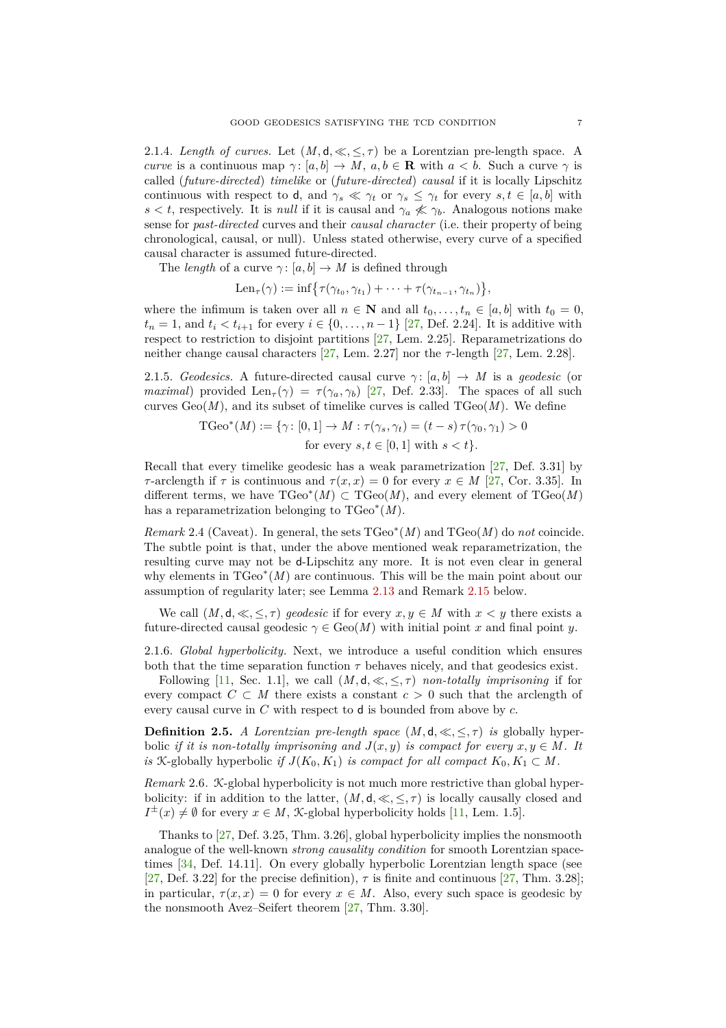2.1.4. *Length of curves.* Let  $(M, d, \ll, \leq, \tau)$  be a Lorentzian pre-length space. A *curve* is a continuous map  $\gamma: [a, b] \to M$ ,  $a, b \in \mathbf{R}$  with  $a < b$ . Such a curve  $\gamma$  is called (*future-directed*) *timelike* or (*future-directed*) *causal* if it is locally Lipschitz continuous with respect to d, and  $\gamma_s \ll \gamma_t$  or  $\gamma_s \leq \gamma_t$  for every  $s, t \in [a, b]$  with *s*  $\lt t$ , respectively. It is *null* if it is causal and  $\gamma_a \nless \gamma_b$ . Analogous notions make sense for *past-directed* curves and their *causal character* (i.e. their property of being chronological, causal, or null). Unless stated otherwise, every curve of a specified causal character is assumed future-directed.

The *length* of a curve  $\gamma$ : [a, b]  $\rightarrow$  *M* is defined through

$$
\operatorname{Len}_{\tau}(\gamma) := \inf \bigl\{ \tau(\gamma_{t_0}, \gamma_{t_1}) + \cdots + \tau(\gamma_{t_{n-1}}, \gamma_{t_n}) \bigr\},
$$

where the infimum is taken over all  $n \in \mathbb{N}$  and all  $t_0, \ldots, t_n \in [a, b]$  with  $t_0 = 0$ , *t*<sub>*n*</sub> = 1, and *t*<sub>*i*</sub> < *t*<sub>*i*+1</sub> for every *i* ∈ {0, . . . , *n* − 1} [\[27,](#page-29-14) Def. 2.24]. It is additive with respect to restriction to disjoint partitions [\[27,](#page-29-14) Lem. 2.25]. Reparametrizations do neither change causal characters [\[27,](#page-29-14) Lem. 2.27] nor the *τ*-length [\[27,](#page-29-14) Lem. 2.28].

<span id="page-6-0"></span>2.1.5. *Geodesics.* A future-directed causal curve  $\gamma$ : [a, b]  $\rightarrow$  *M* is a *geodesic* (or *maximal*) provided Len<sub>*τ*</sub>( $\gamma$ ) = *τ*( $\gamma$ *a,* $\gamma$ *b*) [\[27,](#page-29-14) Def. 2.33]. The spaces of all such curves  $Geo(M)$ , and its subset of timelike curves is called  $TGeo(M)$ . We define

$$
\text{TCeo}^*(M) := \{ \gamma \colon [0,1] \to M : \tau(\gamma_s, \gamma_t) = (t-s)\,\tau(\gamma_0, \gamma_1) > 0
$$
\n
$$
\text{for every } s, t \in [0,1] \text{ with } s < t \}.
$$

Recall that every timelike geodesic has a weak parametrization [\[27,](#page-29-14) Def. 3.31] by *τ*-arclength if *τ* is continuous and  $\tau(x, x) = 0$  for every  $x \in M$  [\[27,](#page-29-14) Cor. 3.35]. In different terms, we have  $T\text{Geo}^*(M) \subset T\text{Geo}(M)$ , and every element of  $T\text{Geo}(M)$ has a reparametrization belonging to TGeo<sup>∗</sup> (*M*).

*Remark* 2.4 (Caveat). In general, the sets  $T\text{Geo}^*(M)$  and  $T\text{Geo}(M)$  do *not* coincide. The subtle point is that, under the above mentioned weak reparametrization, the resulting curve may not be d-Lipschitz any more. It is not even clear in general why elements in TGeo<sup>∗</sup> (*M*) are continuous. This will be the main point about our assumption of regularity later; see [Lemma](#page-9-2) 2.13 and [Remark](#page-9-1) 2.15 below.

We call  $(M, d, \ll, \leq, \tau)$  geodesic if for every  $x, y \in M$  with  $x \leq y$  there exists a future-directed causal geodesic  $\gamma \in \text{Geo}(M)$  with initial point *x* and final point *y*.

2.1.6. *Global hyperbolicity.* Next, we introduce a useful condition which ensures both that the time separation function  $\tau$  behaves nicely, and that geodesics exist.

Following [\[11,](#page-29-13) Sec. 1.1], we call  $(M, d, \ll, \leq, \tau)$  *non-totally imprisoning* if for every compact  $C \subset M$  there exists a constant  $c > 0$  such that the arclength of every causal curve in *C* with respect to d is bounded from above by *c*.

**Definition 2.5.** *A Lorentzian pre-length space*  $(M, d, \ll, \leq, \tau)$  *is* globally hyperbolic *if it is non-totally imprisoning and*  $J(x, y)$  *is compact for every*  $x, y \in M$ . It *is* K-globally hyperbolic *if*  $J(K_0, K_1)$  *is compact for all compact*  $K_0, K_1 \subset M$ .

*Remark* 2.6*.* K-global hyperbolicity is not much more restrictive than global hyperbolicity: if in addition to the latter,  $(M, d, \ll, \leq, \tau)$  is locally causally closed and  $I^{\pm}(x) \neq \emptyset$  for every  $x \in M$ , *K*-global hyperbolicity holds [\[11,](#page-29-13) Lem. 1.5].

Thanks to [\[27,](#page-29-14) Def. 3.25, Thm. 3.26], global hyperbolicity implies the nonsmooth analogue of the well-known *strong causality condition* for smooth Lorentzian spacetimes [\[34,](#page-29-18) Def. 14.11]. On every globally hyperbolic Lorentzian length space (see [\[27,](#page-29-14) Def. 3.22] for the precise definition),  $\tau$  is finite and continuous [\[27,](#page-29-14) Thm. 3.28]; in particular,  $\tau(x, x) = 0$  for every  $x \in M$ . Also, every such space is geodesic by the nonsmooth Avez–Seifert theorem [\[27,](#page-29-14) Thm. 3.30].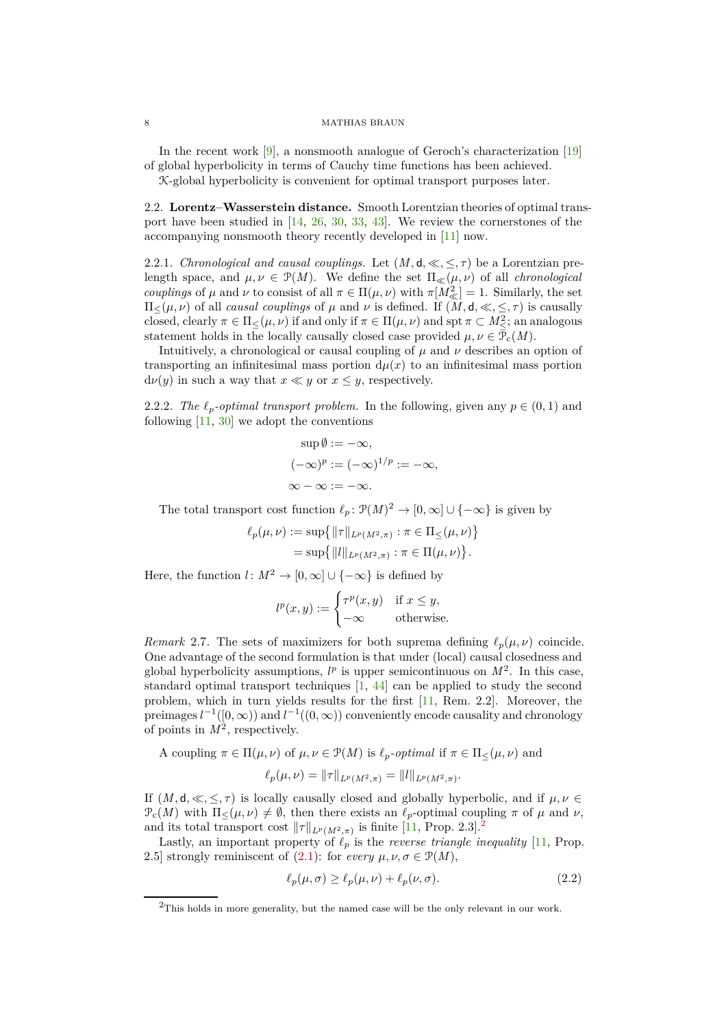In the recent work [\[9\]](#page-28-9), a nonsmooth analogue of Geroch's characterization [\[19\]](#page-29-28) of global hyperbolicity in terms of Cauchy time functions has been achieved.

<span id="page-7-0"></span>K-global hyperbolicity is convenient for optimal transport purposes later.

2.2. **Lorentz–Wasserstein distance.** Smooth Lorentzian theories of optimal transport have been studied in  $[14, 26, 30, 33, 43]$  $[14, 26, 30, 33, 43]$  $[14, 26, 30, 33, 43]$  $[14, 26, 30, 33, 43]$  $[14, 26, 30, 33, 43]$  $[14, 26, 30, 33, 43]$  $[14, 26, 30, 33, 43]$  $[14, 26, 30, 33, 43]$ . We review the cornerstones of the accompanying nonsmooth theory recently developed in [\[11\]](#page-29-13) now.

2.2.1. *Chronological and causal couplings.* Let  $(M, d, \ll, \leq, \tau)$  be a Lorentzian prelength space, and  $\mu, \nu \in \mathcal{P}(M)$ . We define the set  $\Pi_{\ll}(\mu, \nu)$  of all *chronological couplings* of  $\mu$  and  $\nu$  to consist of all  $\pi \in \Pi(\mu, \nu)$  with  $\pi[M_{\ll}^2] = 1$ . Similarly, the set  $\Pi_{\leq}(\mu, \nu)$  of all *causal couplings* of  $\mu$  and  $\nu$  is defined. If  $(M, d, \ll, \leq, \tau)$  is causally closed, clearly  $\pi \in \Pi_{\leq}(\mu, \nu)$  if and only if  $\pi \in \Pi(\mu, \nu)$  and spt  $\pi \subset M_{\leq}^2$ ; an analogous statement holds in the locally causally closed case provided  $\mu, \nu \in \bar{\mathcal{P}}_c(M)$ .

Intuitively, a chronological or causal coupling of  $\mu$  and  $\nu$  describes an option of transporting an infinitesimal mass portion  $d\mu(x)$  to an infinitesimal mass portion  $d\nu(y)$  in such a way that  $x \ll y$  or  $x \leq y$ , respectively.

2.2.2. *The*  $\ell_p$ -*optimal transport problem.* In the following, given any  $p \in (0,1)$  and following  $[11, 30]$  $[11, 30]$  we adopt the conventions

$$
\sup \emptyset := -\infty,
$$
  

$$
(-\infty)^p := (-\infty)^{1/p} := -\infty,
$$
  

$$
\infty - \infty := -\infty.
$$

The total transport cost function  $\ell_p : \mathcal{P}(M)^2 \to [0,\infty] \cup \{-\infty\}$  is given by

$$
\ell_p(\mu, \nu) := \sup \{ ||\tau||_{L^p(M^2, \pi)} : \pi \in \Pi_{\leq}(\mu, \nu) \}
$$
  
= 
$$
\sup \{ ||l||_{L^p(M^2, \pi)} : \pi \in \Pi(\mu, \nu) \}.
$$

Here, the function  $l: M^2 \to [0, \infty] \cup \{-\infty\}$  is defined by

$$
l^{p}(x, y) := \begin{cases} \tau^{p}(x, y) & \text{if } x \leq y, \\ -\infty & \text{otherwise.} \end{cases}
$$

*Remark* 2.7. The sets of maximizers for both suprema defining  $\ell_p(\mu, \nu)$  coincide. One advantage of the second formulation is that under (local) causal closedness and global hyperbolicity assumptions,  $l^p$  is upper semicontinuous on  $M^2$ . In this case, standard optimal transport techniques [\[1,](#page-28-10) [44\]](#page-30-3) can be applied to study the second problem, which in turn yields results for the first [\[11,](#page-29-13) Rem. 2.2]. Moreover, the preimages  $l^{-1}([0,\infty))$  and  $l^{-1}((0,\infty))$  conveniently encode causality and chronology of points in  $M^2$ , respectively.

A coupling 
$$
\pi \in \Pi(\mu, \nu)
$$
 of  $\mu, \nu \in \mathcal{P}(M)$  is  $\ell_p$ -optimal if  $\pi \in \Pi_{\leq}(\mu, \nu)$  and

$$
\ell_p(\mu,\nu)=\|\tau\|_{L^p(M^2,\pi)}=\|l\|_{L^p(M^2,\pi)}.
$$

If  $(M, \mathsf{d}, \ll, \leq, \tau)$  is locally causally closed and globally hyperbolic, and if  $\mu, \nu \in$  $\mathcal{P}_c(M)$  with  $\Pi_<(\mu,\nu) \neq \emptyset$ , then there exists an  $\ell_p$ -optimal coupling  $\pi$  of  $\mu$  and  $\nu$ , and its total transport cost  $\|\tau\|_{L^p(M^2,\pi)}$  $\|\tau\|_{L^p(M^2,\pi)}$  $\|\tau\|_{L^p(M^2,\pi)}$  is finite [\[11,](#page-29-13) Prop. 2.3].<sup>2</sup>

Lastly, an important property of  $\ell_p$  is the *reverse triangle inequality* [\[11,](#page-29-13) Prop. 2.5] strongly reminiscent of  $(2.1)$ : for *every*  $\mu, \nu, \sigma \in \mathcal{P}(M)$ ,

<span id="page-7-2"></span>
$$
\ell_p(\mu,\sigma) \ge \ell_p(\mu,\nu) + \ell_p(\nu,\sigma). \tag{2.2}
$$

<span id="page-7-1"></span><sup>2</sup>This holds in more generality, but the named case will be the only relevant in our work.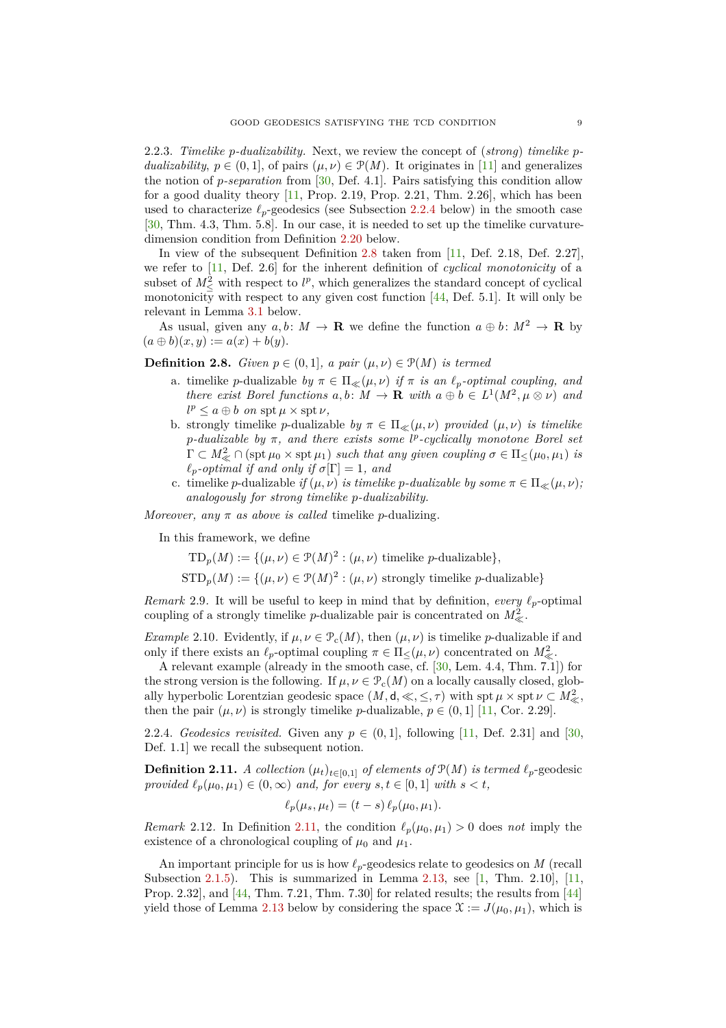2.2.3. *Timelike p-dualizability.* Next, we review the concept of (*strong*) *timelike pdualizability*,  $p \in (0,1]$ , of pairs  $(\mu, \nu) \in \mathcal{P}(M)$ . It originates in [\[11\]](#page-29-13) and generalizes the notion of *p-separation* from [\[30,](#page-29-17) Def. 4.1]. Pairs satisfying this condition allow for a good duality theory  $[11,$  Prop. 2.19, Prop. 2.21, Thm. 2.26, which has been used to characterize  $\ell_p$ -geodesics (see [Subsection](#page-8-1) 2.2.4 below) in the smooth case [\[30,](#page-29-17) Thm. 4.3, Thm. 5.8]. In our case, it is needed to set up the timelike curvaturedimension condition from [Definition](#page-10-1) 2.20 below.

In view of the subsequent [Definition](#page-8-0) 2.8 taken from [\[11,](#page-29-13) Def. 2.18, Def. 2.27], we refer to [\[11,](#page-29-13) Def. 2.6] for the inherent definition of *cyclical monotonicity* of a subset of  $M^2_{\leq}$  with respect to  $l^p$ , which generalizes the standard concept of cyclical monotonicity with respect to any given cost function  $[44,$  Def. 5.1]. It will only be relevant in [Lemma](#page-11-2) 3.1 below.

As usual, given any  $a, b \colon M \to \mathbf{R}$  we define the function  $a \oplus b \colon M^2 \to \mathbf{R}$  by  $(a \oplus b)(x, y) := a(x) + b(y).$ 

<span id="page-8-0"></span>**Definition 2.8.** *Given*  $p \in (0,1]$ *, a pair*  $(\mu, \nu) \in \mathcal{P}(M)$  *is termed* 

- a. timelike *p*-dualizable *by*  $\pi \in \Pi_{\ll}( \mu, \nu )$  *if*  $\pi$  *is an*  $\ell_p$ -*optimal coupling, and there exist Borel functions*  $a, b: M \to \mathbf{R}$  *with*  $a \oplus b \in L^1(M^2, \mu \otimes \nu)$  *and*  $l^p \leq a \oplus b$  *on* spt  $\mu \times \text{spt} \nu$ *,*
- b. strongly timelike *p*-dualizable *by*  $\pi \in \Pi_{\ll}( \mu, \nu )$  *provided*  $( \mu, \nu )$  *is timelike p-dualizable by π, and there exists some l p -cyclically monotone Borel set*  $\Gamma \subset M^2_{\ll} \cap (\text{spt } \mu_0 \times \text{spt } \mu_1)$  *such that any given coupling*  $\sigma \in \Pi_{\leq}(\mu_0, \mu_1)$  *is*  $\ell_p$ -*optimal if and only if*  $\sigma[\Gamma] = 1$ *, and*
- c. timelike *p*-dualizable *if*  $(\mu, \nu)$  *is timelike p-dualizable by some*  $\pi \in \Pi_{\ll}(\mu, \nu)$ ; *analogously for strong timelike p-dualizability.*

*Moreover, any*  $\pi$  *as above is called* timelike *p*-dualizing.

In this framework, we define

 $\text{TD}_p(M) := \{(\mu, \nu) \in \mathcal{P}(M)^2 : (\mu, \nu) \text{ timelike } p\text{-dualizable}\},\$ 

 $\text{STD}_p(M) := \{(\mu, \nu) \in \mathcal{P}(M)^2 : (\mu, \nu) \text{ strongly timelike } p\text{-dualizable}\}\$ 

<span id="page-8-3"></span>*Remark* 2.9. It will be useful to keep in mind that by definition, *every*  $\ell_p$ -optimal coupling of a strongly timelike *p*-dualizable pair is concentrated on  $M^2_{\ll}$ .

<span id="page-8-5"></span>*Example* 2.10. Evidently, if  $\mu, \nu \in \mathcal{P}_c(M)$ , then  $(\mu, \nu)$  is timelike *p*-dualizable if and only if there exists an  $\ell_p$ -optimal coupling  $\pi \in \Pi_{\leq}(\mu, \nu)$  concentrated on  $M_{\leq}^2$ .

A relevant example (already in the smooth case, cf. [\[30,](#page-29-17) Lem. 4.4, Thm. 7.1]) for the strong version is the following. If  $\mu, \nu \in \mathcal{P}_c(M)$  on a locally causally closed, globally hyperbolic Lorentzian geodesic space  $(M, d, \ll, \leq, \tau)$  with spt  $\mu \times$  spt  $\nu \subset M^2_{\ll}$ , then the pair  $(\mu, \nu)$  is strongly timelike *p*-dualizable,  $p \in (0, 1]$  [\[11,](#page-29-13) Cor. 2.29].

<span id="page-8-1"></span>2.2.4. *Geodesics revisited.* Given any  $p \in (0,1]$ , following [\[11,](#page-29-13) Def. 2.31] and [\[30,](#page-29-17) Def. 1.1] we recall the subsequent notion.

<span id="page-8-2"></span>**Definition 2.11.** *A collection*  $(\mu_t)_{t \in [0,1]}$  *of elements of*  $\mathcal{P}(M)$  *is termed*  $\ell_p$ -geodesic *provided*  $\ell_p(\mu_0, \mu_1) \in (0, \infty)$  *and, for every*  $s, t \in [0, 1]$  *with*  $s < t$ ,

$$
\ell_p(\mu_s, \mu_t) = (t-s) \ell_p(\mu_0, \mu_1).
$$

<span id="page-8-4"></span>*Remark* 2.12*.* In [Definition](#page-8-2) 2.11, the condition  $\ell_p(\mu_0, \mu_1) > 0$  does *not* imply the existence of a chronological coupling of  $\mu_0$  and  $\mu_1$ .

An important principle for us is how *ℓp*-geodesics relate to geodesics on *M* (recall [Subsection](#page-6-0) 2.1.5). This is summarized in [Lemma](#page-9-2) 2.13, see  $[1, Thm. 2.10]$ ,  $[11,$ Prop. 2.32], and [\[44,](#page-30-3) Thm. 7.21, Thm. 7.30] for related results; the results from [\[44\]](#page-30-3) yield those of [Lemma](#page-9-2) 2.13 below by considering the space  $\mathcal{X} := J(\mu_0, \mu_1)$ , which is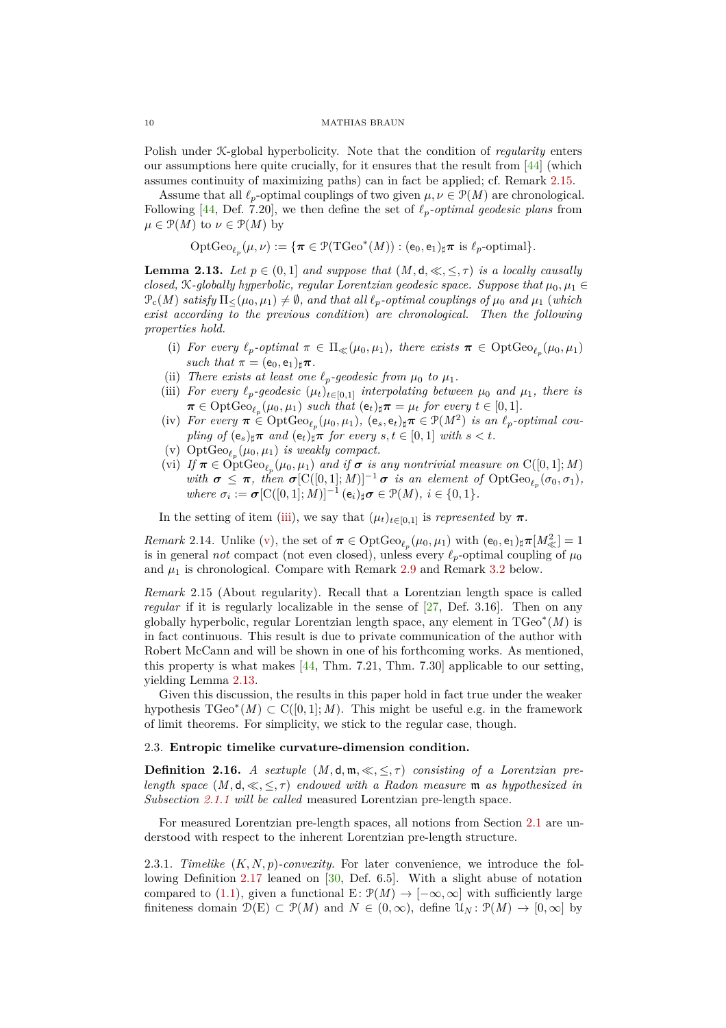Polish under K-global hyperbolicity. Note that the condition of *regularity* enters our assumptions here quite crucially, for it ensures that the result from [\[44\]](#page-30-3) (which assumes continuity of maximizing paths) can in fact be applied; cf. [Remark](#page-9-1) 2.15.

Assume that all  $\ell_p$ -optimal couplings of two given  $\mu, \nu \in \mathcal{P}(M)$  are chronological. Following [\[44,](#page-30-3) Def. 7.20], we then define the set of  $\ell_p$ -optimal geodesic plans from  $\mu \in \mathcal{P}(M)$  to  $\nu \in \mathcal{P}(M)$  by

$$
\mathrm{OptGeo}_{\ell_p}(\mu,\nu) := \{\pi \in \mathcal{P}(\mathrm{TGeo}^*(M)) : (\mathsf{e}_0,\mathsf{e}_1)_\sharp \pi \text{ is } \ell_p\text{-optimal}\}.
$$

<span id="page-9-2"></span>**Lemma 2.13.** Let  $p \in (0,1]$  and suppose that  $(M, d, \ll, \leq, \tau)$  is a locally causally *closed,*  $K$ -globally hyperbolic, regular Lorentzian geodesic space. Suppose that  $\mu_0, \mu_1 \in$  $\mathcal{P}_c(M)$  *satisfy*  $\Pi_<(\mu_0, \mu_1) \neq \emptyset$ *, and that all*  $\ell_p$ *-optimal couplings of*  $\mu_0$  *and*  $\mu_1$  (*which exist according to the previous condition*) *are chronological. Then the following properties hold.*

- (i) *For every*  $\ell_p$ -*optimal*  $\pi \in \Pi_{\ll}(\mu_0, \mu_1)$ *, there exists*  $\pi \in \text{OptGeo}_{\ell_p}(\mu_0, \mu_1)$ *such that*  $\pi = (e_0, e_1)_\sharp \pi$ .
- <span id="page-9-3"></span>(ii) *There exists at least one*  $\ell_p$ *-geodesic from*  $\mu_0$  *to*  $\mu_1$ *.*
- (iii) *For every*  $\ell_p$ -geodesic  $(\mu_t)_{t \in [0,1]}$  *interpolating between*  $\mu_0$  *and*  $\mu_1$ *, there is*  $\pi \in \text{OptGeo}_{\ell_p}(\mu_0, \mu_1) \text{ such that } (\mathbf{e}_t)_\sharp \pi = \mu_t \text{ for every } t \in [0, 1].$
- $(iv)$  *For every*  $\pi \in \text{OptGeo}_{\ell_p}(\mu_0, \mu_1), (e_s, e_t)_\sharp \pi \in \mathcal{P}(M^2)$  *is an*  $\ell_p$ *-optimal coupling of*  $(e_s)_\sharp \pi$  *and*  $(e_t)_\sharp \pi$  *for every*  $s, t \in [0, 1]$  *with*  $s < t$ *.*
- <span id="page-9-4"></span>(v)  $OptGeo_{\ell_p}(\mu_0, \mu_1)$  *is weakly compact.*
- (vi) *If*  $\pi \in \text{OptGeo}_{\ell_p}(\mu_0, \mu_1)$  *and if*  $\sigma$  *is any nontrivial measure on* C([0, 1]; *M*) *with*  $\sigma \leq \pi$ , then  $\sigma[\mathrm{C}([0,1];M)]^{-1}\sigma$  *is an element of*  $\mathrm{OptGeo}_{\ell_p}(\sigma_0,\sigma_1)$ *,*  $where \ \sigma_i := \sigma[\mathrm{C}([0,1];\tilde{M})]^{-1}$  $(e_i)_\sharp \sigma \in \mathcal{P}(M), i \in \{0,1\}.$

In the setting of item [\(iii\),](#page-9-3) we say that  $(\mu_t)_{t \in [0,1]}$  is *represented* by  $\pi$ .

*Remark* 2.14*.* Unlike [\(v\),](#page-9-4) the set of  $\pi \in \text{OptGeo}_{\ell_p}(\mu_0, \mu_1)$  with  $(e_0, e_1)_\sharp \pi[M_\ll^2] = 1$ is in general *not* compact (not even closed), unless every  $\ell_p$ -optimal coupling of  $\mu_0$ and  $\mu_1$  is chronological. Compare with [Remark](#page-12-1) 2.9 and Remark 3.2 below.

<span id="page-9-1"></span>*Remark* 2.15 (About regularity)*.* Recall that a Lorentzian length space is called *regular* if it is regularly localizable in the sense of [\[27,](#page-29-14) Def. 3.16]. Then on any globally hyperbolic, regular Lorentzian length space, any element in TGeo<sup>∗</sup> (*M*) is in fact continuous. This result is due to private communication of the author with Robert McCann and will be shown in one of his forthcoming works. As mentioned, this property is what makes  $[44, Thm. 7.21, Thm. 7.30]$  applicable to our setting, yielding [Lemma](#page-9-2) 2.13.

Given this discussion, the results in this paper hold in fact true under the weaker hypothesis TGeo<sup>∗</sup> (*M*) ⊂ C([0*,* 1]; *M*). This might be useful e.g. in the framework of limit theorems. For simplicity, we stick to the regular case, though.

## <span id="page-9-0"></span>2.3. **Entropic timelike curvature-dimension condition.**

**Definition 2.16.** *A sextuple*  $(M, \mathsf{d}, \mathfrak{m}, \ll, \leq, \tau)$  *consisting of a Lorentzian prelength space*  $(M, \mathsf{d}, \ll, \leq, \tau)$  *endowed with a Radon measure* m *as hypothesized in [Subsection](#page-4-3) 2.1.1 will be called* measured Lorentzian pre-length space*.*

For measured Lorentzian pre-length spaces, all notions from [Section](#page-4-1) 2.1 are understood with respect to the inherent Lorentzian pre-length structure.

2.3.1. *Timelike* (*K, N, p*)*-convexity.* For later convenience, we introduce the following [Definition](#page-10-0) 2.17 leaned on [\[30,](#page-29-17) Def. 6.5]. With a slight abuse of notation compared to [\(1.1\)](#page-1-1), given a functional E:  $\mathcal{P}(M) \to [-\infty, \infty]$  with sufficiently large finiteness domain  $\mathcal{D}(E) \subset \mathcal{P}(M)$  and  $N \in (0,\infty)$ , define  $\mathcal{U}_N : \mathcal{P}(M) \to [0,\infty]$  by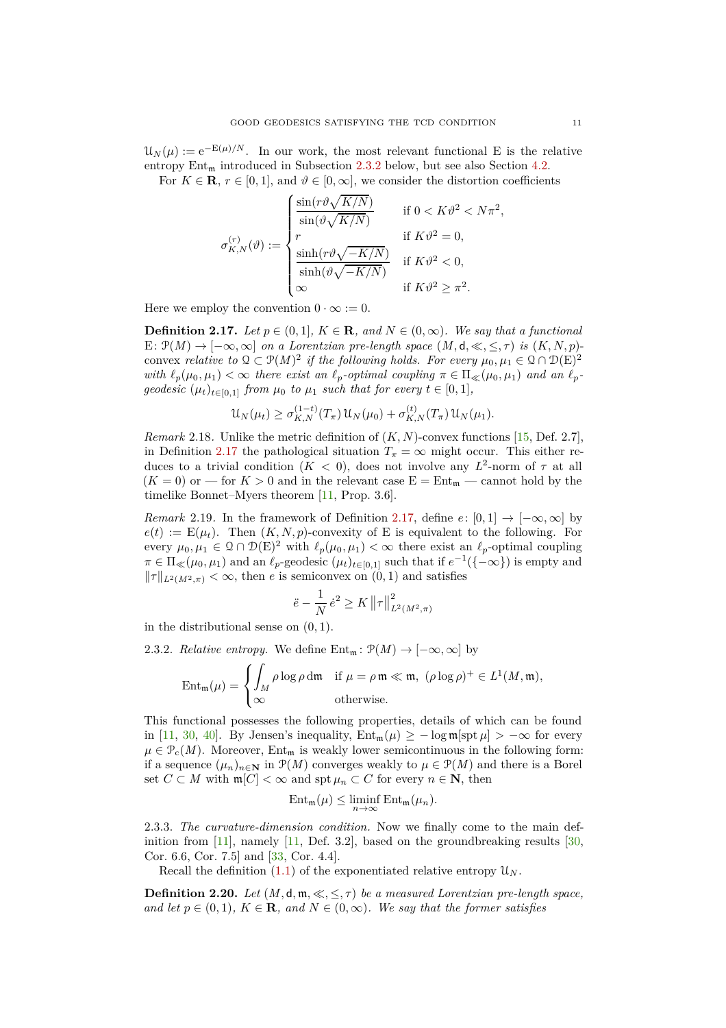$\mathcal{U}_N(\mu) := e^{-E(\mu)/N}$ . In our work, the most relevant functional E is the relative entropy  $Ent_{m}$  introduced in [Subsection](#page-10-2) 2.3.2 below, but see also [Section](#page-26-0) 4.2.

For  $K \in \mathbf{R}$ ,  $r \in [0, 1]$ , and  $\vartheta \in [0, \infty]$ , we consider the distortion coefficients

$$
\sigma_{K,N}^{(r)}(\vartheta) := \begin{cases}\n\frac{\sin(r\vartheta\sqrt{K/N})}{\sin(\vartheta\sqrt{K/N})} & \text{if } 0 < K\vartheta^2 < N\pi^2, \\
r & \text{if } K\vartheta^2 = 0, \\
\frac{\sinh(r\vartheta\sqrt{-K/N})}{\sinh(\vartheta\sqrt{-K/N})} & \text{if } K\vartheta^2 < 0, \\
\infty & \text{if } K\vartheta^2 \ge \pi^2.\n\end{cases}
$$

Here we employ the convention  $0 \cdot \infty := 0$ .

<span id="page-10-0"></span>**Definition 2.17.** *Let*  $p \in (0,1]$ *,*  $K \in \mathbb{R}$ *, and*  $N \in (0,\infty)$ *. We say that a functional* E:  $\mathcal{P}(M) \to [-\infty, \infty]$  *on a Lorentzian pre-length space*  $(M, d, \ll, \leq, \tau)$  *is*  $(K, N, p)$ convex *relative to*  $Q \subset \mathcal{P}(M)^2$  *if the following holds. For every*  $\mu_0, \mu_1 \in Q \cap \mathcal{D}(E)^2$ *with*  $\ell_p(\mu_0, \mu_1) < \infty$  *there exist an*  $\ell_p$ -*optimal coupling*  $\pi \in \Pi_{\ll}(\mu_0, \mu_1)$  *and an*  $\ell_p$ *geodesic*  $(\mu_t)_{t \in [0,1]}$  *from*  $\mu_0$  *to*  $\mu_1$  *such that for every*  $t \in [0,1]$ *,* 

$$
\mathcal{U}_N(\mu_t) \ge \sigma_{K,N}^{(1-t)}(T_\pi) \mathcal{U}_N(\mu_0) + \sigma_{K,N}^{(t)}(T_\pi) \mathcal{U}_N(\mu_1).
$$

*Remark* 2.18. Unlike the metric definition of  $(K, N)$ -convex functions [\[15,](#page-29-3) Def. 2.7], in [Definition](#page-10-0) 2.17 the pathological situation  $T_{\pi} = \infty$  might occur. This either reduces to a trivial condition  $(K < 0)$ , does not involve any  $L^2$ -norm of  $\tau$  at all  $(K = 0)$  or — for  $K > 0$  and in the relevant case  $E = Ent_m$  — cannot hold by the timelike Bonnet–Myers theorem [\[11,](#page-29-13) Prop. 3.6].

*Remark* 2.19*.* In the framework of [Definition](#page-10-0) 2.17, define  $e: [0,1] \rightarrow [-\infty,\infty]$  by  $e(t) := \mathbb{E}(\mu_t)$ . Then  $(K, N, p)$ -convexity of E is equivalent to the following. For every  $\mu_0, \mu_1 \in \Omega \cap \mathcal{D}(E)^2$  with  $\ell_p(\mu_0, \mu_1) < \infty$  there exist an  $\ell_p$ -optimal coupling  $\pi \in \Pi_{\ll}(\mu_0, \mu_1)$  and an  $\ell_p$ -geodesic  $(\mu_t)_{t \in [0,1]}$  such that if  $e^{-1}(\{-\infty\})$  is empty and  $\|\tau\|_{L^2(M^2,\pi)} < \infty$ , then *e* is semiconvex on  $(0,1)$  and satisfies

$$
\ddot{e} - \frac{1}{N} \dot{e}^2 \ge K \left\| \tau \right\|_{L^2(M^2, \pi)}^2
$$

<span id="page-10-2"></span>in the distributional sense on (0*,* 1).

2.3.2. *Relative entropy.* We define  $Ent_m: \mathcal{P}(M) \to [-\infty, \infty]$  by

$$
\operatorname{Ent}_{\mathfrak{m}}(\mu) = \begin{cases} \int_M \rho \log \rho \, \mathrm{d}\mathfrak{m} & \text{if } \mu = \rho \mathfrak{m} \ll \mathfrak{m}, \ (\rho \log \rho)^+ \in L^1(M, \mathfrak{m}), \\ \infty & \text{otherwise.} \end{cases}
$$

This functional possesses the following properties, details of which can be found in [\[11,](#page-29-13) [30,](#page-29-17) [40\]](#page-29-0). By Jensen's inequality,  $Ent_{m}(\mu) \ge -\log m[\text{spt } \mu] > -\infty$  for every  $\mu \in \mathcal{P}_{c}(M)$ . Moreover, Ent<sub>m</sub> is weakly lower semicontinuous in the following form: if a sequence  $(\mu_n)_{n \in \mathbb{N}}$  in  $\mathcal{P}(M)$  converges weakly to  $\mu \in \mathcal{P}(M)$  and there is a Borel set *C* ⊂ *M* with  $\mathfrak{m}[C] < \infty$  and  $\operatorname{spt} \mu_n \subset C$  for every  $n \in \mathbb{N}$ , then

$$
\mathrm{Ent}_{\mathfrak{m}}(\mu) \leq \liminf_{n \to \infty} \mathrm{Ent}_{\mathfrak{m}}(\mu_n).
$$

2.3.3. *The curvature-dimension condition.* Now we finally come to the main definition from  $[11]$ , namely  $[11]$ , Def. 3.2, based on the groundbreaking results  $[30]$ , Cor. 6.6, Cor. 7.5] and [\[33,](#page-29-21) Cor. 4.4].

Recall the definition  $(1.1)$  of the exponentiated relative entropy  $\mathfrak{U}_N$ .

<span id="page-10-1"></span>**Definition 2.20.** *Let*  $(M, \mathsf{d}, \mathfrak{m}, \ll, \leq, \tau)$  *be a measured Lorentzian pre-length space, and let*  $p \in (0,1)$ *,*  $K \in \mathbf{R}$ *, and*  $N \in (0,\infty)$ *. We say that the former satisfies*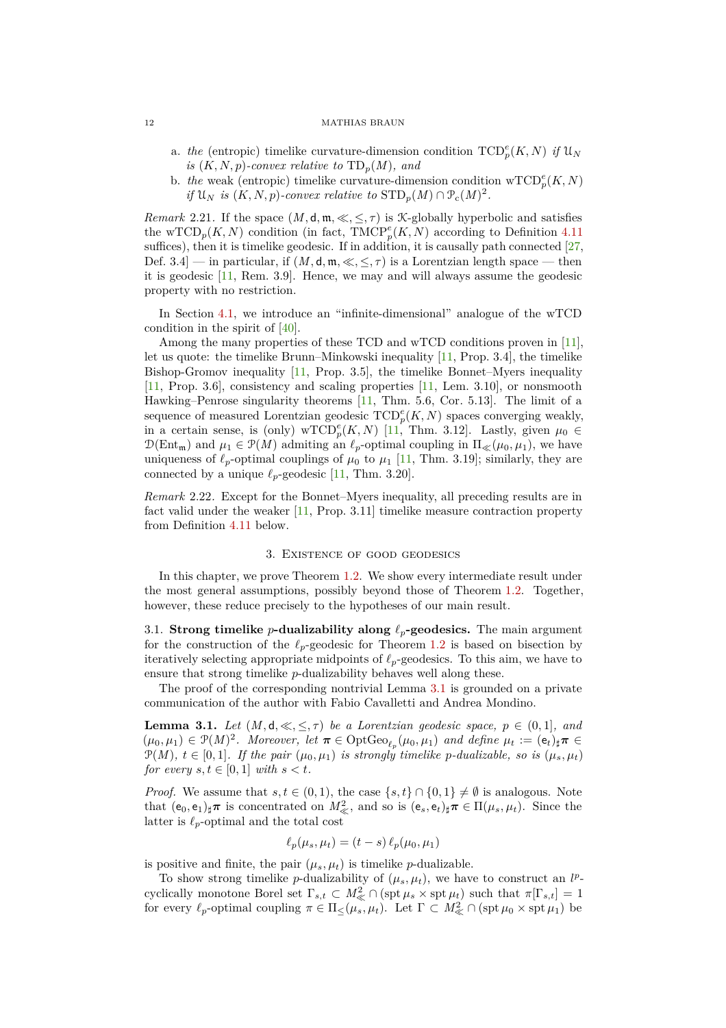- a. *the* (entropic) timelike curvature-dimension condition  $\text{TCD}_p^e(K, N)$  *if*  $\mathfrak{U}_N$ *is*  $(K, N, p)$ -convex relative to  $TD_p(M)$ , and
- b. *the* weak (entropic) timelike curvature-dimension condition  $\mathrm{wTCD}_p^e(K, N)$ *if*  $\mathfrak{U}_N$  *is*  $(K, N, p)$ *-convex relative to*  $\text{STD}_p(M) \cap \mathcal{P}_c(M)^2$ *.*

*Remark* 2.21. If the space  $(M, \mathsf{d}, \mathfrak{m}, \ll, \leq, \tau)$  is *K*-globally hyperbolic and satisfies the wTCD<sub>p</sub>(*K, N*) condition (in fact, TMCP<sup>e</sup><sub>p</sub>(*K, N*) according to [Definition](#page-27-2) 4.11 suffices), then it is timelike geodesic. If in addition, it is causally path connected  $[27,$ Def. 3.4] — in particular, if  $(M, d, \mathfrak{m}, \ll, \leq, \tau)$  is a Lorentzian length space — then it is geodesic [\[11,](#page-29-13) Rem. 3.9]. Hence, we may and will always assume the geodesic property with no restriction.

In [Section](#page-23-0) 4.1, we introduce an "infinite-dimensional" analogue of the wTCD condition in the spirit of [\[40\]](#page-29-0).

Among the many properties of these TCD and wTCD conditions proven in [\[11\]](#page-29-13), let us quote: the timelike Brunn–Minkowski inequality [\[11,](#page-29-13) Prop. 3.4], the timelike Bishop-Gromov inequality [\[11,](#page-29-13) Prop. 3.5], the timelike Bonnet–Myers inequality [\[11,](#page-29-13) Prop. 3.6], consistency and scaling properties [\[11,](#page-29-13) Lem. 3.10], or nonsmooth Hawking–Penrose singularity theorems [\[11,](#page-29-13) Thm. 5.6, Cor. 5.13]. The limit of a sequence of measured Lorentzian geodesic  $TCD_p^e(K, N)$  spaces converging weakly, in a certain sense, is (only) wTCD<sup>e</sup><sub>p</sub>(K, N) [\[11,](#page-29-13) Thm. 3.12]. Lastly, given  $\mu_0 \in$  $\mathcal{D}(\text{Ent}_{\mathfrak{m}})$  and  $\mu_1 \in \mathcal{P}(M)$  admiting an  $\ell_p$ -optimal coupling in  $\Pi_{\ll}(\mu_0, \mu_1)$ , we have uniqueness of  $\ell_p$ -optimal couplings of  $\mu_0$  to  $\mu_1$  [\[11,](#page-29-13) Thm. 3.19]; similarly, they are connected by a unique  $\ell_p$ -geodesic [\[11,](#page-29-13) Thm. 3.20].

*Remark* 2.22*.* Except for the Bonnet–Myers inequality, all preceding results are in fact valid under the weaker [\[11,](#page-29-13) Prop. 3.11] timelike measure contraction property from [Definition](#page-27-2) 4.11 below.

# 3. Existence of good geodesics

<span id="page-11-0"></span>In this chapter, we prove [Theorem](#page-2-0) 1.2. We show every intermediate result under the most general assumptions, possibly beyond those of [Theorem](#page-2-0) 1.2. Together, however, these reduce precisely to the hypotheses of our main result.

<span id="page-11-1"></span>3.1. **Strong timelike** *p***-dualizability along** *ℓp***-geodesics.** The main argument for the construction of the  $\ell_p$ -geodesic for [Theorem](#page-2-0) 1.2 is based on bisection by iteratively selecting appropriate midpoints of *ℓp*-geodesics. To this aim, we have to ensure that strong timelike *p*-dualizability behaves well along these.

The proof of the corresponding nontrivial [Lemma](#page-11-2) 3.1 is grounded on a private communication of the author with Fabio Cavalletti and Andrea Mondino.

<span id="page-11-2"></span>**Lemma 3.1.** *Let*  $(M, d, \ll, \leq, \tau)$  *be a Lorentzian geodesic space,*  $p \in (0, 1]$ *, and*  $(\mu_0, \mu_1) \in \mathcal{P}(M)^2$ . Moreover, let  $\pi \in \mathrm{OptGeo}_{\ell_p}(\mu_0, \mu_1)$  and define  $\mu_t := (\mathbf{e}_t)_\sharp \pi \in$  $\mathcal{P}(M)$ *,*  $t \in [0,1]$ *. If the pair*  $(\mu_0, \mu_1)$  *is strongly timelike p-dualizable, so is*  $(\mu_s, \mu_t)$ *for every*  $s, t \in [0, 1]$  *with*  $s < t$ *.* 

*Proof.* We assume that  $s, t \in (0, 1)$ , the case  $\{s, t\} \cap \{0, 1\} \neq \emptyset$  is analogous. Note that  $(e_0, e_1)_\sharp \pi$  is concentrated on  $M^2_{\ll}$ , and so is  $(e_s, e_t)_\sharp \pi \in \Pi(\mu_s, \mu_t)$ . Since the latter is  $\ell_p$ -optimal and the total cost

$$
\ell_p(\mu_s, \mu_t) = (t - s) \ell_p(\mu_0, \mu_1)
$$

is positive and finite, the pair  $(\mu_s, \mu_t)$  is timelike *p*-dualizable.

To show strong timelike *p*-dualizability of  $(\mu_s, \mu_t)$ , we have to construct an *l<sup>p</sup>*cyclically monotone Borel set  $\Gamma_{s,t} \subset M^2_{\ll} \cap (\text{spt } \mu_s \times \text{spt } \mu_t)$  such that  $\pi[\Gamma_{s,t}] = 1$ for every  $\ell_p$ -optimal coupling  $\pi \in \Pi_{\leq}(\mu_s, \mu_t)$ . Let  $\Gamma \subset M^2_{\ll} \cap (\text{spt } \mu_0 \times \text{spt } \mu_1)$  be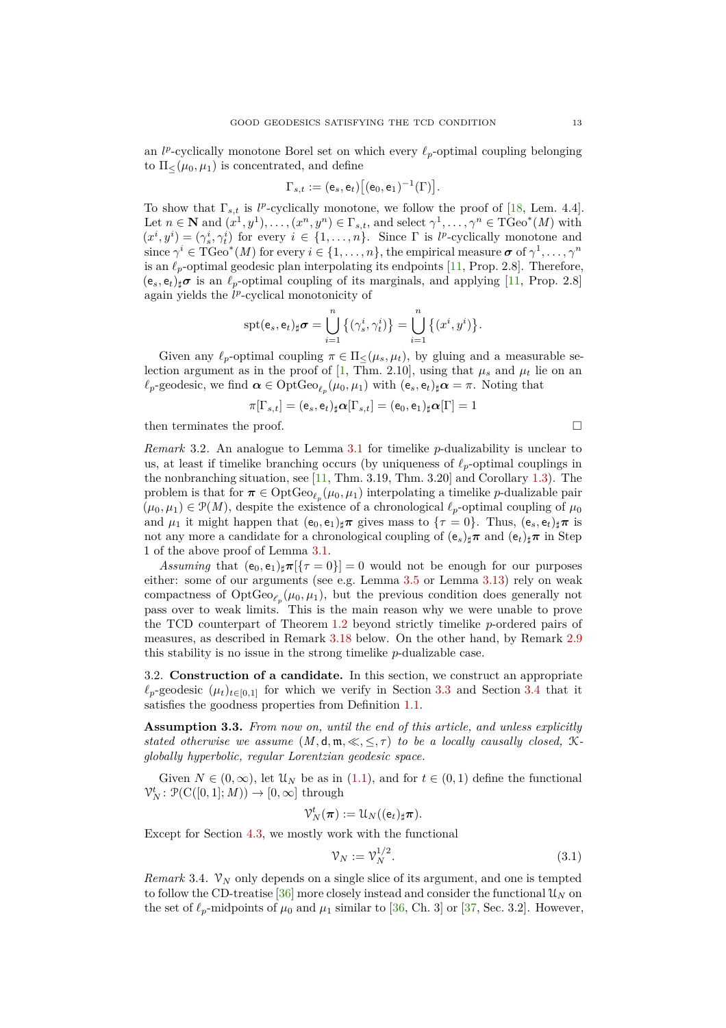an  $l^p$ -cyclically monotone Borel set on which every  $\ell_p$ -optimal coupling belonging to  $\Pi<(\mu_0, \mu_1)$  is concentrated, and define

$$
\Gamma_{s,t} := (\mathsf{e}_s,\mathsf{e}_t) \big[(\mathsf{e}_0,\mathsf{e}_1)^{-1}(\Gamma)\big].
$$

To show that  $\Gamma_{s,t}$  is  $l^p$ -cyclically monotone, we follow the proof of [\[18,](#page-29-29) Lem. 4.4]. Let  $n \in \mathbb{N}$  and  $(x^1, y^1), \ldots, (x^n, y^n) \in \Gamma_{s,t}$ , and select  $\gamma^1, \ldots, \gamma^n \in \mathrm{TGeo}^*(M)$  with  $(x^i, y^i) = (\gamma_s^i, \gamma_t^i)$  for every  $i \in \{1, \ldots, n\}$ . Since  $\Gamma$  is *l<sup>p</sup>*-cyclically monotone and since  $\gamma^i \in \text{TGeo}^*(M)$  for every  $i \in \{1, \ldots, n\}$ , the empirical measure  $\sigma$  of  $\gamma^1, \ldots, \gamma^n$ is an  $\ell_p$ -optimal geodesic plan interpolating its endpoints [\[11,](#page-29-13) Prop. 2.8]. Therefore,  $(e_s, e_t)_\sharp \sigma$  is an  $\ell_p$ -optimal coupling of its marginals, and applying [\[11,](#page-29-13) Prop. 2.8] again yields the *l*<sup>*p*</sup>-cyclical monotonicity of

$$
\operatorname{spt}(e_s, e_t)_{\sharp} \sigma = \bigcup_{i=1}^n \left\{ (\gamma_s^i, \gamma_t^i) \right\} = \bigcup_{i=1}^n \left\{ (x^i, y^i) \right\}.
$$

Given any  $\ell_p$ -optimal coupling  $\pi \in \Pi \leq (\mu_s, \mu_t)$ , by gluing and a measurable se-lection argument as in the proof of [\[1,](#page-28-10) Thm. 2.10], using that  $\mu_s$  and  $\mu_t$  lie on an  $\ell_p$ -geodesic, we find  $\alpha \in \mathrm{OptGeo}_{\ell_p}(\mu_0, \mu_1)$  with  $(e_s, e_t)_\sharp \alpha = \pi$ . Noting that

$$
\pi[\Gamma_{s,t}] = (\mathsf{e}_s,\mathsf{e}_t)_\sharp\bm{\alpha}[\Gamma_{s,t}] = (\mathsf{e}_0,\mathsf{e}_1)_\sharp\bm{\alpha}[\Gamma] = 1
$$

then terminates the proof.  $\Box$ 

<span id="page-12-1"></span>*Remark* 3.2*.* An analogue to [Lemma](#page-11-2) 3.1 for timelike *p*-dualizability is unclear to us, at least if timelike branching occurs (by uniqueness of *ℓp*-optimal couplings in the nonbranching situation, see [\[11,](#page-29-13) Thm. 3.19, Thm. 3.20] and [Corollary](#page-3-0) 1.3). The problem is that for  $\pi \in \text{OptGeo}_{\ell_p}(\mu_0, \mu_1)$  interpolating a timelike *p*-dualizable pair  $(\mu_0, \mu_1) \in \mathcal{P}(M)$ , despite the existence of a chronological  $\ell_p$ -optimal coupling of  $\mu_0$ and  $\mu_1$  it might happen that  $(e_0, e_1)_\sharp \pi$  gives mass to  $\{\tau = 0\}$ . Thus,  $(e_s, e_t)_\sharp \pi$  is not any more a candidate for a chronological coupling of  $(e_s)_\sharp \pi$  and  $(e_t)_\sharp \pi$  in Step 1 of the above proof of [Lemma](#page-11-2) 3.1.

*Assuming* that  $(e_0, e_1)_\sharp \pi[\{\tau = 0\}] = 0$  would not be enough for our purposes either: some of our arguments (see e.g. [Lemma](#page-13-0) 3.5 or [Lemma](#page-17-0) 3.13) rely on weak compactness of  $OptGeo_{\ell_p}(\mu_0, \mu_1)$ , but the previous condition does generally not pass over to weak limits. This is the main reason why we were unable to prove the TCD counterpart of [Theorem](#page-2-0) 1.2 beyond strictly timelike *p*-ordered pairs of measures, as described in [Remark](#page-22-1) 3.18 below. On the other hand, by [Remark](#page-8-3) 2.9 this stability is no issue in the strong timelike *p*-dualizable case.

<span id="page-12-0"></span>3.2. **Construction of a candidate.** In this section, we construct an appropriate  $\ell_p$ -geodesic  $(\mu_t)_{t\in[0,1]}$  for which we verify in [Section](#page-16-0) 3.3 and Section 3.4 that it satisfies the goodness properties from [Definition](#page-2-2) 1.1.

**Assumption 3.3.** *From now on, until the end of this article, and unless explicitly stated otherwise we assume*  $(M, \mathsf{d}, \mathfrak{m}, \ll, \leq, \tau)$  *to be a locally causally closed,* K*globally hyperbolic, regular Lorentzian geodesic space.*

Given  $N \in (0, \infty)$ , let  $\mathcal{U}_N$  be as in [\(1.1\)](#page-1-1), and for  $t \in (0, 1)$  define the functional  $\mathcal{V}_N^t$ :  $\mathcal{P}(\mathrm{C}([0,1];M)) \to [0,\infty]$  through

$$
\mathcal{V}_N^t(\boldsymbol{\pi}):=\mathcal{U}_N((\mathsf{e}_t)_\sharp\boldsymbol{\pi}).
$$

Except for [Section](#page-27-0) 4.3, we mostly work with the functional

<span id="page-12-2"></span>
$$
\mathcal{V}_N := \mathcal{V}_N^{1/2}.\tag{3.1}
$$

*Remark* 3.4.  $\mathcal{V}_N$  only depends on a single slice of its argument, and one is tempted to follow the CD-treatise [\[36\]](#page-29-8) more closely instead and consider the functional  $\mathcal{U}_N$  on the set of  $\ell_p$ -midpoints of  $\mu_0$  and  $\mu_1$  similar to [\[36,](#page-29-8) Ch. 3] or [\[37,](#page-29-9) Sec. 3.2]. However,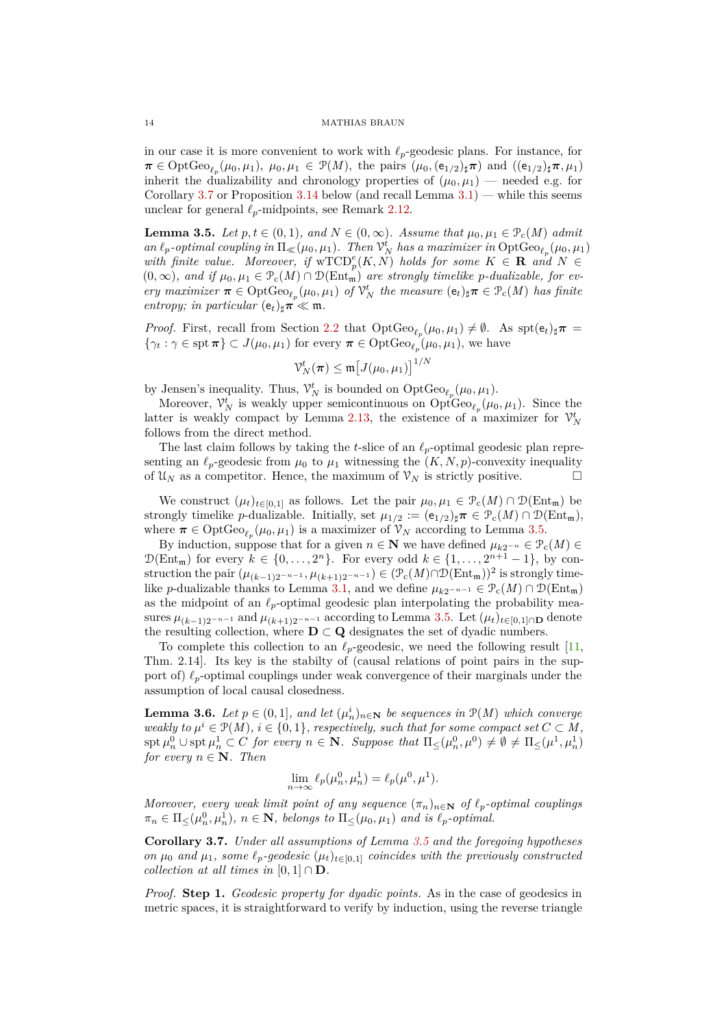in our case it is more convenient to work with *ℓp*-geodesic plans. For instance, for  $\pi \in \text{OptGeo}_{\ell_p}(\mu_0, \mu_1), \ \mu_0, \mu_1 \in \mathcal{P}(M)$ , the pairs  $(\mu_0, (\mathsf{e}_{1/2})_\sharp \pi)$  and  $((\mathsf{e}_{1/2})_\sharp \pi, \mu_1)$ inherit the dualizability and chronology properties of  $(\mu_0, \mu_1)$  — needed e.g. for [Corollary](#page-13-1) 3.7 or [Proposition](#page-18-0) 3.14 below (and recall [Lemma](#page-11-2)  $3.1$ ) — while this seems unclear for general  $\ell_p$ -midpoints, see [Remark](#page-8-4) 2.12.

<span id="page-13-0"></span>**Lemma 3.5.** *Let*  $p, t \in (0, 1)$ *, and*  $N \in (0, \infty)$ *. Assume that*  $\mu_0, \mu_1 \in \mathcal{P}_c(M)$  *admit*  $an \ell_p$ -optimal coupling in  $\Pi_{\ll}(\mu_0, \mu_1)$ . Then  $\mathcal{V}_N^t$  has a maximizer in  $\mathrm{OptGeo}_{\ell_p}(\mu_0, \mu_1)$ with finite value. Moreover, if  $\mathrm{wTCD}_p^e(K, N)$  holds for some  $K \in \mathbb{R}$  and  $N \in$  $(0, \infty)$ *, and if*  $\mu_0, \mu_1 \in \mathcal{P}_c(M) \cap \mathcal{D}(\text{Ent}_{\mathfrak{m}})$  *are strongly timelike p-dualizable, for every maximizer*  $\pi \in \mathrm{OptGeo}_{\ell_p}(\mu_0, \mu_1)$  *of*  $\mathcal{V}_N^t$  *the measure*  $(e_t)_\sharp \pi \in \mathcal{P}_c(M)$  *has finite entropy; in particular*  $(e_t)_\sharp \pi \ll m$ *.* 

*Proof.* First, recall from [Section](#page-7-0) 2.2 that  $OptGeo_{\ell_p}(\mu_0, \mu_1) \neq \emptyset$ . As  $spt(e_t)_\sharp \pi =$  $\{\gamma_t : \gamma \in \text{spr } \pi\} \subset J(\mu_0, \mu_1)$  for every  $\pi \in \text{OptGeo}_{\ell_p}(\mu_0, \mu_1)$ , we have

$$
\mathcal{V}_N^t(\boldsymbol{\pi}) \leq \mathfrak{m} \big[ J(\mu_0, \mu_1) \big]^{1/N}
$$

by Jensen's inequality. Thus,  $\mathcal{V}_N^t$  is bounded on  $\mathrm{OptGeo}_{\ell_p}(\mu_0, \mu_1)$ .

Moreover,  $\mathcal{V}_N^t$  is weakly upper semicontinuous on  $\mathrm{OptGeo}_{\ell_p}(\mu_0, \mu_1)$ . Since the latter is weakly compact by [Lemma](#page-9-2) 2.13, the existence of a maximizer for  $\mathcal{V}_N^t$ follows from the direct method.

The last claim follows by taking the *t*-slice of an *ℓp*-optimal geodesic plan representing an  $\ell_p$ -geodesic from  $\mu_0$  to  $\mu_1$  witnessing the  $(K, N, p)$ -convexity inequality of  $\mathcal{U}_N$  as a competitor. Hence, the maximum of  $\mathcal{V}_N$  is strictly positive.

We construct  $(\mu_t)_{t \in [0,1]}$  as follows. Let the pair  $\mu_0, \mu_1 \in \mathcal{P}_c(M) \cap \mathcal{D}(\text{Ent}_{\mathfrak{m}})$  be strongly timelike *p*-dualizable. Initially, set  $\mu_{1/2} := (e_{1/2})_{\sharp} \pi \in \mathcal{P}_c(M) \cap \mathcal{D}(\text{Ent}_{\mathfrak{m}})$ , where  $\pi \in \text{OptGeo}_{\ell_p}(\mu_0, \mu_1)$  is a maximizer of  $\mathcal{V}_N$  according to [Lemma](#page-13-0) 3.5.

By induction, suppose that for a given  $n \in \mathbb{N}$  we have defined  $\mu_{k2^{-n}} \in \mathcal{P}_c(M) \in$  $\mathcal{D}(\text{Ent}_{\mathfrak{m}})$  for every  $k \in \{0, \ldots, 2^n\}$ . For every odd  $k \in \{1, \ldots, 2^{n+1}-1\}$ , by construction the pair  $(\mu_{(k-1)2^{-n-1}}, \mu_{(k+1)2^{-n-1}}) \in (\mathcal{P}_c(M) \cap \mathcal{D}(Ent_m))^2$  is strongly timelike *p*-dualizable thanks to [Lemma](#page-11-2) 3.1, and we define  $\mu_{k2-n-1} \in \mathcal{P}_c(M) \cap \mathcal{D}(\text{Ent}_m)$ as the midpoint of an  $\ell_p$ -optimal geodesic plan interpolating the probability measures  $\mu_{(k-1)2^{-n-1}}$  and  $\mu_{(k+1)2^{-n-1}}$  according to [Lemma](#page-13-0) 3.5. Let  $(\mu_t)_{t\in[0,1]\cap\mathbf{D}}$  denote the resulting collection, where  $D \subset Q$  designates the set of dyadic numbers.

To complete this collection to an  $\ell_p$ -geodesic, we need the following result [\[11,](#page-29-13) Thm. 2.14]. Its key is the stabilty of (causal relations of point pairs in the support of) *ℓp*-optimal couplings under weak convergence of their marginals under the assumption of local causal closedness.

<span id="page-13-2"></span>**Lemma 3.6.** *Let*  $p \in (0,1]$ *, and let*  $(\mu_n^i)_{n \in \mathbb{N}}$  *be sequences in*  $\mathcal{P}(M)$  *which converge weakly to*  $\mu^{i} \in \mathcal{P}(M)$ *,*  $i \in \{0,1\}$ *, respectively, such that for some compact set*  $C \subset M$ *,* spt *µ* 0 *<sup>n</sup>* ∪ spt *µ* 1 *<sup>n</sup>* ⊂ *C for every n* ∈ **N***. Suppose that* Π≤(*µ* 0 *n , µ*<sup>0</sup> ) 6= ∅ 6= Π≤(*µ* 1 *, µ*<sup>1</sup> *n* ) *for every*  $n \in \mathbb{N}$ *. Then* 

$$
\lim_{n \to \infty} \ell_p(\mu_n^0, \mu_n^1) = \ell_p(\mu^0, \mu^1).
$$

*Moreover, every weak limit point of any sequence*  $(\pi_n)_{n \in \mathbb{N}}$  *of*  $\ell_p$ -*optimal couplings*  $\pi_n \in \Pi \leq (\mu_n^0, \mu_n^1), n \in \mathbb{N},$  belongs to  $\Pi \leq (\mu_0, \mu_1)$  and is  $\ell_p$ -optimal.

<span id="page-13-1"></span>**Corollary 3.7.** *Under all assumptions of [Lemma](#page-13-0) 3.5 and the foregoing hypotheses on*  $\mu_0$  *and*  $\mu_1$ *, some*  $\ell_p$ *-geodesic*  $(\mu_t)_{t \in [0,1]}$  *coincides with the previously constructed collection at all times in*  $[0,1] \cap \mathbf{D}$ *.* 

*Proof.* **Step 1.** *Geodesic property for dyadic points.* As in the case of geodesics in metric spaces, it is straightforward to verify by induction, using the reverse triangle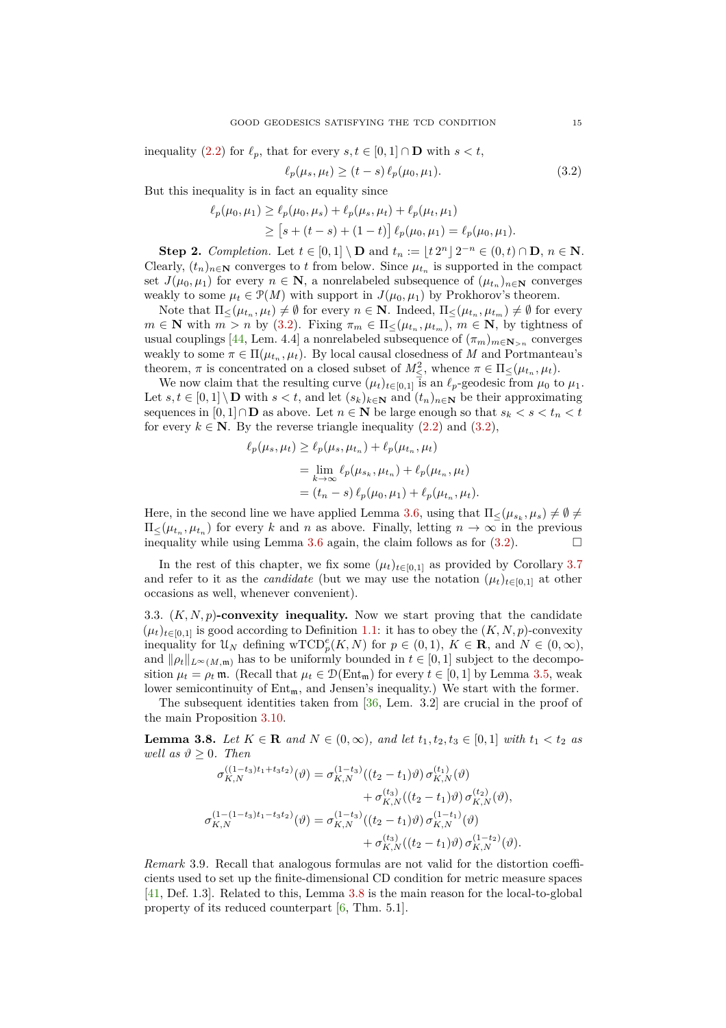inequality (2.2) for 
$$
\ell_p
$$
, that for every  $s, t \in [0, 1] \cap \mathbf{D}$  with  $s < t$ ,

$$
\ell_p(\mu_s, \mu_t) \ge (t - s) \ell_p(\mu_0, \mu_1). \tag{3.2}
$$

But this inequality is in fact an equality since

$$
\ell_p(\mu_0, \mu_1) \ge \ell_p(\mu_0, \mu_s) + \ell_p(\mu_s, \mu_t) + \ell_p(\mu_t, \mu_1)
$$
  
\n
$$
\ge [s + (t - s) + (1 - t)] \ell_p(\mu_0, \mu_1) = \ell_p(\mu_0, \mu_1).
$$

**Step 2.** *Completion.* Let  $t \in [0,1] \setminus \mathbf{D}$  and  $t_n := \lfloor t \cdot 2^n \rfloor 2^{-n} \in (0,t) \cap \mathbf{D}$ ,  $n \in \mathbf{N}$ . Clearly,  $(t_n)_{n \in \mathbb{N}}$  converges to *t* from below. Since  $\mu_{t_n}$  is supported in the compact set  $J(\mu_0, \mu_1)$  for every  $n \in \mathbb{N}$ , a nonrelabeled subsequence of  $(\mu_{t_n})_{n \in \mathbb{N}}$  converges weakly to some  $\mu_t \in \mathcal{P}(M)$  with support in  $J(\mu_0, \mu_1)$  by Prokhorov's theorem.

Note that  $\Pi_{\leq}(\mu_{t_n}, \mu_t) \neq \emptyset$  for every  $n \in \mathbb{N}$ . Indeed,  $\Pi_{\leq}(\mu_{t_n}, \mu_{t_m}) \neq \emptyset$  for every  $m \in \mathbb{N}$  with  $m > n$  by [\(3.2\)](#page-14-2). Fixing  $\pi_m \in \Pi_{\leq}(\mu_{t_n}, \mu_{t_m})$ ,  $m \in \mathbb{N}$ , by tightness of usual couplings [\[44,](#page-30-3) Lem. 4.4] a nonrelabeled subsequence of  $(\pi_m)_{m \in \mathbb{N}_{>n}}$  converges weakly to some  $\pi \in \Pi(\mu_{t_n}, \mu_t)$ . By local causal closedness of *M* and Portmanteau's theorem,  $\pi$  is concentrated on a closed subset of  $M^2_{\leq}$ , whence  $\pi \in \Pi_{\leq}(\mu_{t_n}, \mu_t)$ .

We now claim that the resulting curve  $(\mu_t)_{t \in [0,1]}$  is an  $\ell_p$ -geodesic from  $\mu_0$  to  $\mu_1$ . Let  $s, t \in [0,1] \setminus \mathbf{D}$  with  $s < t$ , and let  $(s_k)_{k \in \mathbf{N}}$  and  $(t_n)_{n \in \mathbf{N}}$  be their approximating sequences in  $[0,1] \cap \mathbf{D}$  as above. Let  $n \in \mathbf{N}$  be large enough so that  $s_k < s < t_n < t$ for every  $k \in \mathbb{N}$ . By the reverse triangle inequality  $(2.2)$  and  $(3.2)$ ,

$$
\ell_p(\mu_s, \mu_t) \ge \ell_p(\mu_s, \mu_{t_n}) + \ell_p(\mu_{t_n}, \mu_t)
$$
  
= 
$$
\lim_{k \to \infty} \ell_p(\mu_{s_k}, \mu_{t_n}) + \ell_p(\mu_{t_n}, \mu_t)
$$
  
= 
$$
(t_n - s) \ell_p(\mu_0, \mu_1) + \ell_p(\mu_{t_n}, \mu_t).
$$

Here, in the second line we have applied [Lemma](#page-13-2) 3.6, using that  $\Pi_{\leq}(\mu_{s_k}, \mu_s) \neq \emptyset \neq$  $\Pi_{\leq}(\mu_{t_n}, \mu_{t_n})$  for every *k* and *n* as above. Finally, letting  $n \to \infty$  in the previous inequality while using [Lemma](#page-13-2) 3.6 again, the claim follows as for  $(3.2)$ .

In the rest of this chapter, we fix some  $(\mu_t)_{t \in [0,1]}$  as provided by [Corollary](#page-13-1) 3.7 and refer to it as the *candidate* (but we may use the notation  $(\mu_t)_{t \in [0,1]}$  at other occasions as well, whenever convenient).

<span id="page-14-0"></span>3.3.  $(K, N, p)$ **-convexity inequality.** Now we start proving that the candidate  $(\mu_t)_{t \in [0,1]}$  is good according to [Definition](#page-2-2) 1.1: it has to obey the  $(K, N, p)$ -convexity inequality for  $\mathcal{U}_N$  defining wTCD<sup>*e*</sup><sub>*p*</sub>(*K, N*) for  $p \in (0,1)$ ,  $K \in \mathbf{R}$ , and  $N \in (0,\infty)$ , and  $\|\rho_t\|_{L^\infty(M,\mathfrak{m})}$  has to be uniformly bounded in  $t \in [0,1]$  subject to the decomposition  $\mu_t = \rho_t \mathfrak{m}$ . (Recall that  $\mu_t \in \mathcal{D}(\text{Ent}_{\mathfrak{m}})$  for every  $t \in [0,1]$  by [Lemma](#page-13-0) 3.5, weak lower semicontinuity of  $Ent_{m}$ , and Jensen's inequality.) We start with the former.

The subsequent identities taken from [\[36,](#page-29-8) Lem. 3.2] are crucial in the proof of the main [Proposition](#page-15-0) 3.10.

<span id="page-14-1"></span>**Lemma 3.8.** *Let K* ∈ **R** *and N* ∈ (0,∞)*, and let*  $t_1, t_2, t_3$  ∈ [0,1] *with*  $t_1 < t_2$  *as well as*  $\vartheta \geq 0$ *. Then* 

$$
\sigma_{K,N}^{((1-t_3)t_1+t_3t_2)}(\vartheta) = \sigma_{K,N}^{(1-t_3)}((t_2-t_1)\vartheta)\,\sigma_{K,N}^{(t_1)}(\vartheta) \n+ \sigma_{K,N}^{(t_3)}((t_2-t_1)\vartheta)\,\sigma_{K,N}^{(t_2)}(\vartheta), \n\sigma_{K,N}^{(1-(1-t_3)t_1-t_3t_2)}(\vartheta) = \sigma_{K,N}^{(1-t_3)}((t_2-t_1)\vartheta)\,\sigma_{K,N}^{(1-t_1)}(\vartheta) \n+ \sigma_{K,N}^{(t_3)}((t_2-t_1)\vartheta)\,\sigma_{K,N}^{(1-t_2)}(\vartheta).
$$

*Remark* 3.9*.* Recall that analogous formulas are not valid for the distortion coefficients used to set up the finite-dimensional CD condition for metric measure spaces [\[41,](#page-30-0) Def. 1.3]. Related to this, [Lemma](#page-14-1) 3.8 is the main reason for the local-to-global property of its reduced counterpart [\[6,](#page-28-4) Thm. 5.1].

<span id="page-14-2"></span>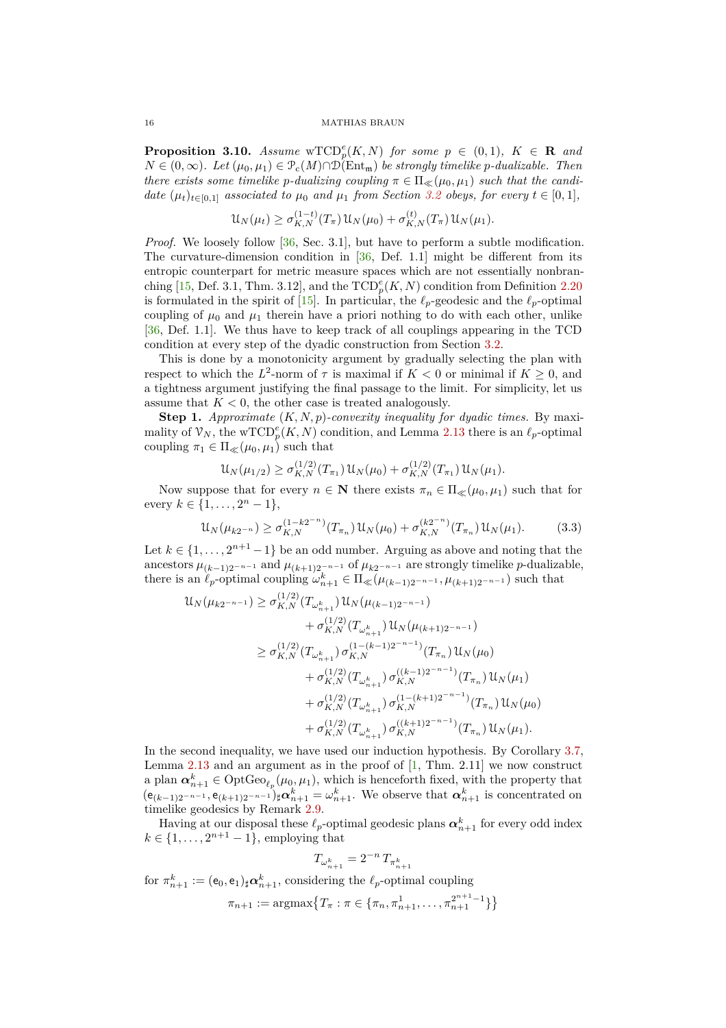<span id="page-15-0"></span>**Proposition 3.10.** *Assume*  $\mathrm{wTCD}_{p}^{e}(K, N)$  *for some*  $p \in (0, 1)$ *,*  $K \in \mathbb{R}$  *and N* ∈ (0, ∞)*.* Let  $(\mu_0, \mu_1)$  ∈  $\mathcal{P}_c(M) \cap \mathcal{D}(\text{Ent}_{m})$  *be strongly timelike p*-dualizable. Then *there exists some timelike p-dualizing coupling*  $\pi \in \Pi_{\ll}(\mu_0, \mu_1)$  *such that the candidate*  $(\mu_t)_{t \in [0,1]}$  *associated to*  $\mu_0$  *and*  $\mu_1$  *from [Section](#page-12-0) 3.2 obeys, for every*  $t \in [0,1]$ *,* 

$$
\mathcal{U}_N(\mu_t) \ge \sigma_{K,N}^{(1-t)}(T_{\pi}) \mathcal{U}_N(\mu_0) + \sigma_{K,N}^{(t)}(T_{\pi}) \mathcal{U}_N(\mu_1).
$$

*Proof.* We loosely follow [\[36,](#page-29-8) Sec. 3.1], but have to perform a subtle modification. The curvature-dimension condition in  $[36,$  Def. 1.1] might be different from its entropic counterpart for metric measure spaces which are not essentially nonbran-ching [\[15,](#page-29-3) Def. 3.1, Thm. 3.12], and the  $\text{TCD}_{p}^{e}(K, N)$  condition from [Definition](#page-10-1) 2.20 is formulated in the spirit of  $[15]$ . In particular, the  $\ell_p$ -geodesic and the  $\ell_p$ -optimal coupling of  $\mu_0$  and  $\mu_1$  therein have a priori nothing to do with each other, unlike [\[36,](#page-29-8) Def. 1.1]. We thus have to keep track of all couplings appearing in the TCD condition at every step of the dyadic construction from [Section](#page-12-0) 3.2.

This is done by a monotonicity argument by gradually selecting the plan with respect to which the  $L^2$ -norm of  $\tau$  is maximal if  $K < 0$  or minimal if  $K \geq 0$ , and a tightness argument justifying the final passage to the limit. For simplicity, let us assume that  $K < 0$ , the other case is treated analogously.

**Step 1.** *Approximate* (*K, N, p*)*-convexity inequality for dyadic times.* By maximality of  $\mathcal{V}_N$ , the wTCD<sup>e</sup><sub>p</sub>(*K, N*) condition, and [Lemma](#page-9-2) 2.13 there is an  $\ell_p$ -optimal coupling  $\pi_1 \in \Pi_{\ll}(\mu_0, \mu_1)$  such that

<span id="page-15-1"></span>
$$
\mathcal{U}_N(\mu_{1/2}) \ge \sigma_{K,N}^{(1/2)}(T_{\pi_1}) \mathcal{U}_N(\mu_0) + \sigma_{K,N}^{(1/2)}(T_{\pi_1}) \mathcal{U}_N(\mu_1).
$$

Now suppose that for every  $n \in \mathbb{N}$  there exists  $\pi_n \in \Pi_{\ll}(\mu_0, \mu_1)$  such that for every  $k \in \{1, ..., 2<sup>n</sup> - 1\}$ ,

$$
\mathcal{U}_N(\mu_{k2^{-n}}) \ge \sigma_{K,N}^{(1-k2^{-n})}(T_{\pi_n})\mathcal{U}_N(\mu_0) + \sigma_{K,N}^{(k2^{-n})}(T_{\pi_n})\mathcal{U}_N(\mu_1). \tag{3.3}
$$

Let  $k \in \{1, \ldots, 2^{n+1} - 1\}$  be an odd number. Arguing as above and noting that the ancestors  $\mu_{(k-1)2^{-n-1}}$  and  $\mu_{(k+1)2^{-n-1}}$  of  $\mu_{k2^{-n-1}}$  are strongly timelike *p*-dualizable, there is an  $\ell_p$ -optimal coupling  $\omega_{n+1}^k \in \Pi_{\ll}(\mu_{(k-1)2^{-n-1}}, \mu_{(k+1)2^{-n-1}})$  such that

$$
\mathcal{U}_{N}(\mu_{k2^{-n-1}}) \geq \sigma_{K,N}^{(1/2)}(T_{\omega_{n+1}^{k}}) \mathcal{U}_{N}(\mu_{(k-1)2^{-n-1}}) \n+ \sigma_{K,N}^{(1/2)}(T_{\omega_{n+1}^{k}}) \mathcal{U}_{N}(\mu_{(k+1)2^{-n-1}}) \n\geq \sigma_{K,N}^{(1/2)}(T_{\omega_{n+1}^{k}}) \sigma_{K,N}^{(1-(k-1)2^{-n-1})}(T_{\pi_{n}}) \mathcal{U}_{N}(\mu_{0}) \n+ \sigma_{K,N}^{(1/2)}(T_{\omega_{n+1}^{k}}) \sigma_{K,N}^{((k-1)2^{-n-1})}(T_{\pi_{n}}) \mathcal{U}_{N}(\mu_{1}) \n+ \sigma_{K,N}^{(1/2)}(T_{\omega_{n+1}^{k}}) \sigma_{K,N}^{(1-(k+1)2^{-n-1})}(T_{\pi_{n}}) \mathcal{U}_{N}(\mu_{0}) \n+ \sigma_{K,N}^{(1/2)}(T_{\omega_{n+1}^{k}}) \sigma_{K,N}^{((k+1)2^{-n-1})}(T_{\pi_{n}}) \mathcal{U}_{N}(\mu_{1}).
$$

In the second inequality, we have used our induction hypothesis. By [Corollary](#page-13-1) 3.7, [Lemma](#page-9-2)  $2.13$  and an argument as in the proof of  $[1, Thm. 2.11]$  we now construct a plan  $\alpha_{n+1}^k \in \text{OptGeo}_{\ell_p}(\mu_0, \mu_1)$ , which is henceforth fixed, with the property that  $(e_{(k-1)2^{-n-1}}, e_{(k+1)2^{-n-1}})_{\sharp}\alpha_{n+1}^{k} = \omega_{n+1}^{k}$ . We observe that  $\alpha_{n+1}^{k}$  is concentrated on timelike geodesics by [Remark](#page-8-3) 2.9.

Having at our disposal these  $\ell_p$ -optimal geodesic plans  $\alpha_{n+1}^k$  for every odd index  $k \in \{1, ..., 2^{n+1} - 1\}$ , employing that

$$
T_{\omega_{n+1}^k} = 2^{-n} T_{\pi_{n+1}^k}
$$

for  $\pi_{n+1}^k := (\mathsf{e}_0, \mathsf{e}_1)_\sharp \alpha_{n+1}^k$ , considering the  $\ell_p$ -optimal coupling

$$
\pi_{n+1} := \operatorname{argmax} \{ T_{\pi} : \pi \in \{ \pi_n, \pi_{n+1}^1, \dots, \pi_{n+1}^{2^{n+1}-1} \} \}
$$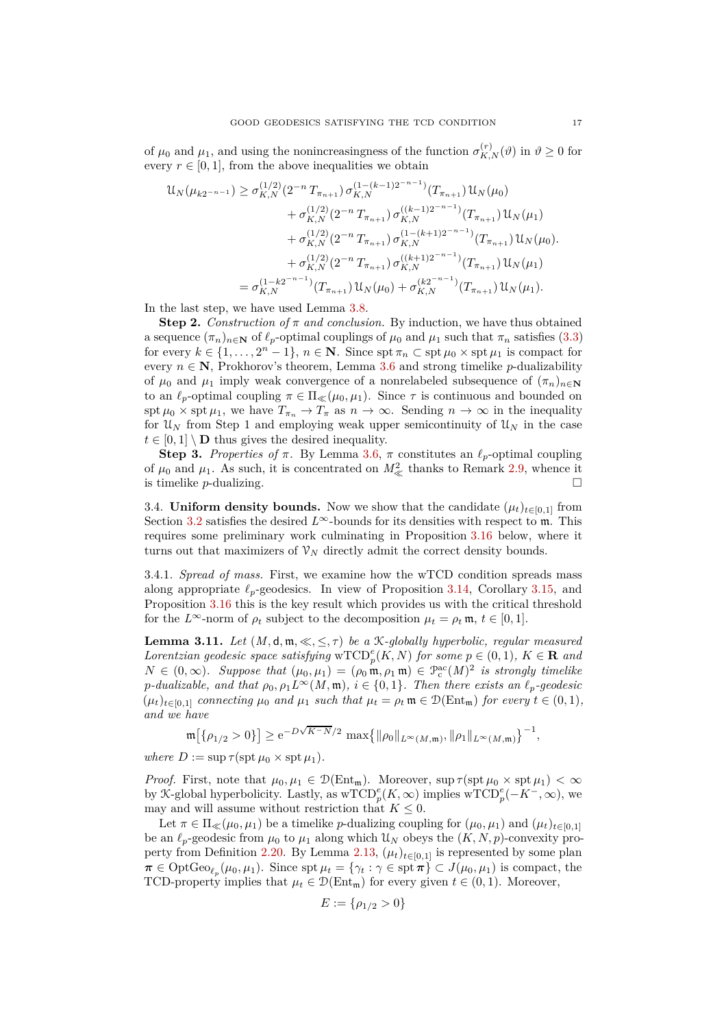of  $\mu_0$  and  $\mu_1$ , and using the nonincreasingness of the function  $\sigma_{K,N}^{(r)}(\vartheta)$  in  $\vartheta \ge 0$  for every  $r \in [0, 1]$ , from the above inequalities we obtain

$$
\mathcal{U}_{N}(\mu_{k2^{-n-1}}) \geq \sigma_{K,N}^{(1/2)}(2^{-n}T_{\pi_{n+1}})\sigma_{K,N}^{(1-(k-1)2^{-n-1})}(T_{\pi_{n+1}})\mathcal{U}_{N}(\mu_{0})
$$
  
+  $\sigma_{K,N}^{(1/2)}(2^{-n}T_{\pi_{n+1}})\sigma_{K,N}^{((k-1)2^{-n-1})}(T_{\pi_{n+1}})\mathcal{U}_{N}(\mu_{1})$   
+  $\sigma_{K,N}^{(1/2)}(2^{-n}T_{\pi_{n+1}})\sigma_{K,N}^{(1-(k+1)2^{-n-1})}(T_{\pi_{n+1}})\mathcal{U}_{N}(\mu_{0}).$   
+  $\sigma_{K,N}^{(1/2)}(2^{-n}T_{\pi_{n+1}})\sigma_{K,N}^{((k+1)2^{-n-1})}(T_{\pi_{n+1}})\mathcal{U}_{N}(\mu_{1})$   
=  $\sigma_{K,N}^{(1-k2^{-n-1})}(T_{\pi_{n+1}})\mathcal{U}_{N}(\mu_{0}) + \sigma_{K,N}^{(k2^{-n-1})}(T_{\pi_{n+1}})\mathcal{U}_{N}(\mu_{1}).$ 

In the last step, we have used [Lemma](#page-14-1) 3.8.

**Step 2.** *Construction of*  $\pi$  *and conclusion*. By induction, we have thus obtained a sequence  $(\pi_n)_{n\in\mathbb{N}}$  of  $\ell_p$ -optimal couplings of  $\mu_0$  and  $\mu_1$  such that  $\pi_n$  satisfies [\(3.3\)](#page-15-1) for every  $k \in \{1, \ldots, 2^n - 1\}$ ,  $n \in \mathbb{N}$ . Since spt  $\pi_n \subset \text{spt } \mu_0 \times \text{spt } \mu_1$  is compact for every  $n \in \mathbb{N}$ , Prokhorov's theorem, [Lemma](#page-13-2) 3.6 and strong timelike *p*-dualizability of  $\mu_0$  and  $\mu_1$  imply weak convergence of a nonrelabeled subsequence of  $(\pi_n)_{n\in\mathbb{N}}$ to an  $\ell_p$ -optimal coupling  $\pi \in \Pi_{\ll}(\mu_0, \mu_1)$ . Since  $\tau$  is continuous and bounded on spt  $\mu_0 \times$  spt  $\mu_1$ , we have  $T_{\pi_n} \to T_{\pi}$  as  $n \to \infty$ . Sending  $n \to \infty$  in the inequality for  $\mathfrak{U}_N$  from Step 1 and employing weak upper semicontinuity of  $\mathfrak{U}_N$  in the case  $t \in [0, 1] \setminus \mathbf{D}$  thus gives the desired inequality.

**Step 3.** Properties of  $\pi$ . By [Lemma](#page-13-2) 3.6,  $\pi$  constitutes an  $\ell_p$ -optimal coupling of  $\mu_0$  and  $\mu_1$ . As such, it is concentrated on  $M^2_{\ll}$  thanks to [Remark](#page-8-3) 2.9, whence it is timelike *p*-dualizing.

<span id="page-16-0"></span>3.4. **Uniform density bounds.** Now we show that the candidate  $(\mu_t)_{t\in[0,1]}$  from [Section](#page-12-0) 3.2 satisfies the desired  $L^{\infty}$ -bounds for its densities with respect to m. This requires some preliminary work culminating in [Proposition](#page-20-0) 3.16 below, where it turns out that maximizers of  $\mathcal{V}_N$  directly admit the correct density bounds.

3.4.1. *Spread of mass.* First, we examine how the wTCD condition spreads mass along appropriate  $\ell_p$ -geodesics. In view of [Proposition](#page-18-0) 3.14, [Corollary](#page-20-1) 3.15, and [Proposition](#page-20-0) 3.16 this is the key result which provides us with the critical threshold for the  $L^{\infty}$ -norm of  $\rho_t$  subject to the decomposition  $\mu_t = \rho_t \mathfrak{m}, t \in [0,1].$ 

<span id="page-16-1"></span>**Lemma 3.11.** *Let*  $(M, d, \mathfrak{m}, \ll, \leq, \tau)$  *be a* K-globally hyperbolic, regular measured *Lorentzian geodesic space satisfying*  $\mathrm{wTCD}_p^e(K, N)$  *for some*  $p \in (0, 1)$ *,*  $K \in \mathbb{R}$  *and*  $N \in (0,\infty)$ *. Suppose that*  $(\mu_0, \mu_1) = (\rho_0 \mathbf{m}, \rho_1 \mathbf{m}) \in \mathcal{P}_c^{\text{ac}}(M)^2$  *is strongly timelike p*-dualizable, and that  $\rho_0$ ,  $\rho_1 L^\infty(M, \mathfrak{m})$ ,  $i \in \{0, 1\}$ . Then there exists an  $\ell_p$ -geodesic  $(\mu_t)_{t \in [0,1]}$  *connecting*  $\mu_0$  *and*  $\mu_1$  *such that*  $\mu_t = \rho_t \mathfrak{m} \in \mathcal{D}(\text{Ent}_{\mathfrak{m}})$  *for every*  $t \in (0,1)$ *, and we have*

$$
\mathfrak{m}\big[\{\rho_{1/2}>0\}\big]\geq \mathrm{e}^{-D\sqrt{K^-N}/2}\,\max\big\{\|\rho_0\|_{L^\infty(M,\mathfrak{m})},\|\rho_1\|_{L^\infty(M,\mathfrak{m})}\big\}^{-1},
$$

 $where D := \sup \tau(\operatorname{spt} \mu_0 \times \operatorname{spt} \mu_1).$ 

*Proof.* First, note that  $\mu_0, \mu_1 \in \mathcal{D}(\text{Ent}_{\mathfrak{m}})$ . Moreover,  $\sup \tau(\text{spt } \mu_0 \times \text{spt } \mu_1) < \infty$ by X-global hyperbolicity. Lastly, as  $\mathrm{wTCD}_p^e(K,\infty)$  implies  $\mathrm{wTCD}_p^e(-K^-,\infty)$ , we may and will assume without restriction that  $K \leq 0$ .

Let  $\pi \in \Pi_{\ll}(\mu_0, \mu_1)$  be a timelike *p*-dualizing coupling for  $(\mu_0, \mu_1)$  and  $(\mu_t)_{t \in [0,1]}$ be an  $\ell_p$ -geodesic from  $\mu_0$  to  $\mu_1$  along which  $\mathcal{U}_N$  obeys the  $(K, N, p)$ -convexity pro-perty from [Definition](#page-10-1) 2.20. By [Lemma](#page-9-2) 2.13,  $(\mu_t)_{t \in [0,1]}$  is represented by some plan  $\pi \in \text{OptGeo}_{\ell_p}(\mu_0, \mu_1)$ . Since  $\text{spt } \mu_t = \{\gamma_t : \gamma \in \text{spt } \pi\} \subset J(\mu_0, \mu_1)$  is compact, the TCD-property implies that  $\mu_t \in \mathcal{D}(\text{Ent}_{\mathfrak{m}})$  for every given  $t \in (0,1)$ . Moreover,

$$
E := \{ \rho_{1/2} > 0 \}
$$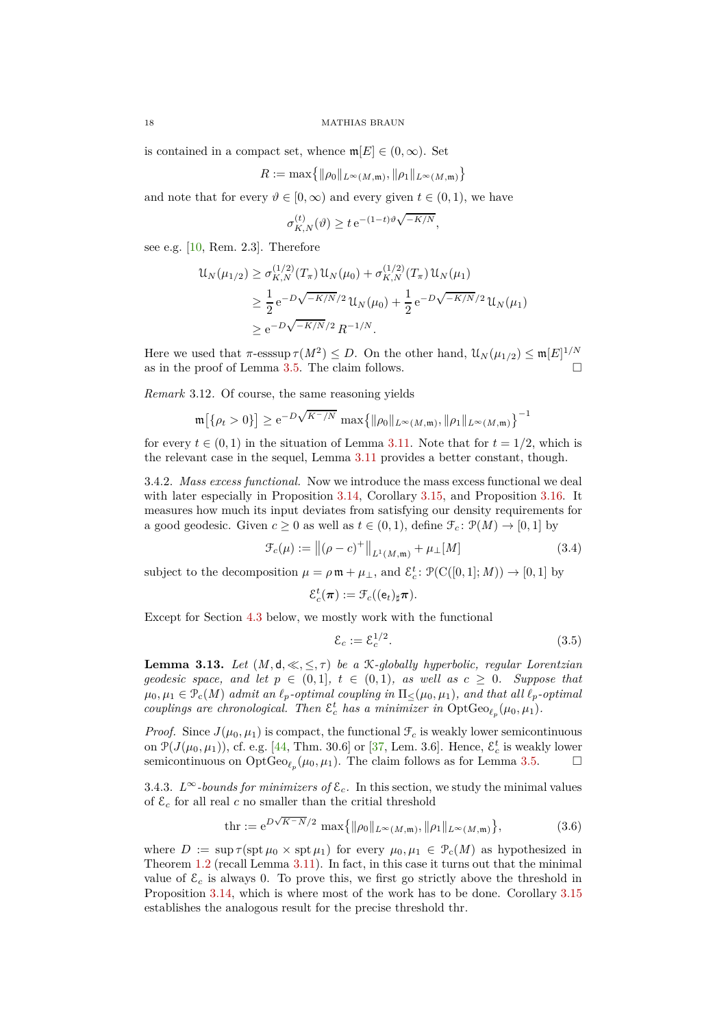is contained in a compact set, whence  $\mathfrak{m}[E] \in (0,\infty)$ . Set

$$
R := \max\bigl\{\|\rho_0\|_{L^\infty(M, \mathfrak{m})}, \|\rho_1\|_{L^\infty(M, \mathfrak{m})}\bigr\}
$$

and note that for every  $\vartheta \in [0,\infty)$  and every given  $t \in (0,1)$ , we have

$$
\sigma_{K,N}^{(t)}(\vartheta) \ge t e^{-(1-t)\vartheta \sqrt{-K/N}},
$$

see e.g. [\[10,](#page-28-7) Rem. 2.3]. Therefore

$$
\mathcal{U}_N(\mu_{1/2}) \ge \sigma_{K,N}^{(1/2)}(T_\pi) \mathcal{U}_N(\mu_0) + \sigma_{K,N}^{(1/2)}(T_\pi) \mathcal{U}_N(\mu_1)
$$
  
\n
$$
\ge \frac{1}{2} e^{-D\sqrt{-K/N}/2} \mathcal{U}_N(\mu_0) + \frac{1}{2} e^{-D\sqrt{-K/N}/2} \mathcal{U}_N(\mu_1)
$$
  
\n
$$
\ge e^{-D\sqrt{-K/N}/2} R^{-1/N}.
$$

Here we used that  $\pi$ -esssup  $\tau(M^2) \leq D$ . On the other hand,  $\mathcal{U}_N(\mu_{1/2}) \leq \mathfrak{m}[E]^{1/N}$ as in the proof of [Lemma](#page-13-0) 3.5. The claim follows.  $\Box$ 

*Remark* 3.12*.* Of course, the same reasoning yields

$$
\mathfrak{m}\big[\{\rho_t>0\}\big] \geq e^{-D\sqrt{K^-/N}} \, \max\big\{\|\rho_0\|_{L^\infty(M,\mathfrak{m})}, \|\rho_1\|_{L^\infty(M,\mathfrak{m})}\big\}^{-1}
$$

for every  $t \in (0,1)$  in the situation of [Lemma](#page-16-1) 3.11. Note that for  $t = 1/2$ , which is the relevant case in the sequel, [Lemma](#page-16-1) 3.11 provides a better constant, though.

3.4.2. *Mass excess functional.* Now we introduce the mass excess functional we deal with later especially in [Proposition](#page-18-0) 3.14, [Corollary](#page-20-1) 3.15, and [Proposition](#page-20-0) 3.16. It measures how much its input deviates from satisfying our density requirements for a good geodesic. Given  $c \geq 0$  as well as  $t \in (0,1)$ , define  $\mathcal{F}_c : \mathcal{P}(M) \to [0,1]$  by

$$
\mathcal{F}_c(\mu) := \|(\rho - c)^+\|_{L^1(M, \mathfrak{m})} + \mu_{\perp}[M] \tag{3.4}
$$

subject to the decomposition  $\mu = \rho \mathfrak{m} + \mu_{\perp}$ , and  $\mathcal{E}_c^t$ :  $\mathcal{P}(\mathrm{C}([0,1];M)) \to [0,1]$  by

$$
\mathcal{E}_c^t(\boldsymbol{\pi}):=\mathcal{F}_c((\mathsf{e}_t)_\sharp \boldsymbol{\pi}).
$$

Except for [Section](#page-27-0) 4.3 below, we mostly work with the functional

<span id="page-17-3"></span><span id="page-17-2"></span><span id="page-17-1"></span>
$$
\mathcal{E}_c := \mathcal{E}_c^{1/2}.\tag{3.5}
$$

<span id="page-17-0"></span>**Lemma 3.13.** Let  $(M, d, \ll, \leq, \tau)$  be a K-globally hyperbolic, regular Lorentzian *geodesic space, and let*  $p \in (0,1]$ ,  $t \in (0,1)$ *, as well as*  $c \geq 0$ *. Suppose that*  $\mu_0, \mu_1 \in \mathcal{P}_c(M)$  *admit an*  $\ell_p$ *-optimal coupling in*  $\Pi_<(\mu_0, \mu_1)$ *, and that all*  $\ell_p$ *-optimal couplings are chronological. Then*  $\varepsilon_c^t$  *has a minimizer in*  $OptGeo_{\ell_p}(\mu_0, \mu_1)$ *.* 

*Proof.* Since  $J(\mu_0, \mu_1)$  is compact, the functional  $\mathcal{F}_c$  is weakly lower semicontinuous on  $\mathcal{P}(J(\mu_0, \mu_1))$ , cf. e.g. [\[44,](#page-30-3) Thm. 30.6] or [\[37,](#page-29-9) Lem. 3.6]. Hence,  $\mathcal{E}_c^t$  is weakly lower semicontinuous on  $\mathrm{OptGeo}_{\ell_p}(\mu_0, \mu_1)$ . The claim follows as for [Lemma](#page-13-0) 3.5.

3.4.3.  $L^{\infty}$ *-bounds for minimizers of*  $\mathcal{E}_c$ *.* In this section, we study the minimal values of  $\mathcal{E}_c$  for all real c no smaller than the critial threshold

$$
\text{thr} := \mathbf{e}^{D\sqrt{K-N}/2} \, \max\{ \|\rho_0\|_{L^\infty(M,\mathfrak{m})}, \|\rho_1\|_{L^\infty(M,\mathfrak{m})} \},\tag{3.6}
$$

where  $D := \sup \tau(\operatorname{spt} \mu_0 \times \operatorname{spt} \mu_1)$  for every  $\mu_0, \mu_1 \in \mathcal{P}_c(M)$  as hypothesized in [Theorem](#page-2-0) 1.2 (recall [Lemma](#page-16-1) 3.11). In fact, in this case it turns out that the minimal value of  $\mathcal{E}_c$  is always 0. To prove this, we first go strictly above the threshold in [Proposition](#page-18-0) 3.14, which is where most of the work has to be done. [Corollary](#page-20-1) 3.15 establishes the analogous result for the precise threshold thr.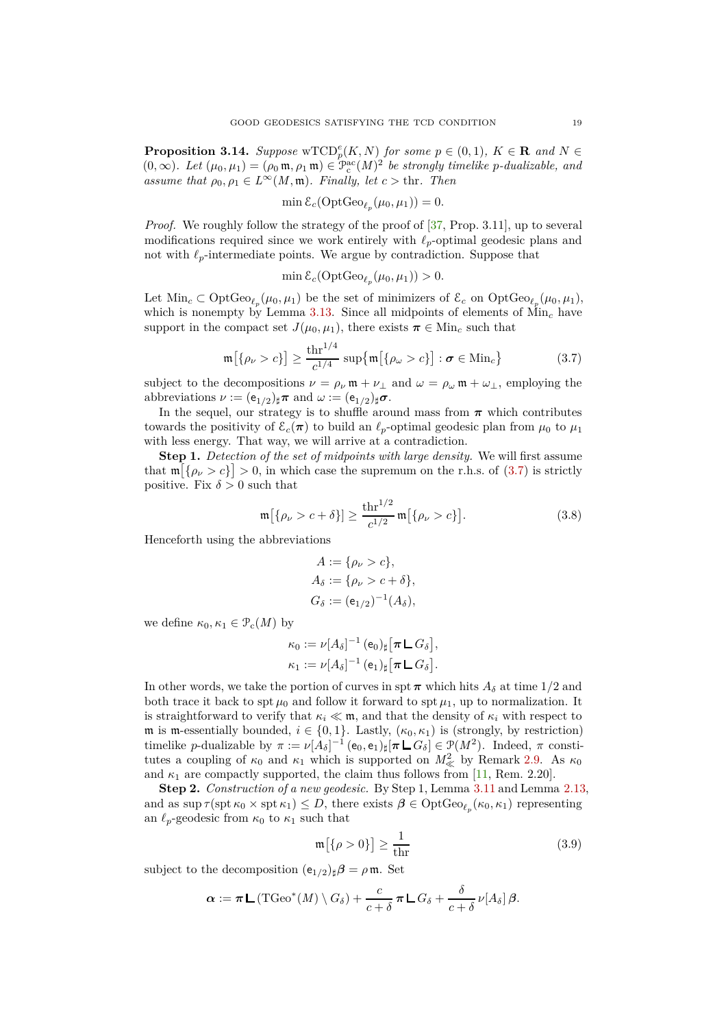<span id="page-18-0"></span>**Proposition 3.14.** *Suppose* wTCD<sup>e</sup><sub>p</sub>(K, N) *for some*  $p \in (0,1)$ *,*  $K \in \mathbb{R}$  *and*  $N \in$  $(0, \infty)$ *. Let*  $(\mu_0, \mu_1) = (\rho_0 \mathfrak{m}, \rho_1 \mathfrak{m}) \in \mathfrak{P}_c^{\text{ac}}(M)^2$  be strongly timelike p-dualizable, and *assume that*  $\rho_0, \rho_1 \in L^\infty(M, \mathfrak{m})$ *. Finally, let*  $c > \text{thr}$ *. Then* 

$$
\min \mathcal{E}_c(\mathrm{OptGeo}_{\ell_p}(\mu_0, \mu_1)) = 0.
$$

*Proof.* We roughly follow the strategy of the proof of [\[37,](#page-29-9) Prop. 3.11], up to several modifications required since we work entirely with *ℓp*-optimal geodesic plans and not with  $\ell_p$ -intermediate points. We argue by contradiction. Suppose that

<span id="page-18-1"></span>
$$
\min \mathcal{E}_c(\mathrm{OptGeo}_{\ell_p}(\mu_0, \mu_1)) > 0.
$$

Let  $\text{Min}_c \subset \text{OptGeo}_{\ell_p}(\mu_0, \mu_1)$  be the set of minimizers of  $\mathcal{E}_c$  on  $\text{OptGeo}_{\ell_p}(\mu_0, \mu_1)$ , which is nonempty by [Lemma](#page-17-0) 3.13. Since all midpoints of elements of  $\text{Min}_c$  have support in the compact set  $J(\mu_0, \mu_1)$ , there exists  $\pi \in \text{Min}_c$  such that

$$
\mathfrak{m}\big[\{\rho_{\nu} > c\}\big] \ge \frac{\text{thr}^{1/4}}{c^{1/4}} \sup\{\mathfrak{m}\big[\{\rho_{\omega} > c\}\big] : \sigma \in \text{Min}_c\} \tag{3.7}
$$

subject to the decompositions  $\nu = \rho_\nu \mathfrak{m} + \nu_\perp$  and  $\omega = \rho_\omega \mathfrak{m} + \omega_\perp$ , employing the abbreviations  $\nu := (e_{1/2})_{\sharp} \pi$  and  $\omega := (e_{1/2})_{\sharp} \sigma$ .

In the sequel, our strategy is to shuffle around mass from  $\pi$  which contributes towards the positivity of  $\mathcal{E}_c(\pi)$  to build an  $\ell_p$ -optimal geodesic plan from  $\mu_0$  to  $\mu_1$ with less energy. That way, we will arrive at a contradiction.

**Step 1.** *Detection of the set of midpoints with large density.* We will first assume that  $\mathfrak{m}[\{\rho_\nu > c\}] > 0$ , in which case the supremum on the r.h.s. of [\(3.7\)](#page-18-1) is strictly positive. Fix  $\delta > 0$  such that

$$
\mathfrak{m}[\{\rho_{\nu} > c + \delta\}] \ge \frac{\text{thr}^{1/2}}{c^{1/2}} \mathfrak{m}[\{\rho_{\nu} > c\}].
$$
 (3.8)

Henceforth using the abbreviations

<span id="page-18-3"></span>
$$
A := \{ \rho_{\nu} > c \},
$$
  
\n
$$
A_{\delta} := \{ \rho_{\nu} > c + \delta \},
$$
  
\n
$$
G_{\delta} := (e_{1/2})^{-1} (A_{\delta}),
$$

we define  $\kappa_0, \kappa_1 \in \mathcal{P}_c(M)$  by

$$
\kappa_0 := \nu[A_\delta]^{-1} (\mathbf{e}_0)_\sharp [\pi \mathsf{L} G_\delta],
$$
  

$$
\kappa_1 := \nu[A_\delta]^{-1} (\mathbf{e}_1)_\sharp [\pi \mathsf{L} G_\delta].
$$

In other words, we take the portion of curves in spt  $\pi$  which hits  $A_{\delta}$  at time 1/2 and both trace it back to spt  $\mu_0$  and follow it forward to spt  $\mu_1$ , up to normalization. It is straightforward to verify that  $\kappa_i \ll m$ , and that the density of  $\kappa_i$  with respect to m is m-essentially bounded,  $i \in \{0, 1\}$ . Lastly,  $(\kappa_0, \kappa_1)$  is (strongly, by restriction) timelike *p*-dualizable by  $\pi := \nu[A_\delta]^{-1}$  (e<sub>0</sub>, e<sub>1</sub>)<sub>‡</sub>[ $\pi \sqcup G_\delta$ ] ∈  $\mathcal{P}(M^2)$ . Indeed,  $\pi$  constitutes a coupling of  $\kappa_0$  and  $\kappa_1$  which is supported on  $M^2_{\ll}$  by [Remark](#page-8-3) 2.9. As  $\kappa_0$ and  $\kappa_1$  are compactly supported, the claim thus follows from [\[11,](#page-29-13) Rem. 2.20].

**Step 2.** *Construction of a new geodesic.* By Step 1, [Lemma](#page-16-1) 3.11 and [Lemma](#page-9-2) 2.13, and as  $\sup \tau(\text{spt } \kappa_0 \times \text{spt } \kappa_1) \leq D$ , there exists  $\beta \in \text{OptGeo}_{\ell_p}(\kappa_0, \kappa_1)$  representing an  $\ell_p$ -geodesic from  $\kappa_0$  to  $\kappa_1$  such that

<span id="page-18-2"></span>
$$
\mathfrak{m}[\{\rho > 0\}] \ge \frac{1}{\text{thr}}\tag{3.9}
$$

subject to the decomposition  $(e_{1/2})_{\sharp}\beta = \rho \mathfrak{m}$ . Set

$$
\alpha := \pi \mathsf{L} \left( \mathrm{TGeo}^*(M) \setminus G_\delta \right) + \frac{c}{c+\delta} \pi \mathsf{L} \, G_\delta + \frac{\delta}{c+\delta} \, \nu[A_\delta] \, \beta.
$$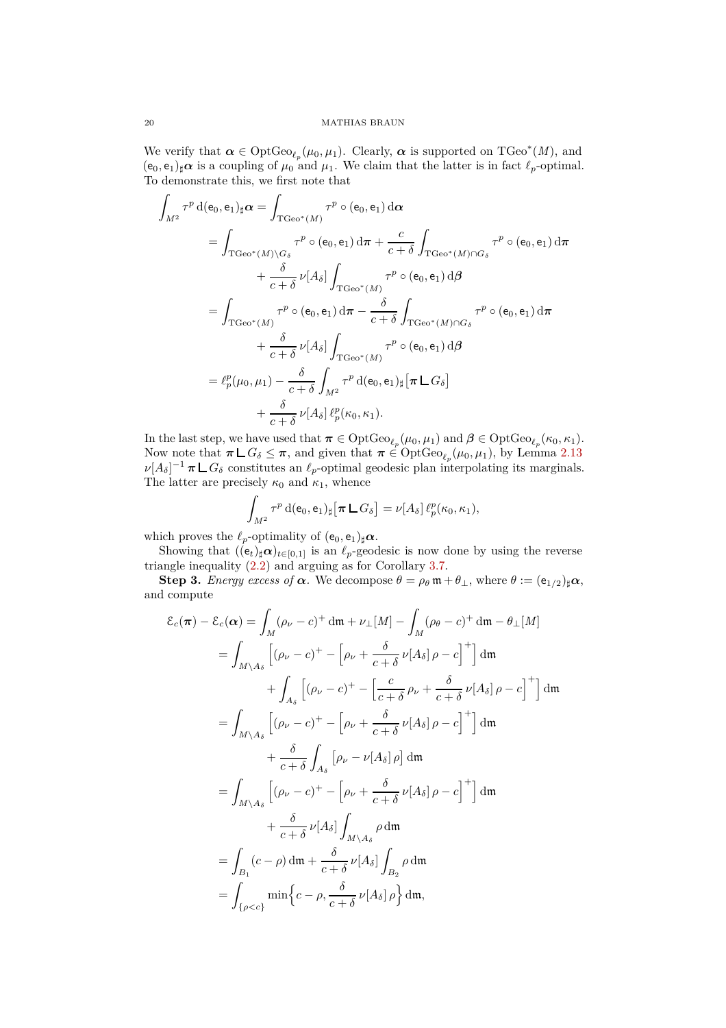We verify that  $\alpha \in \text{OptGeo}_{\ell_p}(\mu_0, \mu_1)$ . Clearly,  $\alpha$  is supported on  $\text{TGeo}^*(M)$ , and  $(e_0, e_1)_\sharp \alpha$  is a coupling of  $\mu_0$  and  $\mu_1$ . We claim that the latter is in fact  $\ell_p$ -optimal. To demonstrate this, we first note that

$$
\int_{M^2} \tau^p d(e_0, e_1)_{\sharp} \alpha = \int_{\text{TCee}^*(M)} \tau^p \circ (e_0, e_1) d\alpha
$$
\n
$$
= \int_{\text{TCee}^*(M) \backslash G_{\delta}} \tau^p \circ (e_0, e_1) d\pi + \frac{c}{c + \delta} \int_{\text{TCee}^*(M) \cap G_{\delta}} \tau^p \circ (e_0, e_1) d\pi
$$
\n
$$
+ \frac{\delta}{c + \delta} \nu[A_{\delta}] \int_{\text{TCee}^*(M)} \tau^p \circ (e_0, e_1) d\beta
$$
\n
$$
= \int_{\text{TCee}^*(M)} \tau^p \circ (e_0, e_1) d\pi - \frac{\delta}{c + \delta} \int_{\text{TCee}^*(M) \cap G_{\delta}} \tau^p \circ (e_0, e_1) d\pi
$$
\n
$$
+ \frac{\delta}{c + \delta} \nu[A_{\delta}] \int_{\text{TCee}^*(M)} \tau^p \circ (e_0, e_1) d\beta
$$
\n
$$
= \ell_p^p(\mu_0, \mu_1) - \frac{\delta}{c + \delta} \int_{M^2} \tau^p d(e_0, e_1)_{\sharp} [\pi \mathsf{L} \, G_{\delta}]
$$
\n
$$
+ \frac{\delta}{c + \delta} \nu[A_{\delta}] \, \ell_p^p(\kappa_0, \kappa_1).
$$

In the last step, we have used that  $\pi \in \text{OptGeo}_{\ell_p}(\mu_0, \mu_1)$  and  $\beta \in \text{OptGeo}_{\ell_p}(\kappa_0, \kappa_1)$ . Now note that  $\pi \mathsf{L} G_{\delta} \leq \pi$ , and given that  $\pi \in \text{OptGeo}_{\ell_p}(\mu_0, \mu_1)$ , by [Lemma](#page-9-2) 2.13  $\nu[A_\delta]^{-1}$  *π*  $\Box G_\delta$  constitutes an  $\ell_p$ -optimal geodesic plan interpolating its marginals. The latter are precisely  $\kappa_0$  and  $\kappa_1$ , whence

$$
\int_{M^2} \tau^p \, d(e_0, e_1)_\sharp \left[\pi \, \mathsf{L} \, G_\delta\right] = \nu[A_\delta] \, \ell_p^p(\kappa_0, \kappa_1),
$$

which proves the  $\ell_p$ -optimality of  $(e_0, e_1)_\sharp \alpha$ .

Showing that  $((e_t)_\sharp \alpha)_{t \in [0,1]}$  is an  $\ell_p$ -geodesic is now done by using the reverse triangle inequality [\(2.2\)](#page-7-2) and arguing as for [Corollary](#page-13-1) 3.7.

**Step 3.** *Energy excess of*  $\alpha$ . We decompose  $\theta = \rho_{\theta} \mathfrak{m} + \theta_{\perp}$ , where  $\theta := (e_{1/2})_{\sharp} \alpha$ , and compute

$$
\mathcal{E}_c(\pi) - \mathcal{E}_c(\alpha) = \int_M (\rho_\nu - c)^+ \, \mathrm{d}\mathfrak{m} + \nu_\perp [M] - \int_M (\rho_\theta - c)^+ \, \mathrm{d}\mathfrak{m} - \theta_\perp [M]
$$
\n
$$
= \int_M \left[ (\rho_\nu - c)^+ - \left[ \rho_\nu + \frac{\delta}{c + \delta} \nu [A_\delta] \rho - c \right]^+ \right] \, \mathrm{d}\mathfrak{m}
$$
\n
$$
+ \int_{A_\delta} \left[ (\rho_\nu - c)^+ - \left[ \frac{c}{c + \delta} \rho_\nu + \frac{\delta}{c + \delta} \nu [A_\delta] \rho - c \right]^+ \right] \, \mathrm{d}\mathfrak{m}
$$
\n
$$
= \int_{M \setminus A_\delta} \left[ (\rho_\nu - c)^+ - \left[ \rho_\nu + \frac{\delta}{c + \delta} \nu [A_\delta] \rho - c \right]^+ \right] \, \mathrm{d}\mathfrak{m}
$$
\n
$$
+ \frac{\delta}{c + \delta} \int_{A_\delta} \left[ \rho_\nu - \nu [A_\delta] \rho \right] \, \mathrm{d}\mathfrak{m}
$$
\n
$$
= \int_{M \setminus A_\delta} \left[ (\rho_\nu - c)^+ - \left[ \rho_\nu + \frac{\delta}{c + \delta} \nu [A_\delta] \rho - c \right]^+ \right] \, \mathrm{d}\mathfrak{m}
$$
\n
$$
+ \frac{\delta}{c + \delta} \nu [A_\delta] \int_{M \setminus A_\delta} \rho \, \mathrm{d}\mathfrak{m}
$$
\n
$$
= \int_{B_1} (c - \rho) \, \mathrm{d}\mathfrak{m} + \frac{\delta}{c + \delta} \nu [A_\delta] \int_{B_2} \rho \, \mathrm{d}\mathfrak{m}
$$
\n
$$
= \int_{\{\rho < c\}} \min \Big\{ c - \rho, \frac{\delta}{c + \delta} \nu [A_\delta] \rho \Big\} \, \mathrm{d}\mathfrak{m},
$$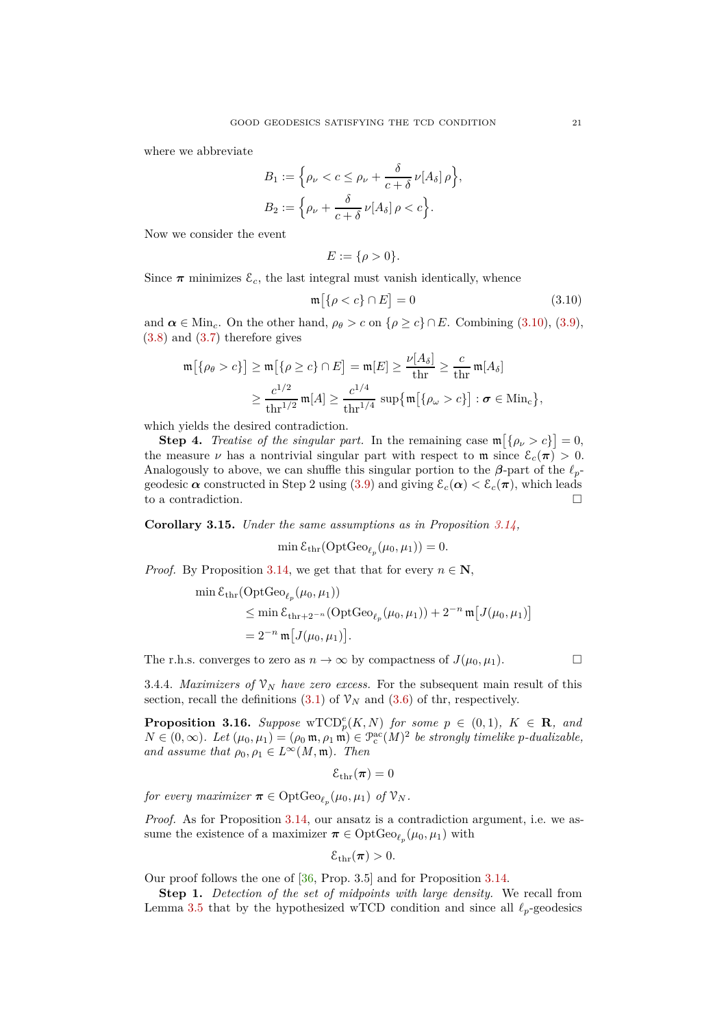where we abbreviate

$$
B_1 := \left\{ \rho_\nu < c \le \rho_\nu + \frac{\delta}{c + \delta} \nu[A_\delta] \rho \right\},
$$
\n
$$
B_2 := \left\{ \rho_\nu + \frac{\delta}{c + \delta} \nu[A_\delta] \rho < c \right\}.
$$

Now we consider the event

<span id="page-20-2"></span>
$$
E:=\{\rho>0\}.
$$

Since  $\pi$  minimizes  $\mathcal{E}_c$ , the last integral must vanish identically, whence

$$
\mathfrak{m}\big[\{\rho < c\} \cap E\big] = 0\tag{3.10}
$$

and  $\alpha \in \text{Min}_c$ . On the other hand,  $\rho_\theta > c$  on  $\{\rho \ge c\} \cap E$ . Combining [\(3.10\)](#page-20-2), [\(3.9\)](#page-18-2), [\(3.8\)](#page-18-3) and [\(3.7\)](#page-18-1) therefore gives

$$
\begin{aligned} \mathfrak{m}\big[\{\rho_\theta > c\}\big] &\geq \mathfrak{m}\big[\{\rho \geq c\} \cap E\big] = \mathfrak{m}[E] \geq \frac{\nu[A_\delta]}{\text{thr}} \geq \frac{c}{\text{thr}} \mathfrak{m}[A_\delta] \\ &\geq \frac{c^{1/2}}{\text{thr}^{1/2}} \mathfrak{m}[A] \geq \frac{c^{1/4}}{\text{thr}^{1/4}} \sup \big\{\mathfrak{m}\big[\{\rho_\omega > c\}\big] : \sigma \in \text{Min}_c\big\}, \end{aligned}
$$

which yields the desired contradiction.

**Step 4.** *Treatise of the singular part.* In the remaining case  $\mathfrak{m} \left[ \{ \rho_{\nu} > c \} \right] = 0$ , the measure *ν* has a nontrivial singular part with respect to **m** since  $\mathcal{E}_c(\pi) > 0$ . Analogously to above, we can shuffle this singular portion to the  $\beta$ -part of the  $\ell_p$ geodesic  $\alpha$  constructed in Step 2 using [\(3.9\)](#page-18-2) and giving  $\mathcal{E}_c(\alpha) < \mathcal{E}_c(\pi)$ , which leads to a contradiction.

<span id="page-20-1"></span>**Corollary 3.15.** *Under the same assumptions as in [Proposition](#page-18-0) 3.14,*

 $\min \mathcal{E}_{\text{thr}}(\text{OptGeo}_{\ell_p}(\mu_0, \mu_1)) = 0.$ 

*Proof.* By [Proposition](#page-18-0) 3.14, we get that that for every  $n \in \mathbb{N}$ ,

$$
\begin{aligned}\n\min \mathcal{E}_{\text{thr}}(\text{OptGeo}_{\ell_p}(\mu_0, \mu_1)) \\
&\leq \min \mathcal{E}_{\text{thr}+2^{-n}}(\text{OptGeo}_{\ell_p}(\mu_0, \mu_1)) + 2^{-n} \mathfrak{m} \big[ J(\mu_0, \mu_1) \big] \\
&= 2^{-n} \mathfrak{m} \big[ J(\mu_0, \mu_1) \big].\n\end{aligned}
$$

The r.h.s. converges to zero as  $n \to \infty$  by compactness of  $J(\mu_0, \mu_1)$ .

3.4.4. *Maximizers of*  $\mathcal{V}_N$  *have zero excess.* For the subsequent main result of this section, recall the definitions  $(3.1)$  of  $\mathcal{V}_N$  and  $(3.6)$  of thr, respectively.

<span id="page-20-0"></span>**Proposition 3.16.** *Suppose* wTCD<sup>e</sup><sub>p</sub>(K, N) for some  $p \in (0,1)$ ,  $K \in \mathbb{R}$ , and  $N \in (0, \infty)$ . Let  $(\mu_0, \mu_1) = (\rho_0 \mathfrak{m}, \rho_1 \mathfrak{m}) \in \mathfrak{P}_c^{\rm ac}(M)^2$  be strongly timelike *p*-dualizable, *and assume that*  $\rho_0, \rho_1 \in L^\infty(M, \mathfrak{m})$ *. Then* 

 $\mathcal{E}_{\text{thr}}(\boldsymbol{\pi}) = 0$ 

*for every maximizer*  $\boldsymbol{\pi} \in \mathrm{OptGeo}_{\ell_p}(\mu_0, \mu_1)$  *of*  $\mathcal{V}_N$ *.* 

*Proof.* As for [Proposition](#page-18-0) 3.14, our ansatz is a contradiction argument, i.e. we assume the existence of a maximizer  $\boldsymbol{\pi} \in \mathrm{OptGeo}_{\ell_p}(\mu_0, \mu_1)$  with

$$
\mathcal{E}_{\mathrm{thr}}(\pi)>0.
$$

Our proof follows the one of [\[36,](#page-29-8) Prop. 3.5] and for [Proposition](#page-18-0) 3.14.

**Step 1.** *Detection of the set of midpoints with large density.* We recall from [Lemma](#page-13-0) 3.5 that by the hypothesized wTCD condition and since all  $\ell_p$ -geodesics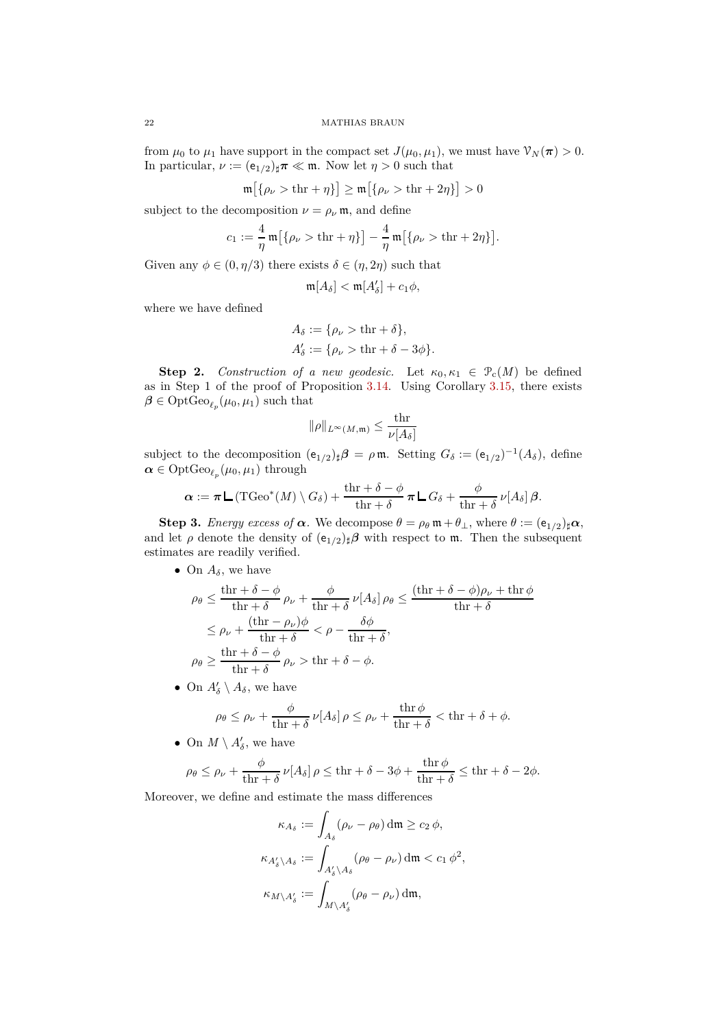from  $\mu_0$  to  $\mu_1$  have support in the compact set  $J(\mu_0, \mu_1)$ , we must have  $\mathcal{V}_N(\pi) > 0$ . In particular,  $\nu := (e_{1/2})_{\sharp} \pi \ll m$ . Now let  $\eta > 0$  such that

$$
\mathfrak{m}\big[\{\rho_\nu > \text{thr} + \eta\}\big] \ge \mathfrak{m}\big[\{\rho_\nu > \text{thr} + 2\eta\}\big] > 0
$$

subject to the decomposition  $\nu = \rho_{\nu} \mathfrak{m}$ , and define

 $\mathbf{1}$ 

$$
c_1 := \frac{4}{\eta} \mathfrak{m} \big[ \{ \rho_\nu > \text{thr} + \eta \} \big] - \frac{4}{\eta} \mathfrak{m} \big[ \{ \rho_\nu > \text{thr} + 2\eta \} \big].
$$

Given any  $\phi \in (0, \eta/3)$  there exists  $\delta \in (\eta, 2\eta)$  such that

$$
\mathfrak{m}[A_{\delta}] < \mathfrak{m}[A'_{\delta}] + c_1 \phi,
$$

where we have defined

$$
A_{\delta} := \{ \rho_{\nu} > \text{thr} + \delta \},
$$
  

$$
A'_{\delta} := \{ \rho_{\nu} > \text{thr} + \delta - 3\phi \}.
$$

**Step 2.** *Construction of a new geodesic.* Let  $\kappa_0, \kappa_1 \in \mathcal{P}_c(M)$  be defined as in Step 1 of the proof of [Proposition](#page-18-0) 3.14. Using [Corollary](#page-20-1) 3.15, there exists  $\beta \in \mathrm{OptGeo}_{\ell_p}(\mu_0, \mu_1)$  such that

$$
\|\rho\|_{L^\infty(M,\mathfrak{m})}\leq \frac{\text{thr}}{\nu[A_\delta]}
$$

subject to the decomposition  $(e_{1/2})_{\sharp}\beta = \rho \mathfrak{m}$ . Setting  $G_{\delta} := (e_{1/2})^{-1}(A_{\delta})$ , define  $\boldsymbol{\alpha} \in \mathrm{OptGeo}_{\ell_p}(\mu_0, \mu_1)$  through

$$
\alpha := \pi \mathsf{L} \left( \mathrm{TGeo}^*(M) \setminus G_\delta \right) + \frac{\mathrm{thr} + \delta - \phi}{\mathrm{thr} + \delta} \pi \mathsf{L} G_\delta + \frac{\phi}{\mathrm{thr} + \delta} \nu[A_\delta] \beta.
$$

**Step 3.** *Energy excess of*  $\alpha$ . We decompose  $\theta = \rho_{\theta} \mathfrak{m} + \theta_{\perp}$ , where  $\theta := (e_{1/2})_{\sharp} \alpha$ , and let  $\rho$  denote the density of  $(e_{1/2})_{\sharp}\beta$  with respect to m. Then the subsequent estimates are readily verified.

• On  $A_\delta$ , we have

$$
\rho_{\theta} \leq \frac{\text{thr} + \delta - \phi}{\text{thr} + \delta} \rho_{\nu} + \frac{\phi}{\text{thr} + \delta} \nu[A_{\delta}] \rho_{\theta} \leq \frac{(\text{thr} + \delta - \phi)\rho_{\nu} + \text{thr} \phi}{\text{thr} + \delta}
$$
  

$$
\leq \rho_{\nu} + \frac{(\text{thr} - \rho_{\nu})\phi}{\text{thr} + \delta} < \rho - \frac{\delta\phi}{\text{thr} + \delta},
$$
  

$$
\rho_{\theta} \geq \frac{\text{thr} + \delta - \phi}{\text{thr} + \delta} \rho_{\nu} > \text{thr} + \delta - \phi.
$$

• On  $A'_{\delta} \setminus A_{\delta}$ , we have

$$
\rho_{\theta} \leq \rho_{\nu} + \frac{\phi}{\text{thr} + \delta} \, \nu[A_{\delta}] \, \rho \leq \rho_{\nu} + \frac{\text{thr} \, \phi}{\text{thr} + \delta} < \text{thr} + \delta + \phi.
$$

• On  $M \setminus A'_{\delta}$ , we have

$$
\rho_{\theta} \le \rho_{\nu} + \frac{\phi}{\text{thr} + \delta} \, \nu[A_{\delta}] \, \rho \le \text{thr} + \delta - 3\phi + \frac{\text{thr}\,\phi}{\text{thr} + \delta} \le \text{thr} + \delta - 2\phi.
$$

Moreover, we define and estimate the mass differences

$$
\kappa_{A_{\delta}} := \int_{A_{\delta}} (\rho_{\nu} - \rho_{\theta}) \, \mathrm{d}\mathfrak{m} \ge c_2 \, \phi,
$$
  

$$
\kappa_{A'_{\delta} \setminus A_{\delta}} := \int_{A'_{\delta} \setminus A_{\delta}} (\rho_{\theta} - \rho_{\nu}) \, \mathrm{d}\mathfrak{m} < c_1 \, \phi^2,
$$
  

$$
\kappa_{M \setminus A'_{\delta}} := \int_{M \setminus A'_{\delta}} (\rho_{\theta} - \rho_{\nu}) \, \mathrm{d}\mathfrak{m},
$$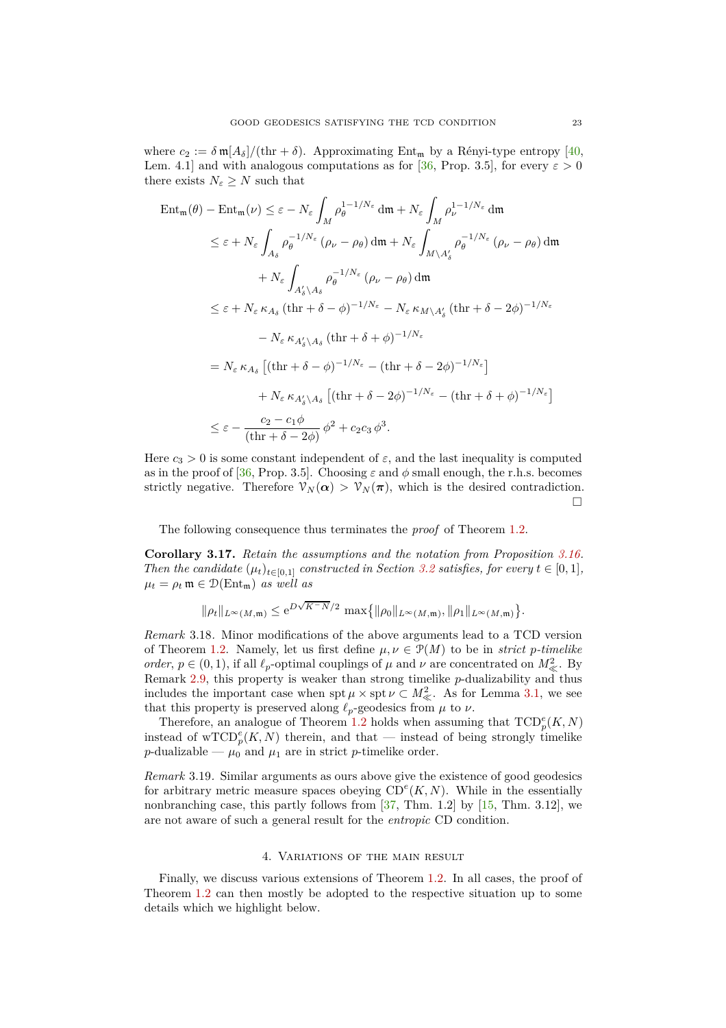where  $c_2 := \delta \frac{m[A_\delta]}{(\text{thr} + \delta)}$ . Approximating Ent<sub>m</sub> by a Rényi-type entropy [\[40,](#page-29-0) Lem. 4.1] and with analogous computations as for [\[36,](#page-29-8) Prop. 3.5], for every  $\varepsilon > 0$ there exists  $N_{\varepsilon} \geq N$  such that

$$
\begin{split} \operatorname{Ent}_{\mathfrak{m}}(\theta) - \operatorname{Ent}_{\mathfrak{m}}(\nu) &\leq \varepsilon - N_{\varepsilon} \int_{M} \rho_{\theta}^{1-1/N_{\varepsilon}} \operatorname{d}\mathfrak{m} + N_{\varepsilon} \int_{M} \rho_{\nu}^{1-1/N_{\varepsilon}} \operatorname{d}\mathfrak{m} \\ &\leq \varepsilon + N_{\varepsilon} \int_{A_{\delta}} \rho_{\theta}^{-1/N_{\varepsilon}} \left( \rho_{\nu} - \rho_{\theta} \right) \operatorname{d}\mathfrak{m} + N_{\varepsilon} \int_{M \setminus A_{\delta}'} \rho_{\theta}^{-1/N_{\varepsilon}} \left( \rho_{\nu} - \rho_{\theta} \right) \operatorname{d}\mathfrak{m} \\ &\quad + N_{\varepsilon} \int_{A_{\delta}^{\prime} \setminus A_{\delta}} \rho_{\theta}^{-1/N_{\varepsilon}} \left( \rho_{\nu} - \rho_{\theta} \right) \operatorname{d}\mathfrak{m} \\ &\leq \varepsilon + N_{\varepsilon} \kappa_{A_{\delta}} \left( \operatorname{thr} + \delta - \phi \right)^{-1/N_{\varepsilon}} - N_{\varepsilon} \kappa_{M \setminus A_{\delta}^{\prime}} \left( \operatorname{thr} + \delta - 2\phi \right)^{-1/N_{\varepsilon}} \\ &\quad - N_{\varepsilon} \kappa_{A_{\delta}^{\prime} \setminus A_{\delta}} \left( \operatorname{thr} + \delta + \phi \right)^{-1/N_{\varepsilon}} \\ &\leq N_{\varepsilon} \kappa_{A_{\delta}} \left[ \left( \operatorname{thr} + \delta - \phi \right)^{-1/N_{\varepsilon}} - \left( \operatorname{thr} + \delta - 2\phi \right)^{-1/N_{\varepsilon}} \right] \\ &\quad + N_{\varepsilon} \kappa_{A_{\delta}^{\prime} \setminus A_{\delta}} \left[ \left( \operatorname{thr} + \delta - 2\phi \right)^{-1/N_{\varepsilon}} - \left( \operatorname{thr} + \delta + \phi \right)^{-1/N_{\varepsilon}} \right] \\ &\leq \varepsilon - \frac{c_2 - c_1 \phi}{\left( \operatorname{thr} + \delta - 2\phi \right)} \phi^2 + c_2
$$

Here  $c_3 > 0$  is some constant independent of  $\varepsilon$ , and the last inequality is computed as in the proof of [\[36,](#page-29-8) Prop. 3.5]. Choosing  $\varepsilon$  and  $\phi$  small enough, the r.h.s. becomes strictly negative. Therefore  $\mathcal{V}_N(\alpha) > \mathcal{V}_N(\pi)$ , which is the desired contradiction.  $\Box$ 

The following consequence thus terminates the *proof* of [Theorem](#page-2-0) 1.2.

**Corollary 3.17.** *Retain the assumptions and the notation from [Proposition](#page-20-0) 3.16. Then the candidate*  $(\mu_t)_{t \in [0,1]}$  *constructed in [Section](#page-12-0) 3.2 satisfies, for every*  $t \in [0,1]$ *,*  $\mu_t = \rho_t \mathfrak{m} \in \mathcal{D}(\text{Ent}_{\mathfrak{m}})$  *as well as* 

$$
\|\rho_t\|_{L^{\infty}(M,{\mathfrak m})}\leq {\rm e}^{D\sqrt{K-N}/2}\, \max\bigl\{\|\rho_0\|_{L^{\infty}(M,{\mathfrak m})}, \|\rho_1\|_{L^{\infty}(M,{\mathfrak m})}\bigr\}.
$$

<span id="page-22-1"></span>*Remark* 3.18*.* Minor modifications of the above arguments lead to a TCD version of [Theorem](#page-2-0) 1.2. Namely, let us first define  $\mu, \nu \in \mathcal{P}(M)$  to be in *strict p-timelike order*,  $p \in (0, 1)$ , if all  $\ell_p$ -optimal couplings of  $\mu$  and  $\nu$  are concentrated on  $M^2_{\ll}$ . By [Remark](#page-8-3) 2.9, this property is weaker than strong timelike *p*-dualizability and thus includes the important case when  $\operatorname{spt} \mu \times \operatorname{spt} \nu \subset M^2_{\ll}$ . As for [Lemma](#page-11-2) 3.1, we see that this property is preserved along  $\ell_p$ -geodesics from  $\mu$  to  $\nu$ .

Therefore, an analogue of [Theorem](#page-2-0) 1.2 holds when assuming that  $\text{TCD}_{p}^{e}(K, N)$ instead of  $\mathrm{wTCD}_p^e(K, N)$  therein, and that — instead of being strongly timelike *p*-dualizable —  $\mu_0$  and  $\mu_1$  are in strict *p*-timelike order.

*Remark* 3.19*.* Similar arguments as ours above give the existence of good geodesics for arbitrary metric measure spaces obeying  $CD<sup>e</sup>(K, N)$ . While in the essentially nonbranching case, this partly follows from  $[37, Thm. 1.2]$  by  $[15, Thm. 3.12]$ , we are not aware of such a general result for the *entropic* CD condition.

# 4. Variations of the main result

<span id="page-22-0"></span>Finally, we discuss various extensions of [Theorem](#page-2-0) 1.2. In all cases, the proof of [Theorem](#page-2-0) 1.2 can then mostly be adopted to the respective situation up to some details which we highlight below.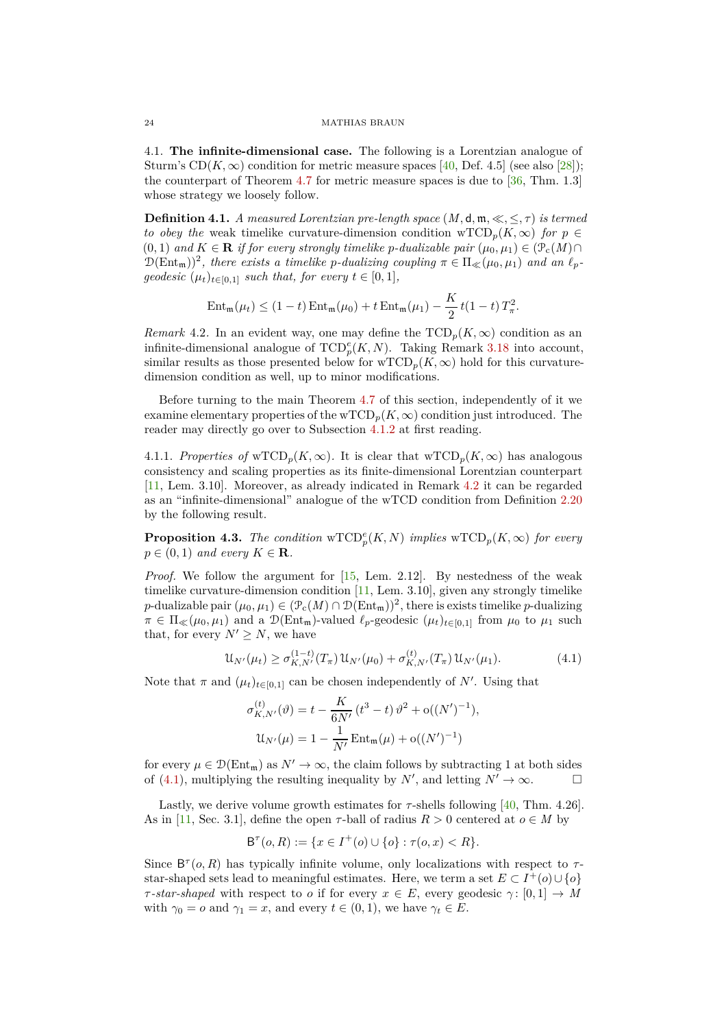<span id="page-23-0"></span>4.1. **The infinite-dimensional case.** The following is a Lorentzian analogue of Sturm's  $CD(K, \infty)$  condition for metric measure spaces [\[40,](#page-29-0) Def. 4.5] (see also [\[28\]](#page-29-1)); the counterpart of [Theorem](#page-25-0) 4.7 for metric measure spaces is due to  $[36, Thm. 1.3]$ whose strategy we loosely follow.

<span id="page-23-1"></span>**Definition 4.1.** *A measured Lorentzian pre-length space*  $(M, d, m, \ll, \leq, \tau)$  *is termed to obey the* weak timelike curvature-dimension condition wTCD<sub>p</sub>( $K, \infty$ ) *for*  $p \in$ (0*,* 1) and  $K \in \mathbf{R}$  if for every strongly timelike p-dualizable pair  $(\mu_0, \mu_1) \in (\mathcal{P}_c(M) \cap$  $D(\text{Ent}_{\mathfrak{m}}))^2$ , there exists a timelike *p*-dualizing coupling  $\pi \in \Pi_{\ll}(\mu_0, \mu_1)$  and an  $\ell_p$ *geodesic*  $(\mu_t)_{t \in [0,1]}$  *such that, for every*  $t \in [0,1]$ *,* 

$$
Ent_{\mathfrak{m}}(\mu_t) \le (1-t) Ent_{\mathfrak{m}}(\mu_0) + t Ent_{\mathfrak{m}}(\mu_1) - \frac{K}{2} t (1-t) T_{\pi}^2.
$$

<span id="page-23-2"></span>*Remark* 4.2. In an evident way, one may define the  $\text{TCD}_p(K,\infty)$  condition as an infinite-dimensional analogue of  $\text{TCD}_p^e(K, N)$ . Taking [Remark](#page-22-1) 3.18 into account, similar results as those presented below for  $\text{wTCD}_p(K,\infty)$  hold for this curvaturedimension condition as well, up to minor modifications.

Before turning to the main [Theorem](#page-25-0) 4.7 of this section, independently of it we examine elementary properties of the  $wTCD_p(K,\infty)$  condition just introduced. The reader may directly go over to [Subsection](#page-25-1) 4.1.2 at first reading.

4.1.1. *Properties of* wTCD<sub>p</sub>( $K, \infty$ ). It is clear that wTCD<sub>p</sub>( $K, \infty$ ) has analogous consistency and scaling properties as its finite-dimensional Lorentzian counterpart [\[11,](#page-29-13) Lem. 3.10]. Moreover, as already indicated in [Remark](#page-23-2) 4.2 it can be regarded as an "infinite-dimensional" analogue of the wTCD condition from [Definition](#page-10-1) 2.20 by the following result.

**Proposition 4.3.** *The condition*  $\mathrm{wTCD}_p^e(K, N)$  *implies*  $\mathrm{wTCD}_p(K, \infty)$  *for every*  $p \in (0,1)$  *and every*  $K \in \mathbf{R}$ *.* 

*Proof.* We follow the argument for [\[15,](#page-29-3) Lem. 2.12]. By nestedness of the weak timelike curvature-dimension condition [\[11,](#page-29-13) Lem. 3.10], given any strongly timelike *p*-dualizable pair  $(\mu_0, \mu_1) \in (\mathcal{P}_c(M) \cap \mathcal{D}(Ent_m))^2$ , there is exists timelike *p*-dualizing  $\pi \in \Pi_{\ll}(\mu_0, \mu_1)$  and a  $\mathcal{D}(\text{Ent}_{\mathfrak{m}})$ -valued  $\ell_p$ -geodesic  $(\mu_t)_{t \in [0,1]}$  from  $\mu_0$  to  $\mu_1$  such that, for every  $N' \geq N$ , we have

$$
\mathcal{U}_{N'}(\mu_t) \ge \sigma_{K,N'}^{(1-t)}(T_\pi) \mathcal{U}_{N'}(\mu_0) + \sigma_{K,N'}^{(t)}(T_\pi) \mathcal{U}_{N'}(\mu_1). \tag{4.1}
$$

Note that  $\pi$  and  $(\mu_t)_{t \in [0,1]}$  can be chosen independently of N'. Using that

<span id="page-23-3"></span>
$$
\sigma_{K,N'}^{(t)}(\vartheta) = t - \frac{K}{6N'}(t^3 - t) \vartheta^2 + o((N')^{-1}),
$$
  

$$
\mathfrak{U}_{N'}(\mu) = 1 - \frac{1}{N'} \operatorname{Ent}_{m}(\mu) + o((N')^{-1})
$$

for every  $\mu \in \mathcal{D}(\text{Ent}_{m})$  as  $N' \to \infty$ , the claim follows by subtracting 1 at both sides of (4.1), multiplying the resulting inequality by  $N'$ , and letting  $N' \to \infty$ . of [\(4.1\)](#page-23-3), multiplying the resulting inequality by  $N'$ , and letting  $N' \to \infty$ .

Lastly, we derive volume growth estimates for  $\tau$ -shells following [\[40,](#page-29-0) Thm. 4.26]. As in [\[11,](#page-29-13) Sec. 3.1], define the open  $\tau$ -ball of radius  $R > 0$  centered at  $o \in M$  by

$$
\mathsf{B}^{\tau}(o, R) := \{ x \in I^+(o) \cup \{ o \} : \tau(o, x) < R \}.
$$

Since  $B^{\tau}(o, R)$  has typically infinite volume, only localizations with respect to  $\tau$ star-shaped sets lead to meaningful estimates. Here, we term a set  $E \subset I^+(o) \cup \{o\}$ *τ*-star-shaped with respect to *o* if for every  $x \in E$ , every geodesic  $\gamma : [0, 1] \to M$ with  $\gamma_0 = o$  and  $\gamma_1 = x$ , and every  $t \in (0, 1)$ , we have  $\gamma_t \in E$ .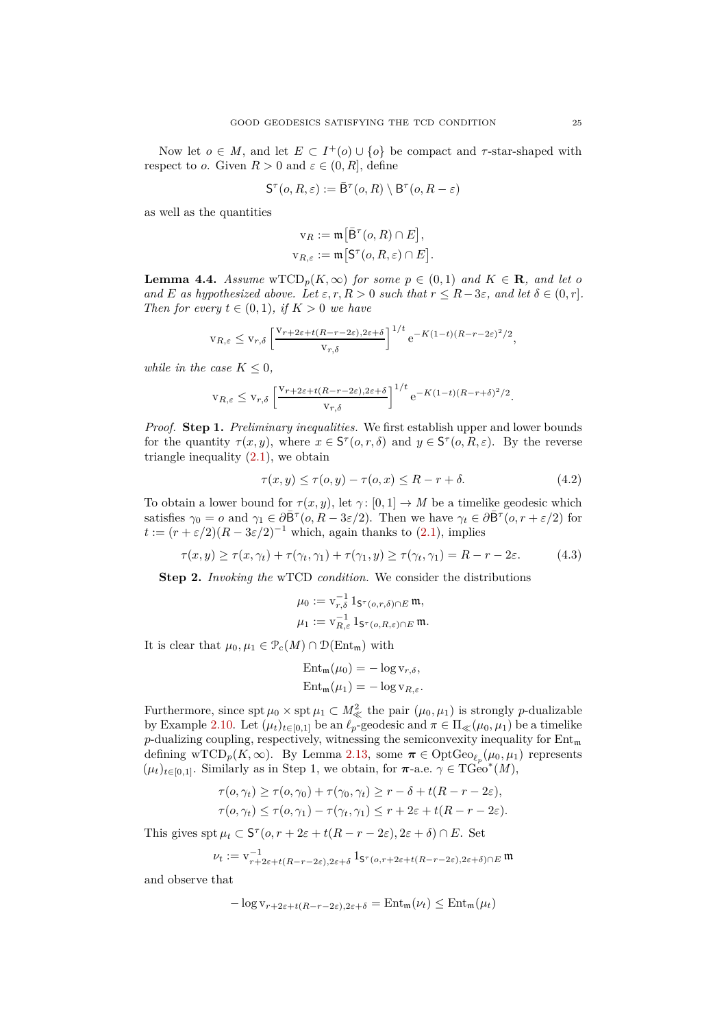Now let  $o \in M$ , and let  $E \subset I^+(o) \cup \{o\}$  be compact and  $\tau$ -star-shaped with respect to *o*. Given  $R > 0$  and  $\varepsilon \in (0, R]$ , define

$$
\mathsf{S}^{\tau}(o,R,\varepsilon):=\bar{\mathsf{B}}^{\tau}(o,R)\setminus \mathsf{B}^{\tau}(o,R-\varepsilon)
$$

as well as the quantities

$$
v_R := \mathfrak{m}\big[\bar{B}^{\tau}(o, R) \cap E\big],
$$
  

$$
v_{R,\varepsilon} := \mathfrak{m}\big[S^{\tau}(o, R, \varepsilon) \cap E\big].
$$

<span id="page-24-2"></span>**Lemma 4.4.** *Assume*  $\text{wTCD}_p(K, \infty)$  *for some*  $p \in (0, 1)$  *and*  $K \in \mathbb{R}$ *, and let o and E as hypothesized above. Let*  $\varepsilon, r, R > 0$  *such that*  $r \leq R - 3\varepsilon$ *, and let*  $\delta \in (0, r]$ *. Then for every*  $t \in (0,1)$ *, if*  $K > 0$  *we have* 

$$
v_{R,\varepsilon} \le v_{r,\delta} \left[ \frac{v_{r+2\varepsilon+t(R-r-2\varepsilon),2\varepsilon+\delta}}{v_{r,\delta}} \right]^{1/t} e^{-K(1-t)(R-r-2\varepsilon)^2/2},
$$

*while in the case*  $K \leq 0$ *,* 

$$
v_{R,\varepsilon} \le v_{r,\delta} \left[ \frac{v_{r+2\varepsilon + t(R-r-2\varepsilon),2\varepsilon + \delta}}{v_{r,\delta}} \right]^{1/t} e^{-K(1-t)(R-r+\delta)^2/2}.
$$

*Proof.* **Step 1.** *Preliminary inequalities.* We first establish upper and lower bounds for the quantity  $\tau(x, y)$ , where  $x \in S^{\tau}(o, r, \delta)$  and  $y \in S^{\tau}(o, R, \varepsilon)$ . By the reverse triangle inequality  $(2.1)$ , we obtain

$$
\tau(x, y) \le \tau(o, y) - \tau(o, x) \le R - r + \delta. \tag{4.2}
$$

To obtain a lower bound for  $\tau(x, y)$ , let  $\gamma: [0, 1] \to M$  be a timelike geodesic which satisfies  $\gamma_0 = o$  and  $\gamma_1 \in \partial \overline{B}^{\tau} (o, R - 3\varepsilon/2)$ . Then we have  $\gamma_t \in \partial \overline{B}^{\tau} (o, r + \varepsilon/2)$  for  $t := (r + \varepsilon/2)(R - 3\varepsilon/2)^{-1}$  which, again thanks to [\(2.1\)](#page-5-1), implies

$$
\tau(x, y) \ge \tau(x, \gamma_t) + \tau(\gamma_t, \gamma_1) + \tau(\gamma_1, y) \ge \tau(\gamma_t, \gamma_1) = R - r - 2\varepsilon. \tag{4.3}
$$

**Step 2.** *Invoking the* wTCD *condition.* We consider the distributions

<span id="page-24-1"></span><span id="page-24-0"></span>
$$
\mu_0 := \mathbf{v}_{r,\delta}^{-1} 1_{\mathsf{S}^\tau(o,r,\delta) \cap E} \mathfrak{m},
$$
  

$$
\mu_1 := \mathbf{v}_{R,\varepsilon}^{-1} 1_{\mathsf{S}^\tau(o,R,\varepsilon) \cap E} \mathfrak{m}.
$$

It is clear that  $\mu_0, \mu_1 \in \mathcal{P}_c(M) \cap \mathcal{D}(\text{Ent}_{m})$  with

$$
\operatorname{Ent}_{\mathfrak{m}}(\mu_0) = -\log v_{r,\delta},
$$
  

$$
\operatorname{Ent}_{\mathfrak{m}}(\mu_1) = -\log v_{R,\varepsilon}.
$$

Furthermore, since  $\text{spt } \mu_0 \times \text{spt } \mu_1 \subset M^2_{\ll}$  the pair  $(\mu_0, \mu_1)$  is strongly *p*-dualizable by [Example](#page-8-5) 2.10. Let  $(\mu_t)_{t \in [0,1]}$  be an  $\ell_p$ -geodesic and  $\pi \in \Pi_{\ll}(\mu_0, \mu_1)$  be a timelike *p*-dualizing coupling, respectively, witnessing the semiconvexity inequality for  $Ent_{m}$ defining wTCD<sub>*p*</sub>( $K$ ,  $\infty$ ). By [Lemma](#page-9-2) 2.13, some  $\pi \in \text{OptGeo}_{\ell_p}(\mu_0, \mu_1)$  represents  $(\mu_t)_{t \in [0,1]}$ . Similarly as in Step 1, we obtain, for  $\pi$ -a.e.  $\gamma \in \text{TGeo}^*(M)$ ,

$$
\tau(o, \gamma_t) \ge \tau(o, \gamma_0) + \tau(\gamma_0, \gamma_t) \ge r - \delta + t(R - r - 2\varepsilon),
$$
  

$$
\tau(o, \gamma_t) \le \tau(o, \gamma_1) - \tau(\gamma_t, \gamma_1) \le r + 2\varepsilon + t(R - r - 2\varepsilon).
$$

This gives  $\operatorname{spt} \mu_t \subset \mathsf{S}^\tau(o, r + 2\varepsilon + t(R - r - 2\varepsilon), 2\varepsilon + \delta) \cap E$ . Set

$$
\nu_t:=\mathbf{v}_{r+2\varepsilon+t(R-r-2\varepsilon),2\varepsilon+\delta}^{-1}\, \mathbf{1}_{\mathsf{S}^\tau(o,r+2\varepsilon+t(R-r-2\varepsilon),2\varepsilon+\delta)\cap E}\, \mathfrak{m}
$$

and observe that

$$
-\log v_{r+2\varepsilon+t(R-r-2\varepsilon),2\varepsilon+\delta} = \mathrm{Ent}_{\mathfrak{m}}(\nu_t) \le \mathrm{Ent}_{\mathfrak{m}}(\mu_t)
$$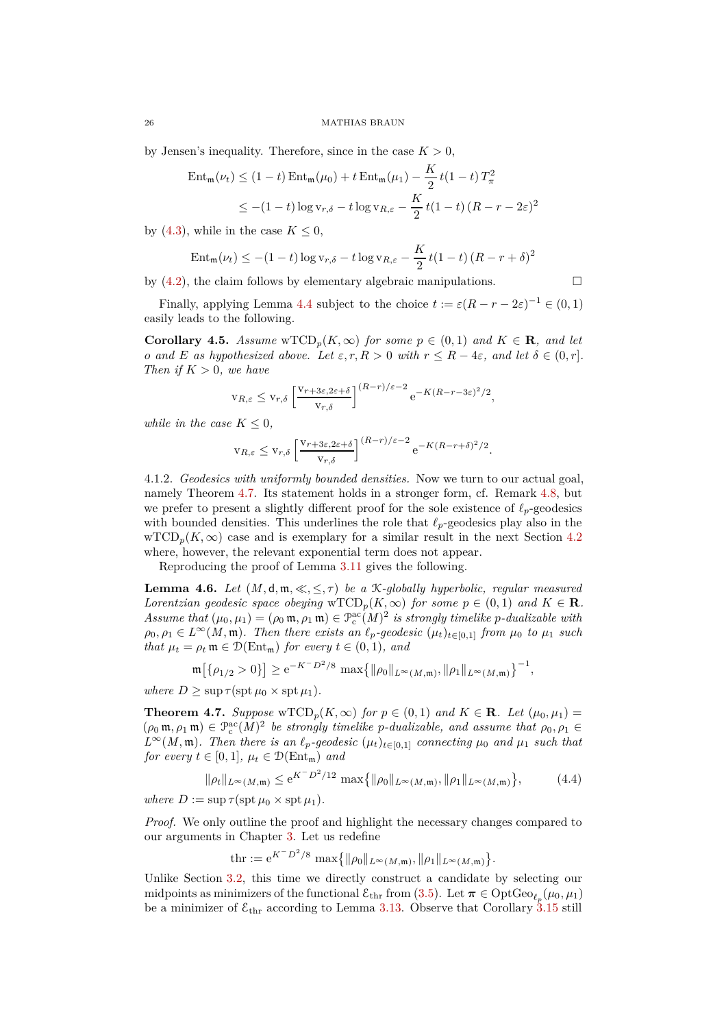by Jensen's inequality. Therefore, since in the case  $K > 0$ ,

$$
\begin{aligned} \text{Ent}_{\mathfrak{m}}(\nu_t) &\leq (1-t)\,\text{Ent}_{\mathfrak{m}}(\mu_0) + t\,\text{Ent}_{\mathfrak{m}}(\mu_1) - \frac{K}{2}\,t(1-t)\,T_\pi^2 \\ &\leq -(1-t)\log v_{r,\delta} - t\log v_{R,\varepsilon} - \frac{K}{2}\,t(1-t)\,(R-r-2\varepsilon)^2 \end{aligned}
$$

by [\(4.3\)](#page-24-0), while in the case  $K \leq 0$ ,

$$
Ent_{\mathfrak{m}}(\nu_t) \le -(1-t)\log v_{r,\delta} - t\log v_{R,\varepsilon} - \frac{K}{2}t(1-t)(R-r+\delta)^2
$$

by  $(4.2)$ , the claim follows by elementary algebraic manipulations.

Finally, applying [Lemma](#page-24-2) 4.4 subject to the choice  $t := \varepsilon (R - r - 2\varepsilon)^{-1} \in (0, 1)$ easily leads to the following.

**Corollary 4.5.** *Assume*  $\mathrm{wTCD}_p(K,\infty)$  *for some*  $p \in (0,1)$  *and*  $K \in \mathbb{R}$ *, and let o and E as hypothesized above. Let*  $\varepsilon, r, R > 0$  *with*  $r \leq R - 4\varepsilon$ *, and let*  $\delta \in (0, r]$ *. Then if*  $K > 0$ *, we have* 

$$
v_{R,\varepsilon} \le v_{r,\delta} \left[ \frac{v_{r+3\varepsilon,2\varepsilon+\delta}}{v_{r,\delta}} \right]^{(R-r)/\varepsilon-2} e^{-K(R-r-3\varepsilon)^2/2},
$$

*while in the case*  $K \leq 0$ *,* 

$$
v_{R,\varepsilon} \le v_{r,\delta} \left[ \frac{v_{r+3\varepsilon,2\varepsilon+\delta}}{v_{r,\delta}} \right]^{(R-r)/\varepsilon-2} e^{-K(R-r+\delta)^2/2}.
$$

<span id="page-25-1"></span>4.1.2. *Geodesics with uniformly bounded densities.* Now we turn to our actual goal, namely [Theorem](#page-25-0) 4.7. Its statement holds in a stronger form, cf. [Remark](#page-26-1) 4.8, but we prefer to present a slightly different proof for the sole existence of *ℓp*-geodesics with bounded densities. This underlines the role that *ℓp*-geodesics play also in the  $\mathrm{wTCD}_p(K,\infty)$  case and is exemplary for a similar result in the next [Section](#page-26-0) 4.2 where, however, the relevant exponential term does not appear.

Reproducing the proof of [Lemma](#page-16-1) 3.11 gives the following.

<span id="page-25-2"></span>**Lemma 4.6.** *Let*  $(M, d, \mathfrak{m}, \ll, \leq, \tau)$  *be a K-globally hyperbolic, regular measured Lorentzian geodesic space obeying*  $\mathrm{wTCD}_p(K,\infty)$  *for some*  $p \in (0,1)$  *and*  $K \in \mathbb{R}$ *. Assume that*  $(\mu_0, \mu_1) = (\rho_0 \mathfrak{m}, \rho_1 \mathfrak{m}) \in \mathcal{P}_c^{\text{ac}}(M)^2$  *is strongly timelike p-dualizable with*  $\rho_0, \rho_1 \in L^\infty(M, \mathfrak{m})$ *. Then there exists an*  $\ell_p$ -geodesic  $(\mu_t)_{t \in [0,1]}$  *from*  $\mu_0$  *to*  $\mu_1$  *such that*  $\mu_t = \rho_t \mathfrak{m} \in \mathcal{D}(\text{Ent}_{\mathfrak{m}})$  *for every*  $t \in (0,1)$ *, and* 

$$
\mathfrak{m}\big[\{\rho_{1/2}>0\}\big] \geq e^{-K^-D^2/8} \max\big\{\|\rho_0\|_{L^\infty(M,\mathfrak{m})}, \|\rho_1\|_{L^\infty(M,\mathfrak{m})}\big\}^{-1},
$$

 $where D \ge \sup \tau(\sup \mu_0 \times \sup \mu_1)$ .

<span id="page-25-0"></span>**Theorem 4.7.** *Suppose* wTCD<sub>p</sub>( $K, \infty$ ) *for*  $p \in (0,1)$  *and*  $K \in \mathbb{R}$ *. Let*  $(\mu_0, \mu_1)$  =  $(\rho_0 \mathfrak{m}, \rho_1 \mathfrak{m}) \in \mathcal{P}_c^{\text{ac}}(M)^2$  be strongly timelike *p*-dualizable, and assume that  $\rho_0, \rho_1 \in$  $L^{\infty}(M, \mathfrak{m})$ *. Then there is an*  $\ell_p$ *-geodesic*  $(\mu_t)_{t \in [0,1]}$  *connecting*  $\mu_0$  *and*  $\mu_1$  *such that for every*  $t \in [0, 1]$ *,*  $\mu_t \in \mathcal{D}(\text{Ent}_{\mathfrak{m}})$  *and* 

$$
\|\rho_t\|_{L^{\infty}(M,\mathfrak{m})} \le e^{K^-D^2/12} \max\{ \|\rho_0\|_{L^{\infty}(M,\mathfrak{m})}, \|\rho_1\|_{L^{\infty}(M,\mathfrak{m})} \},
$$
(4.4)

 $where D := \sup \tau(\operatorname{spt} \mu_0 \times \operatorname{spt} \mu_1).$ 

*Proof.* We only outline the proof and highlight the necessary changes compared to our arguments in [Chapter](#page-11-0) 3. Let us redefine

<span id="page-25-3"></span> $\text{thr} := e^{K-D^2/8} \max\{ \|\rho_0\|_{L^\infty(M,\mathfrak{m})}, \|\rho_1\|_{L^\infty(M,\mathfrak{m})} \}.$ 

Unlike [Section](#page-12-0) 3.2, this time we directly construct a candidate by selecting our midpoints as minimizers of the functional  $\mathcal{E}_{\text{thr}}$  from [\(3.5\)](#page-17-2). Let  $\pi \in \text{OptGeo}_{\ell_p}(\mu_0, \mu_1)$ be a minimizer of  $\mathcal{E}_{\text{thr}}$  according to [Lemma](#page-17-0) 3.13. Observe that [Corollary](#page-20-1) 3.15 still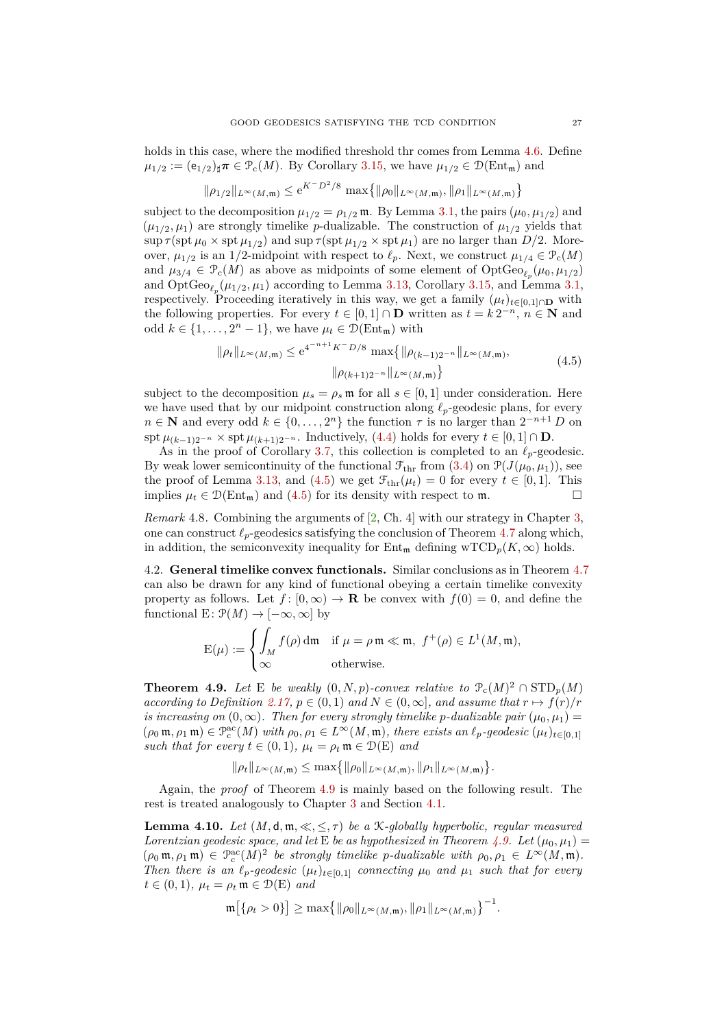holds in this case, where the modified threshold thr comes from [Lemma](#page-25-2) 4.6. Define  $\mu_{1/2} := (e_{1/2})_{\sharp} \pi \in \mathcal{P}_c(M)$ . By [Corollary](#page-20-1) 3.15, we have  $\mu_{1/2} \in \mathcal{D}(\text{Ent}_{m})$  and

$$
\|\rho_{1/2}\|_{L^\infty(M,{\mathfrak m})} \leq \mathrm{e}^{K^-D^2/8}\,\max\!\big\{\|\rho_0\|_{L^\infty(M,{\mathfrak m})},\|\rho_1\|_{L^\infty(M,{\mathfrak m})}\big\}
$$

subject to the decomposition  $\mu_{1/2} = \rho_{1/2}$  m. By [Lemma](#page-11-2) 3.1, the pairs  $(\mu_0, \mu_{1/2})$  and  $(\mu_{1/2}, \mu_1)$  are strongly timelike *p*-dualizable. The construction of  $\mu_{1/2}$  yields that  $\sup \tau(\text{spt}\,\mu_0 \times \text{spt}\,\mu_{1/2})$  and  $\sup \tau(\text{spt}\,\mu_{1/2} \times \text{spt}\,\mu_1)$  are no larger than  $D/2$ . Moreover,  $\mu_{1/2}$  is an 1/2-midpoint with respect to  $\ell_p$ . Next, we construct  $\mu_{1/4} \in \mathcal{P}_c(M)$ and  $\mu_{3/4} \in \mathcal{P}_c(M)$  as above as midpoints of some element of  $\mathrm{OptGeo}_{\ell_p}(\mu_0, \mu_{1/2})$ and  $\mathrm{OptGeo}_{\ell_p}(\mu_{1/2}, \mu_1)$  according to [Lemma](#page-11-2) 3.13, [Corollary](#page-20-1) 3.15, and Lemma 3.1, respectively. Proceeding iteratively in this way, we get a family  $(\mu_t)_{t \in [0,1] \cap \mathbf{D}}$  with the following properties. For every  $t \in [0,1] \cap \mathbf{D}$  written as  $t = k 2^{-n}$ ,  $n \in \mathbf{N}$  and odd  $k \in \{1, ..., 2<sup>n</sup> - 1\}$ , we have  $\mu_t \in \mathcal{D}(\text{Ent}_{\mathfrak{m}})$  with

<span id="page-26-3"></span>
$$
\|\rho_t\|_{L^{\infty}(M,\mathfrak{m})} \le e^{4^{-n+1}K^{-}D/8} \max\left\{\|\rho_{(k-1)2^{-n}}\|_{L^{\infty}(M,\mathfrak{m})},\right\}
$$
\n
$$
\|\rho_{(k+1)2^{-n}}\|_{L^{\infty}(M,\mathfrak{m})}\right\}
$$
\n(4.5)

subject to the decomposition  $\mu_s = \rho_s \mathfrak{m}$  for all  $s \in [0,1]$  under consideration. Here we have used that by our midpoint construction along  $\ell_p$ -geodesic plans, for every  $n \in \mathbb{N}$  and every odd  $k \in \{0, \ldots, 2^n\}$  the function  $\tau$  is no larger than  $2^{-n+1} D$  on spt  $\mu_{(k-1)2^{-n}} \times$  spt  $\mu_{(k+1)2^{-n}}$ . Inductively, [\(4.4\)](#page-25-3) holds for every  $t \in [0,1] \cap \mathbf{D}$ .

As in the proof of [Corollary](#page-13-1) 3.7, this collection is completed to an  $\ell_p$ -geodesic. By weak lower semicontinuity of the functional  $\mathcal{F}_{\text{thr}}$  from [\(3.4\)](#page-17-3) on  $\mathcal{P}(J(\mu_0, \mu_1))$ , see the proof of [Lemma](#page-17-0) 3.13, and [\(4.5\)](#page-26-3) we get  $\mathcal{F}_{thr}(\mu_t) = 0$  for every  $t \in [0,1]$ . This implies  $\mu_t \in \mathcal{D}(F_{n+m})$  and (4.5) for its density with respect to  $m$ implies  $\mu_t \in \mathcal{D}(\text{Ent}_{\mathfrak{m}})$  and [\(4.5\)](#page-26-3) for its density with respect to  $\mathfrak{m}$ .

<span id="page-26-1"></span>*Remark* 4.8*.* Combining the arguments of [\[2,](#page-28-6) Ch. 4] with our strategy in [Chapter](#page-11-0) 3, one can construct  $\ell_p$ -geodesics satisfying the conclusion of [Theorem](#page-25-0) 4.7 along which, in addition, the semiconvexity inequality for  $Ent_{m}$  defining wTCD<sub>*p*</sub>( $K$ ,  $\infty$ ) holds.

<span id="page-26-0"></span>4.2. **General timelike convex functionals.** Similar conclusions as in [Theorem](#page-25-0) 4.7 can also be drawn for any kind of functional obeying a certain timelike convexity property as follows. Let  $f: [0, \infty) \to \mathbf{R}$  be convex with  $f(0) = 0$ , and define the functional E:  $\mathcal{P}(M) \to [-\infty, \infty]$  by

$$
E(\mu) := \begin{cases} \int_M f(\rho) \, \mathrm{d}\mathfrak{m} & \text{if } \mu = \rho \mathfrak{m} \ll \mathfrak{m}, \ f^+(\rho) \in L^1(M, \mathfrak{m}), \\ \infty & \text{otherwise.} \end{cases}
$$

<span id="page-26-2"></span>**Theorem 4.9.** *Let* E *be weakly*  $(0, N, p)$ *-convex relative to*  $\mathcal{P}_c(M)^2 \cap \text{STD}_p(M)$ *according to [Definition](#page-10-0)* 2.17,  $p \in (0, 1)$  *and*  $N \in (0, \infty]$ *, and assume that*  $r \mapsto f(r)/r$ *is increasing on*  $(0, \infty)$ *. Then for every strongly timelike p-dualizable pair*  $(\mu_0, \mu_1)$  =  $(\rho_0 \mathfrak{m}, \rho_1 \mathfrak{m}) \in \mathcal{P}_c^{\text{ac}}(M)$  *with*  $\rho_0, \rho_1 \in L^{\infty}(M, \mathfrak{m})$ *, there exists an*  $\ell_p$ -geodesic  $(\mu_t)_{t \in [0,1]}$ *such that for every*  $t \in (0,1)$ *,*  $\mu_t = \rho_t \mathfrak{m} \in \mathcal{D}(E)$  *and* 

 $\|\rho_t\|_{L^{\infty}(M,\mathfrak{m})} \leq \max\{ \|\rho_0\|_{L^{\infty}(M,\mathfrak{m})}, \|\rho_1\|_{L^{\infty}(M,\mathfrak{m})} \}.$ 

Again, the *proof* of [Theorem](#page-26-2) 4.9 is mainly based on the following result. The rest is treated analogously to [Chapter](#page-11-0) 3 and [Section](#page-23-0) 4.1.

**Lemma 4.10.** *Let*  $(M, d, \mathfrak{m}, \ll, \leq, \tau)$  *be a* K-globally hyperbolic, regular measured *Lorentzian geodesic space, and let*  $\bf{E}$  *be as hypothesized in [Theorem](#page-26-2) 4.9. Let*  $(\mu_0, \mu_1)$  =  $(\rho_0 \mathfrak{m}, \rho_1 \mathfrak{m}) \in \mathcal{P}_c^{\text{ac}}(M)^2$  *be strongly timelike p-dualizable with*  $\rho_0, \rho_1 \in L^{\infty}(M, \mathfrak{m})$ *. Then there is an*  $\ell_p$ -geodesic  $(\mu_t)_{t \in [0,1]}$  *connecting*  $\mu_0$  *and*  $\mu_1$  *such that for every*  $t \in (0, 1)$ *,*  $\mu_t = \rho_t \mathfrak{m} \in \mathcal{D}(E)$  and

$$
\mathfrak{m}\big[\{\rho_t>0\}\big] \geq \max\big\{\|\rho_0\|_{L^{\infty}(M,\mathfrak{m})}, \|\rho_1\|_{L^{\infty}(M,\mathfrak{m})}\big\}^{-1}.
$$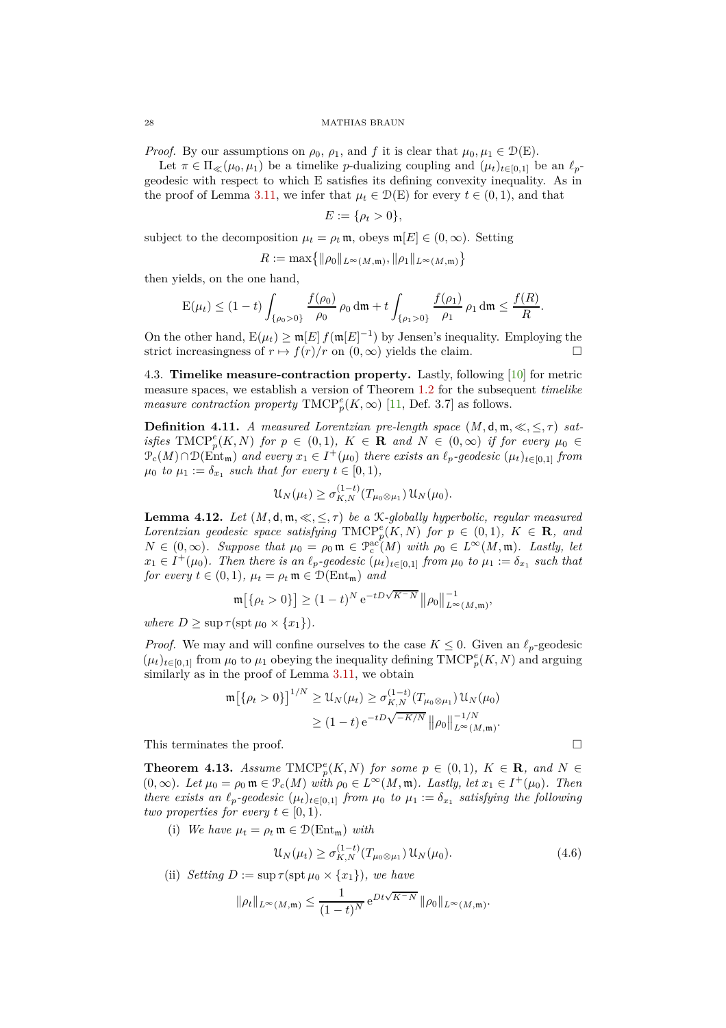*Proof.* By our assumptions on  $\rho_0$ ,  $\rho_1$ , and f it is clear that  $\mu_0, \mu_1 \in \mathcal{D}(\mathcal{E})$ .

Let  $\pi \in \Pi_{\ll}(\mu_0, \mu_1)$  be a timelike *p*-dualizing coupling and  $(\mu_t)_{t \in [0,1]}$  be an  $\ell_p$ geodesic with respect to which E satisfies its defining convexity inequality. As in the proof of [Lemma](#page-16-1) 3.11, we infer that  $\mu_t \in \mathcal{D}(E)$  for every  $t \in (0,1)$ , and that

$$
E:=\{\rho_t>0\},\
$$

subject to the decomposition  $\mu_t = \rho_t \mathfrak{m}$ , obeys  $\mathfrak{m}[E] \in (0, \infty)$ . Setting

$$
R := \max\{ \|\rho_0\|_{L^{\infty}(M,\mathfrak{m})}, \|\rho_1\|_{L^{\infty}(M,\mathfrak{m})} \}
$$

then yields, on the one hand,

$$
\mathcal{E}(\mu_t) \le (1-t) \int_{\{\rho_0 > 0\}} \frac{f(\rho_0)}{\rho_0} \rho_0 \, \mathrm{d}\mathfrak{m} + t \int_{\{\rho_1 > 0\}} \frac{f(\rho_1)}{\rho_1} \rho_1 \, \mathrm{d}\mathfrak{m} \le \frac{f(R)}{R}.
$$

On the other hand,  $E(\mu_t) \geq m[E] f(m[E]^{-1})$  by Jensen's inequality. Employing the strict increasingness of  $r \mapsto f(r)/r$  on  $(0, \infty)$  yields the claim.

<span id="page-27-0"></span>4.3. **Timelike measure-contraction property.** Lastly, following [\[10\]](#page-28-7) for metric measure spaces, we establish a version of [Theorem](#page-2-0) 1.2 for the subsequent *timelike measure contraction property*  $\text{TMCP}^e_p(K, \infty)$  [\[11,](#page-29-13) Def. 3.7] as follows.

<span id="page-27-2"></span>**Definition 4.11.** *A measured Lorentzian pre-length space*  $(M, d, m, \ll, \lt, \tau)$  *satisfies*  $\text{TMCP}^e_p(K, N)$  *for*  $p \in (0, 1)$ *,*  $K \in \mathbf{R}$  *and*  $N \in (0, \infty)$  *if for every*  $\mu_0 \in$  $\mathcal{P}_c(M) \cap \mathcal{D}(\text{Ent}_{\mathfrak{m}})$  *and every*  $x_1 \in I^+(\mu_0)$  *there exists an*  $\ell_p$ -geodesic  $(\mu_t)_{t \in [0,1]}$  from  $\mu_0$  *to*  $\mu_1 := \delta_{x_1}$  *such that for every*  $t \in [0, 1)$ *,* 

$$
\mathcal{U}_N(\mu_t) \ge \sigma_{K,N}^{(1-t)}(T_{\mu_0 \otimes \mu_1}) \mathcal{U}_N(\mu_0).
$$

<span id="page-27-3"></span>**Lemma 4.12.** *Let*  $(M, \mathsf{d}, \mathfrak{m}, \ll, \leq, \tau)$  *be a K*-globally hyperbolic, regular measured *Lorentzian geodesic space satisfying*  $\text{TMCP}^e_p(K, N)$  *for*  $p \in (0, 1)$ *,*  $K \in \mathbb{R}$ *, and*  $N \in (0, \infty)$ *. Suppose that*  $\mu_0 = \rho_0 \mathfrak{m} \in \mathcal{P}_c^{\rm ac}(M)$  with  $\rho_0 \in L^{\infty}(M, \mathfrak{m})$ *. Lastly, let*  $x_1 \in I^+(\mu_0)$ *. Then there is an*  $\ell_p$ -geodesic  $(\mu_t)_{t \in [0,1]}$  *from*  $\mu_0$  *to*  $\mu_1 := \delta_{x_1}$  *such that*  $x_1 \in I^+(\mu_0)$ *. Then there is an*  $\ell_p$ -geodesic  $(\mu_t)_{t \in [0,1]}$  *from*  $\mu_0$  *to*  $\mu_1 := \delta_{x_1}$  *such tha for every*  $t \in (0,1)$ *,*  $\mu_t = \rho_t \mathfrak{m} \in \mathcal{D}(\text{Ent}_{\mathfrak{m}})$  *and* 

$$
\mathfrak{m}\big[\{\rho_t > 0\}\big] \ge (1-t)^N e^{-tD\sqrt{K^-N}} \, \big\|\rho_0\big\|_{L^\infty(M, \mathfrak{m})}^{-1},
$$

*where*  $D > \sup \tau(\sup \mu_0 \times \{x_1\})$ .

*Proof.* We may and will confine ourselves to the case  $K \leq 0$ . Given an  $\ell_p$ -geodesic  $(\mu_t)_{t \in [0,1]}$  from  $\mu_0$  to  $\mu_1$  obeying the inequality defining  $\text{TMCP}_p^e(K, N)$  and arguing similarly as in the proof of [Lemma](#page-16-1) 3.11, we obtain

$$
\begin{aligned} \mathfrak{m}\big[\{\rho_t > 0\}\big]^{1/N} &\ge \mathfrak{U}_N(\mu_t) \ge \sigma_{K,N}^{(1-t)}(T_{\mu_0 \otimes \mu_1}) \mathfrak{U}_N(\mu_0) \\ &\ge (1-t) \,\mathrm{e}^{-tD\sqrt{-K/N}} \, \big\|\rho_0\big\|_{L^\infty(M,\mathfrak{m})}^{-1/N} .\end{aligned}
$$

This terminates the proof.  $\Box$ 

<span id="page-27-1"></span>**Theorem 4.13.** *Assume*  $\text{TMCP}^e_p(K, N)$  *for some*  $p \in (0, 1)$ *,*  $K \in \mathbb{R}$ *, and*  $N \in \mathbb{R}$  $(0, \infty)$ *. Let*  $\mu_0 = \rho_0 \mathfrak{m} \in \mathcal{P}_c(M)$  *with*  $\rho_0 \in L^\infty(M, \mathfrak{m})$ *. Lastly, let*  $x_1 \in I^+(\mu_0)$ *. Then there exists an*  $\ell_p$ -geodesic  $(\mu_t)_{t \in [0,1]}$  *from*  $\mu_0$  *to*  $\mu_1 := \delta_{x_1}$  *satisfying the following two properties for every*  $t \in [0, 1)$ *.* 

(i) We have  $\mu_t = \rho_t \mathfrak{m} \in \mathcal{D}(\text{Ent}_{\mathfrak{m}})$  with

<span id="page-27-4"></span>
$$
\mathcal{U}_N(\mu_t) \ge \sigma_{K,N}^{(1-t)}(T_{\mu_0 \otimes \mu_1}) \mathcal{U}_N(\mu_0). \tag{4.6}
$$

(ii) *Setting*  $D := \sup \tau(\text{spt } \mu_0 \times \{x_1\})$ *, we have* 

$$
\|\rho_t\|_{L^{\infty}(M,\mathfrak{m})}\leq \frac{1}{(1-t)^N} e^{Dt\sqrt{K^-N}} \|\rho_0\|_{L^{\infty}(M,\mathfrak{m})}.
$$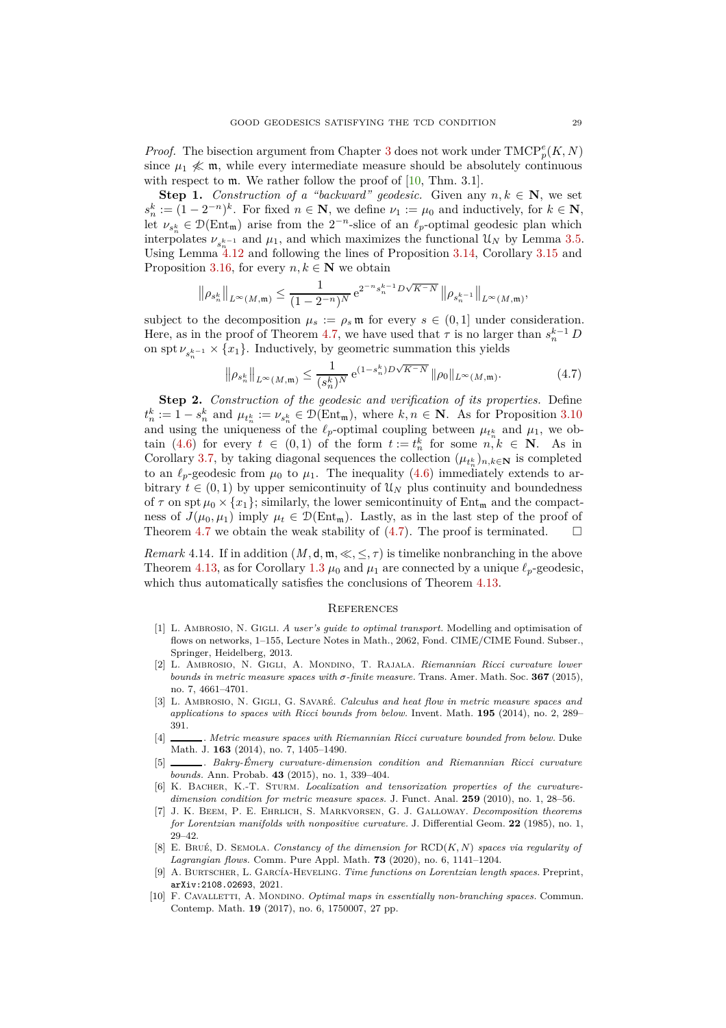*Proof.* The bisection argument from [Chapter](#page-11-0) 3 does not work under  $\text{TMCP}^e_p(K, N)$ since  $\mu_1 \nless \mathfrak{m}$ , while every intermediate measure should be absolutely continuous with respect to  $m$ . We rather follow the proof of  $[10, Thm. 3.1]$ .

**Step 1.** *Construction of a "backward" geodesic.* Given any  $n, k \in \mathbb{N}$ , we set  $s_n^k := (1 - 2^{-n})^k$ . For fixed  $n \in \mathbb{N}$ , we define  $\nu_1 := \mu_0$  and inductively, for  $k \in \mathbb{N}$ , let  $\nu_{s_n^k} \in \mathcal{D}(\text{Ent}_{m})$  arise from the  $2^{-n}$ -slice of an  $\ell_p$ -optimal geodesic plan which interpolates  $\nu_{s_n^{k-1}}$  and  $\mu_1$ , and which maximizes the functional  $\mathcal{U}_N$  by [Lemma](#page-13-0) 3.5. Using [Lemma](#page-27-3)  $4.12$  and following the lines of [Proposition](#page-18-0) 3.14, [Corollary](#page-20-1) 3.15 and [Proposition](#page-20-0) 3.16, for every  $n, k \in \mathbb{N}$  we obtain

$$
\left\|\rho_{s_n^k}\right\|_{L^{\infty}(M,\mathfrak{m})} \leq \frac{1}{(1-2^{-n})^N} e^{2^{-n} s_n^{k-1} D\sqrt{K-N}} \left\|\rho_{s_n^{k-1}}\right\|_{L^{\infty}(M,\mathfrak{m})},
$$

subject to the decomposition  $\mu_s := \rho_s \mathfrak{m}$  for every  $s \in (0,1]$  under consideration. Here, as in the proof of [Theorem](#page-25-0) 4.7, we have used that  $\tau$  is no larger than  $s_n^{k-1}$  *D* on spt  $\nu_{s_n^{k-1}} \times \{x_1\}$ . Inductively, by geometric summation this yields

$$
\left\|\rho_{s_n^k}\right\|_{L^{\infty}(M,\mathfrak{m})} \le \frac{1}{(s_n^k)^N} e^{(1-s_n^k)D\sqrt{K-N}} \left\|\rho_0\right\|_{L^{\infty}(M,\mathfrak{m})}.\tag{4.7}
$$

**Step 2.** *Construction of the geodesic and verification of its properties.* Define  $t_n^k := 1 - s_n^k$  and  $\mu_{t_n^k} := \nu_{s_n^k} \in \mathcal{D}(\text{Ent}_{\mathfrak{m}})$ , where  $k, n \in \mathbb{N}$ . As for [Proposition](#page-15-0) 3.10 and using the uniqueness of the  $\ell_p$ -optimal coupling between  $\mu_{t_n^k}$  and  $\mu_1$ , we ob-tain [\(4.6\)](#page-27-4) for every  $t \in (0,1)$  of the form  $t := t_n^k$  for some  $n, k \in \mathbb{N}$ . As in [Corollary](#page-13-1) 3.7, by taking diagonal sequences the collection  $(\mu_{t_n^k})_{n,k\in\mathbb{N}}$  is completed to an  $\ell_p$ -geodesic from  $\mu_0$  to  $\mu_1$ . The inequality [\(4.6\)](#page-27-4) immediately extends to arbitrary  $t \in (0, 1)$  by upper semicontinuity of  $\mathcal{U}_N$  plus continuity and boundedness of  $\tau$  on spt  $\mu_0 \times \{x_1\}$ ; similarly, the lower semicontinuity of Ent<sub>m</sub> and the compactness of  $J(\mu_0, \mu_1)$  imply  $\mu_t \in \mathcal{D}(\text{Ent}_{\mathfrak{m}})$ . Lastly, as in the last step of the proof of Theorem 4.7 we obtain the weak stability of (4.7). The proof is terminated  $\square$ [Theorem](#page-25-0) 4.7 we obtain the weak stability of  $(4.7)$ . The proof is terminated.

*Remark* 4.14. If in addition  $(M, \mathsf{d}, \mathfrak{m}, \ll, \leq, \tau)$  is timelike nonbranching in the above [Theorem](#page-27-1) 4.13, as for [Corollary](#page-3-0) 1.3  $\mu_0$  and  $\mu_1$  are connected by a unique  $\ell_p$ -geodesic. which thus automatically satisfies the conclusions of [Theorem](#page-27-1) 4.13.

#### <span id="page-28-11"></span><span id="page-28-0"></span>**REFERENCES**

- <span id="page-28-10"></span>[1] L. Ambrosio, N. Gigli. *A user's guide to optimal transport.* Modelling and optimisation of flows on networks, 1–155, Lecture Notes in Math., 2062, Fond. CIME/CIME Found. Subser., Springer, Heidelberg, 2013.
- <span id="page-28-6"></span>[2] L. Ambrosio, N. Gigli, A. Mondino, T. Rajala. *Riemannian Ricci curvature lower bounds in metric measure spaces with σ-finite measure.* Trans. Amer. Math. Soc. **367** (2015), no. 7, 4661–4701.
- <span id="page-28-1"></span>[3] L. Ambrosio, N. Gigli, G. Savaré. *Calculus and heat flow in metric measure spaces and applications to spaces with Ricci bounds from below.* Invent. Math. **195** (2014), no. 2, 289– 391.
- <span id="page-28-2"></span>[4] . *Metric measure spaces with Riemannian Ricci curvature bounded from below.* Duke Math. J. **163** (2014), no. 7, 1405–1490.
- <span id="page-28-3"></span>[5] . *Bakry-Émery curvature-dimension condition and Riemannian Ricci curvature bounds.* Ann. Probab. **43** (2015), no. 1, 339–404.
- <span id="page-28-4"></span>[6] K. Bacher, K.-T. Sturm. *Localization and tensorization properties of the curvaturedimension condition for metric measure spaces.* J. Funct. Anal. **259** (2010), no. 1, 28–56.
- <span id="page-28-8"></span>[7] J. K. Beem, P. E. Ehrlich, S. Markvorsen, G. J. Galloway. *Decomposition theorems for Lorentzian manifolds with nonpositive curvature.* J. Differential Geom. **22** (1985), no. 1, 29–42.
- <span id="page-28-5"></span>[8] E. Brué, D. Semola. *Constancy of the dimension for* RCD(*K, N*) *spaces via regularity of Lagrangian flows.* Comm. Pure Appl. Math. **73** (2020), no. 6, 1141–1204.
- <span id="page-28-9"></span>[9] A. Burtscher, L. García-Heveling. *Time functions on Lorentzian length spaces.* Preprint, arXiv:2108.02693, 2021.
- <span id="page-28-7"></span>[10] F. CAVALLETTI, A. MONDINO. *Optimal maps in essentially non-branching spaces*. Commun. Contemp. Math. **19** (2017), no. 6, 1750007, 27 pp.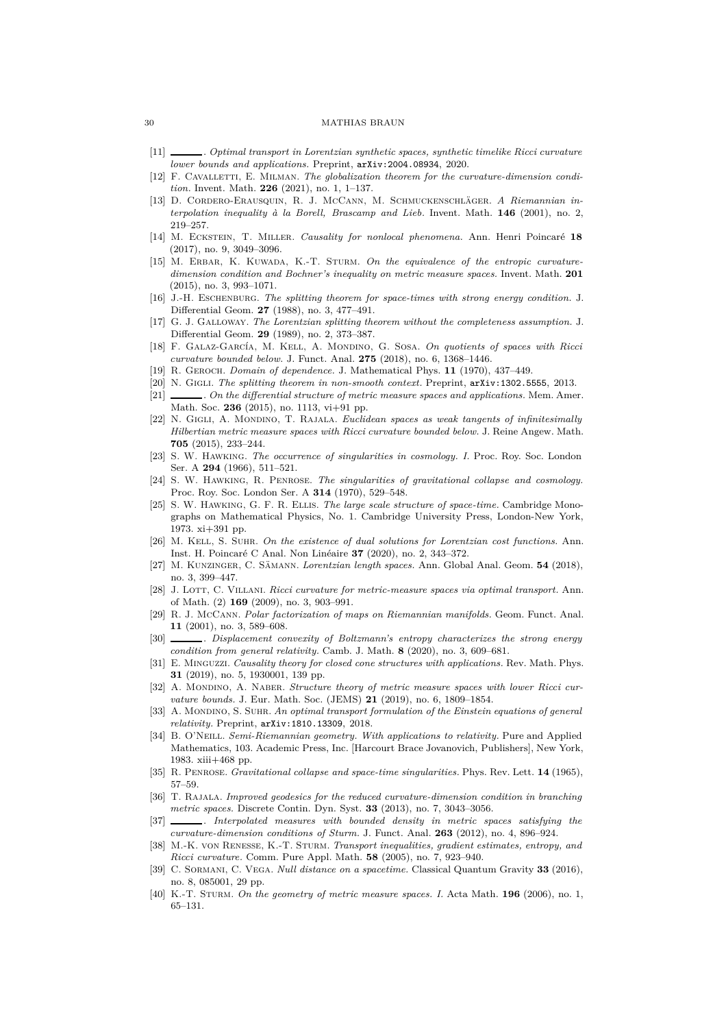- <span id="page-29-2"></span>[11] . *Optimal transport in Lorentzian synthetic spaces, synthetic timelike Ricci curvature lower bounds and applications.* Preprint, arXiv:2004.08934, 2020.
- [12] F. CAVALLETTI, E. MILMAN. The globalization theorem for the curvature-dimension condi*tion.* Invent. Math. **226** (2021), no. 1, 1–137.
- <span id="page-29-10"></span>[13] D. Cordero-Erausquin, R. J. McCann, M. Schmuckenschläger. *A Riemannian interpolation inequality à la Borell, Brascamp and Lieb.* Invent. Math. **146** (2001), no. 2, 219–257.
- <span id="page-29-19"></span>[14] M. Eckstein, T. Miller. *Causality for nonlocal phenomena.* Ann. Henri Poincaré **18** (2017), no. 9, 3049–3096.
- <span id="page-29-3"></span>[15] M. Erbar, K. Kuwada, K.-T. Sturm. *On the equivalence of the entropic curvaturedimension condition and Bochner's inequality on metric measure spaces.* Invent. Math. **201** (2015), no. 3, 993–1071.
- <span id="page-29-26"></span>[16] J.-H. Eschenburg. *The splitting theorem for space-times with strong energy condition.* J. Differential Geom. **27** (1988), no. 3, 477–491.
- <span id="page-29-27"></span>[17] G. J. Galloway. *The Lorentzian splitting theorem without the completeness assumption.* J. Differential Geom. **29** (1989), no. 2, 373–387.
- <span id="page-29-29"></span>[18] F. GALAZ-GARCÍA, M. KELL, A. MONDINO, G. SOSA. On quotients of spaces with Ricci *curvature bounded below.* J. Funct. Anal. **275** (2018), no. 6, 1368–1446.
- <span id="page-29-28"></span><span id="page-29-5"></span>[19] R. Geroch. *Domain of dependence.* J. Mathematical Phys. **11** (1970), 437–449.
- <span id="page-29-4"></span>[20] N. Gigli. *The splitting theorem in non-smooth context.* Preprint, arXiv:1302.5555, 2013.
- [21] . *On the differential structure of metric measure spaces and applications.* Mem. Amer. Math. Soc. **236** (2015), no. 1113, vi+91 pp.
- <span id="page-29-6"></span>[22] N. Gigli, A. Mondino, T. Rajala. *Euclidean spaces as weak tangents of infinitesimally Hilbertian metric measure spaces with Ricci curvature bounded below.* J. Reine Angew. Math. **705** (2015), 233–244.
- <span id="page-29-22"></span>[23] S. W. Hawking. *The occurrence of singularities in cosmology. I.* Proc. Roy. Soc. London Ser. A **294** (1966), 511–521.
- <span id="page-29-23"></span>[24] S. W. Hawking, R. Penrose. *The singularities of gravitational collapse and cosmology.* Proc. Roy. Soc. London Ser. A **314** (1970), 529–548.
- <span id="page-29-16"></span>[25] S. W. Hawking, G. F. R. Ellis. *The large scale structure of space-time.* Cambridge Monographs on Mathematical Physics, No. 1. Cambridge University Press, London-New York, 1973. xi+391 pp.
- <span id="page-29-20"></span>[26] M. Kell, S. Suhr. *On the existence of dual solutions for Lorentzian cost functions.* Ann. Inst. H. Poincaré C Anal. Non Linéaire **37** (2020), no. 2, 343–372.
- <span id="page-29-14"></span>[27] M. Kunzinger, C. Sämann. *Lorentzian length spaces.* Ann. Global Anal. Geom. **54** (2018), no. 3, 399–447.
- <span id="page-29-1"></span>[28] J. Lott, C. Villani. *Ricci curvature for metric-measure spaces via optimal transport.* Ann. of Math. (2) **169** (2009), no. 3, 903–991.
- <span id="page-29-11"></span>[29] R. J. McCann. *Polar factorization of maps on Riemannian manifolds.* Geom. Funct. Anal. **11** (2001), no. 3, 589–608.
- <span id="page-29-17"></span>[30] . *Displacement convexity of Boltzmann's entropy characterizes the strong energy condition from general relativity.* Camb. J. Math. **8** (2020), no. 3, 609–681.
- <span id="page-29-25"></span>[31] E. Minguzzi. *Causality theory for closed cone structures with applications.* Rev. Math. Phys. **31** (2019), no. 5, 1930001, 139 pp.
- <span id="page-29-7"></span>[32] A. MONDINO, A. NABER. *Structure theory of metric measure spaces with lower Ricci curvature bounds.* J. Eur. Math. Soc. (JEMS) **21** (2019), no. 6, 1809–1854.
- <span id="page-29-21"></span>[33] A. Mondino, S. Suhr. *An optimal transport formulation of the Einstein equations of general relativity.* Preprint, arXiv:1810.13309, 2018.
- <span id="page-29-18"></span>[34] B. O'Neill. *Semi-Riemannian geometry. With applications to relativity.* Pure and Applied Mathematics, 103. Academic Press, Inc. [Harcourt Brace Jovanovich, Publishers], New York, 1983. xiii+468 pp.
- <span id="page-29-24"></span><span id="page-29-8"></span>[35] R. Penrose. *Gravitational collapse and space-time singularities.* Phys. Rev. Lett. **14** (1965), 57–59.
- [36] T. Rajala. *Improved geodesics for the reduced curvature-dimension condition in branching metric spaces.* Discrete Contin. Dyn. Syst. **33** (2013), no. 7, 3043–3056.
- <span id="page-29-9"></span>[37] . *Interpolated measures with bounded density in metric spaces satisfying the curvature-dimension conditions of Sturm.* J. Funct. Anal. **263** (2012), no. 4, 896–924.
- <span id="page-29-12"></span>[38] M.-K. von Renesse, K.-T. Sturm. *Transport inequalities, gradient estimates, entropy, and Ricci curvature.* Comm. Pure Appl. Math. **58** (2005), no. 7, 923–940.
- <span id="page-29-15"></span>[39] C. Sormani, C. Vega. *Null distance on a spacetime.* Classical Quantum Gravity **33** (2016), no. 8, 085001, 29 pp.
- <span id="page-29-0"></span>[40] K.-T. Sturm. *On the geometry of metric measure spaces. I.* Acta Math. **196** (2006), no. 1, 65–131.

<span id="page-29-13"></span>